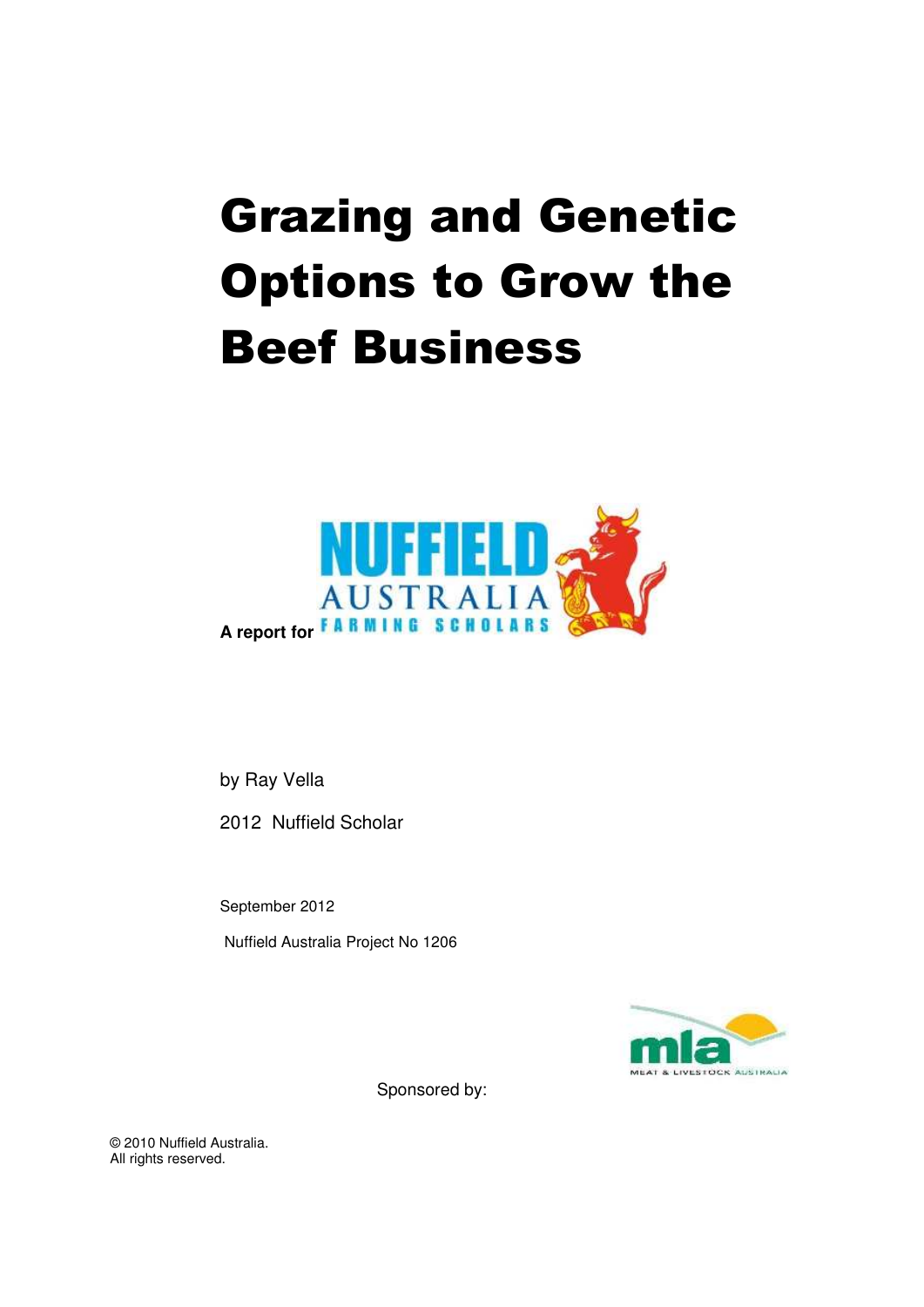# Grazing and Genetic Options to Grow the Beef Business



by Ray Vella

2012 Nuffield Scholar

September 2012

Nuffield Australia Project No 1206



Sponsored by:

© 2010 Nuffield Australia. All rights reserved.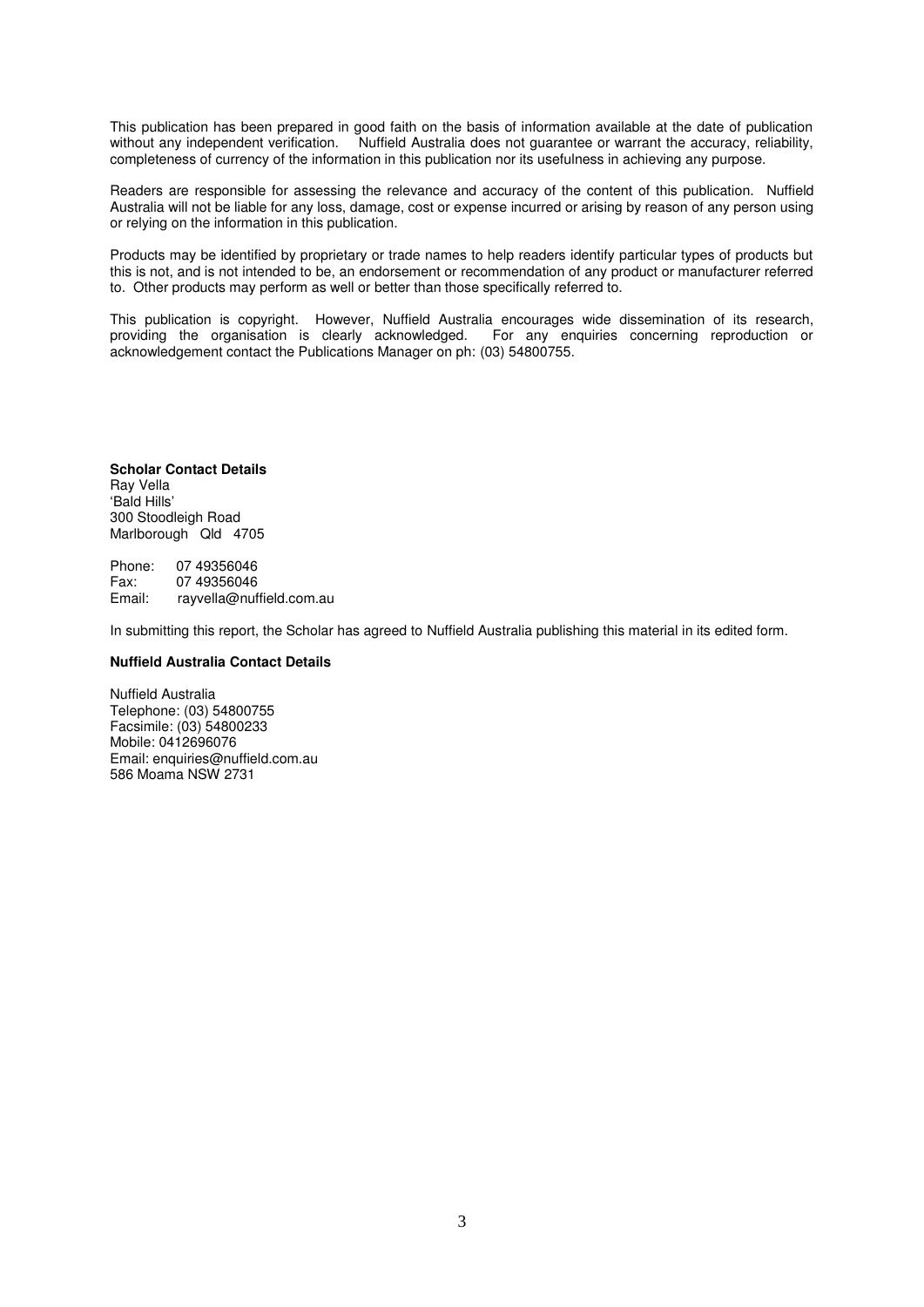This publication has been prepared in good faith on the basis of information available at the date of publication without any independent verification. Nuffield Australia does not guarantee or warrant the accuracy, reliability, completeness of currency of the information in this publication nor its usefulness in achieving any purpose.

Readers are responsible for assessing the relevance and accuracy of the content of this publication. Nuffield Australia will not be liable for any loss, damage, cost or expense incurred or arising by reason of any person using or relying on the information in this publication.

Products may be identified by proprietary or trade names to help readers identify particular types of products but this is not, and is not intended to be, an endorsement or recommendation of any product or manufacturer referred to. Other products may perform as well or better than those specifically referred to.

This publication is copyright. However, Nuffield Australia encourages wide dissemination of its research, providing the organisation is clearly acknowledged. For any enquiries concerning reproduction or providing the organisation is clearly acknowledged. acknowledgement contact the Publications Manager on ph: (03) 54800755.

**Scholar Contact Details**  Ray Vella 'Bald Hills' 300 Stoodleigh Road Marlborough Qld 4705

Phone: 07 49356046<br>Fax: 07 49356046 Fax: 07 49356046<br>Email: ravvella@nuf rayvella@nuffield.com.au

In submitting this report, the Scholar has agreed to Nuffield Australia publishing this material in its edited form.

#### **Nuffield Australia Contact Details**

Nuffield Australia Telephone: (03) 54800755 Facsimile: (03) 54800233 Mobile: 0412696076 Email: enquiries@nuffield.com.au 586 Moama NSW 2731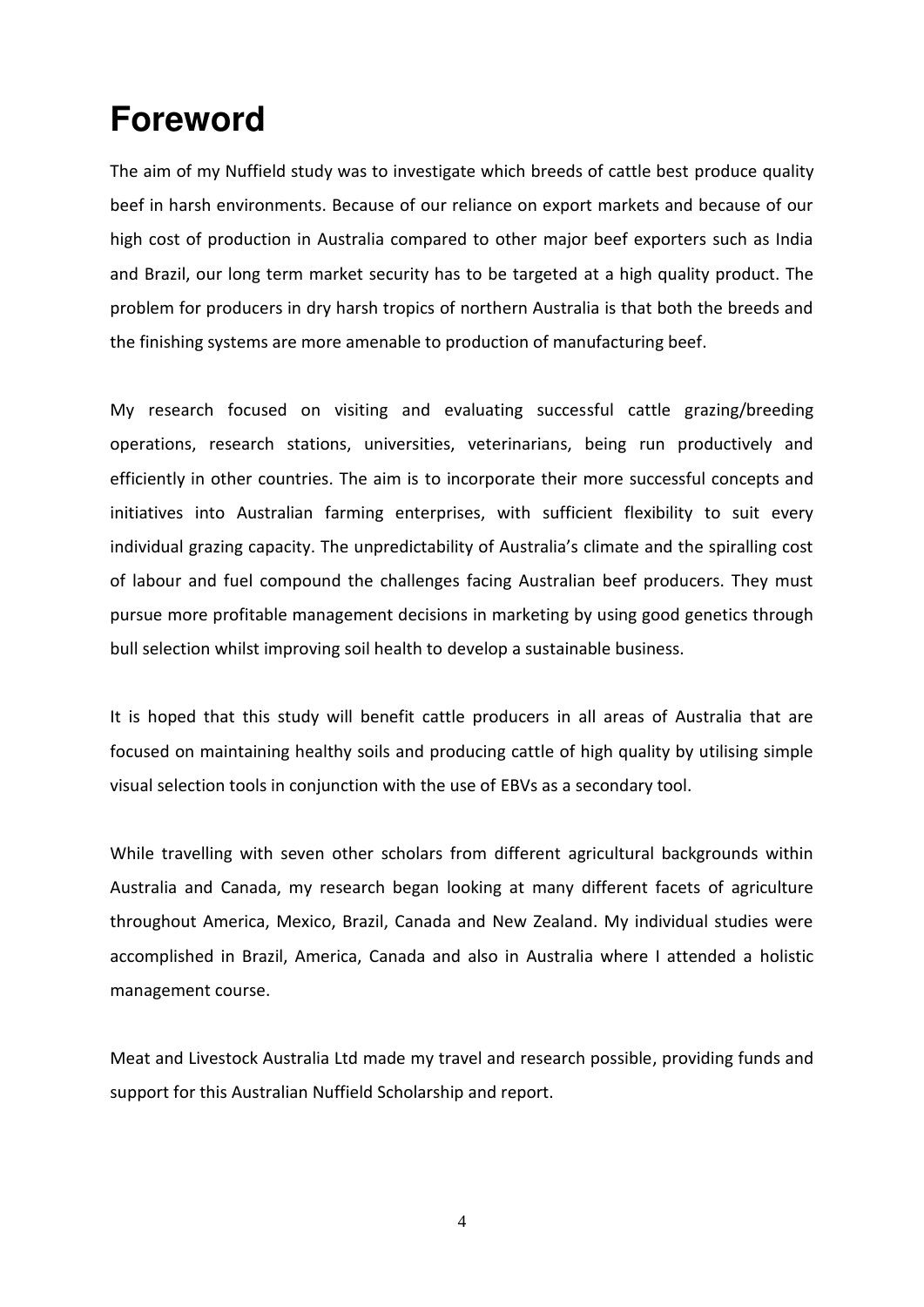## <span id="page-2-0"></span>**Foreword**

The aim of my Nuffield study was to investigate which breeds of cattle best produce quality beef in harsh environments. Because of our reliance on export markets and because of our high cost of production in Australia compared to other major beef exporters such as India and Brazil, our long term market security has to be targeted at a high quality product. The problem for producers in dry harsh tropics of northern Australia is that both the breeds and the finishing systems are more amenable to production of manufacturing beef.

My research focused on visiting and evaluating successful cattle grazing/breeding operations, research stations, universities, veterinarians, being run productively and efficiently in other countries. The aim is to incorporate their more successful concepts and initiatives into Australian farming enterprises, with sufficient flexibility to suit every individual grazing capacity. The unpredictability of Australia's climate and the spiralling cost of labour and fuel compound the challenges facing Australian beef producers. They must pursue more profitable management decisions in marketing by using good genetics through bull selection whilst improving soil health to develop a sustainable business.

It is hoped that this study will benefit cattle producers in all areas of Australia that are focused on maintaining healthy soils and producing cattle of high quality by utilising simple visual selection tools in conjunction with the use of EBVs as a secondary tool.

While travelling with seven other scholars from different agricultural backgrounds within Australia and Canada, my research began looking at many different facets of agriculture throughout America, Mexico, Brazil, Canada and New Zealand. My individual studies were accomplished in Brazil, America, Canada and also in Australia where I attended a holistic management course.

Meat and Livestock Australia Ltd made my travel and research possible, providing funds and support for this Australian Nuffield Scholarship and report.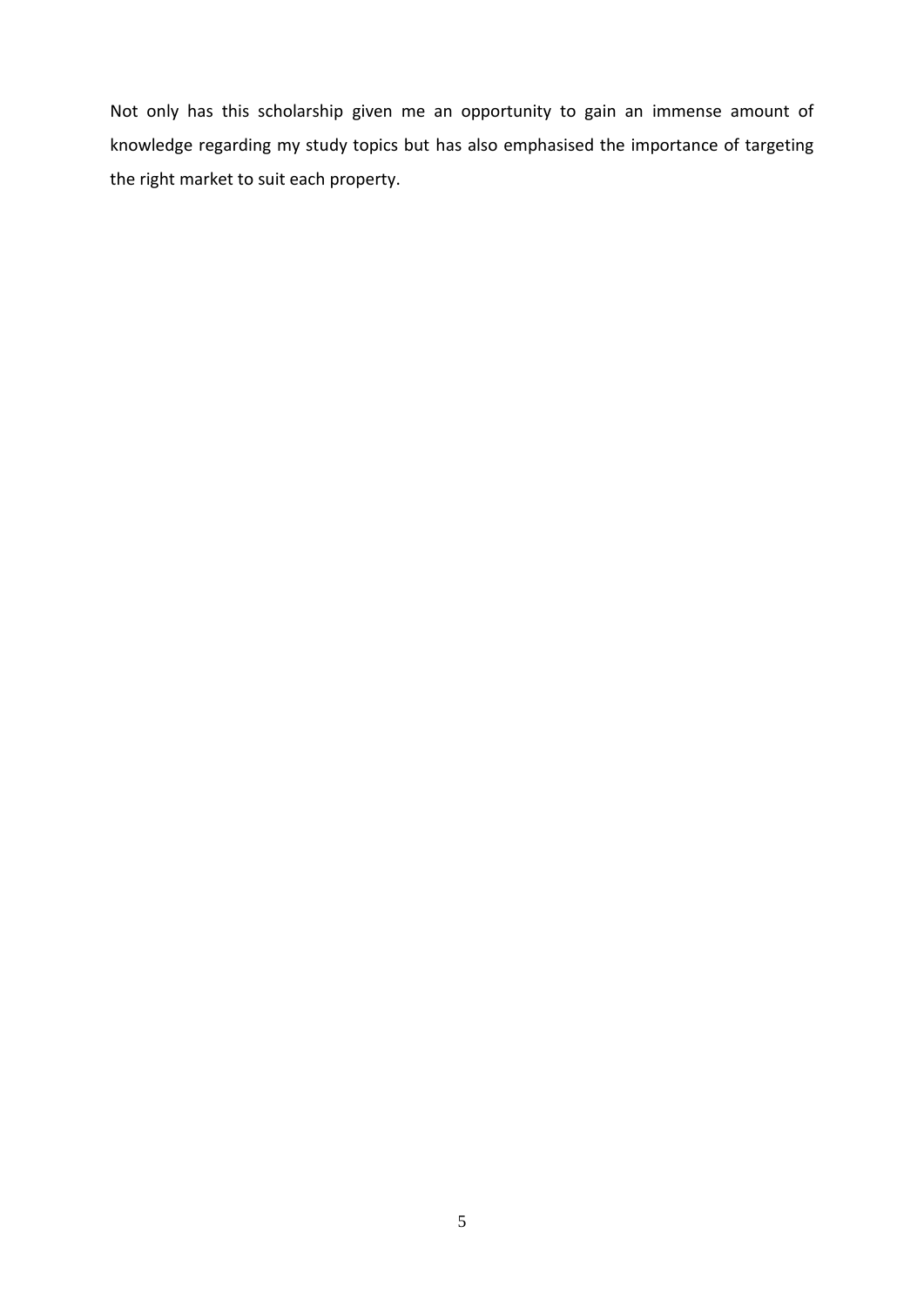Not only has this scholarship given me an opportunity to gain an immense amount of knowledge regarding my study topics but has also emphasised the importance of targeting the right market to suit each property.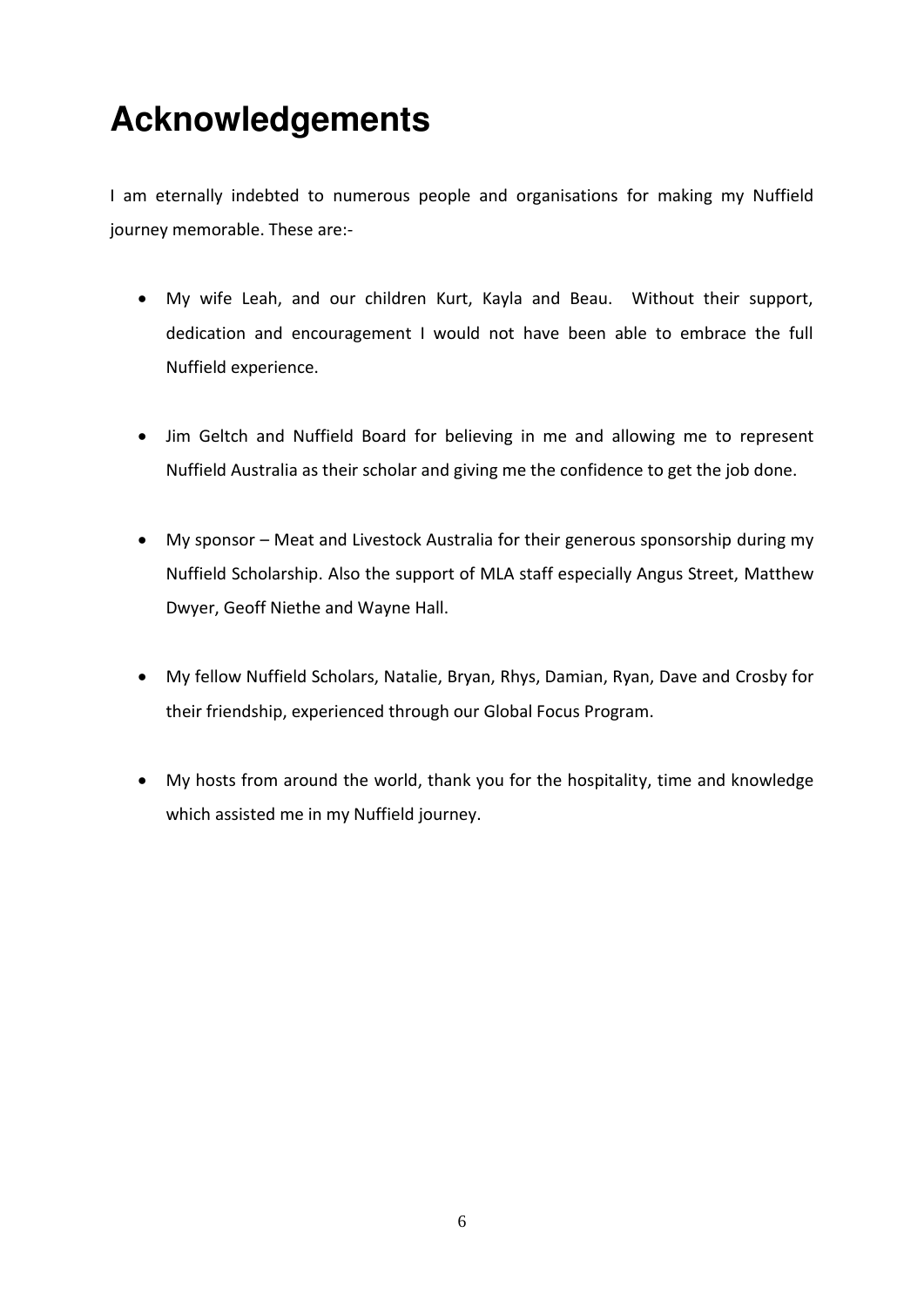## <span id="page-4-0"></span>**Acknowledgements**

I am eternally indebted to numerous people and organisations for making my Nuffield journey memorable. These are:-

- My wife Leah, and our children Kurt, Kayla and Beau. Without their support, dedication and encouragement I would not have been able to embrace the full Nuffield experience.
- Jim Geltch and Nuffield Board for believing in me and allowing me to represent Nuffield Australia as their scholar and giving me the confidence to get the job done.
- My sponsor Meat and Livestock Australia for their generous sponsorship during my Nuffield Scholarship. Also the support of MLA staff especially Angus Street, Matthew Dwyer, Geoff Niethe and Wayne Hall.
- My fellow Nuffield Scholars, Natalie, Bryan, Rhys, Damian, Ryan, Dave and Crosby for their friendship, experienced through our Global Focus Program.
- My hosts from around the world, thank you for the hospitality, time and knowledge which assisted me in my Nuffield journey.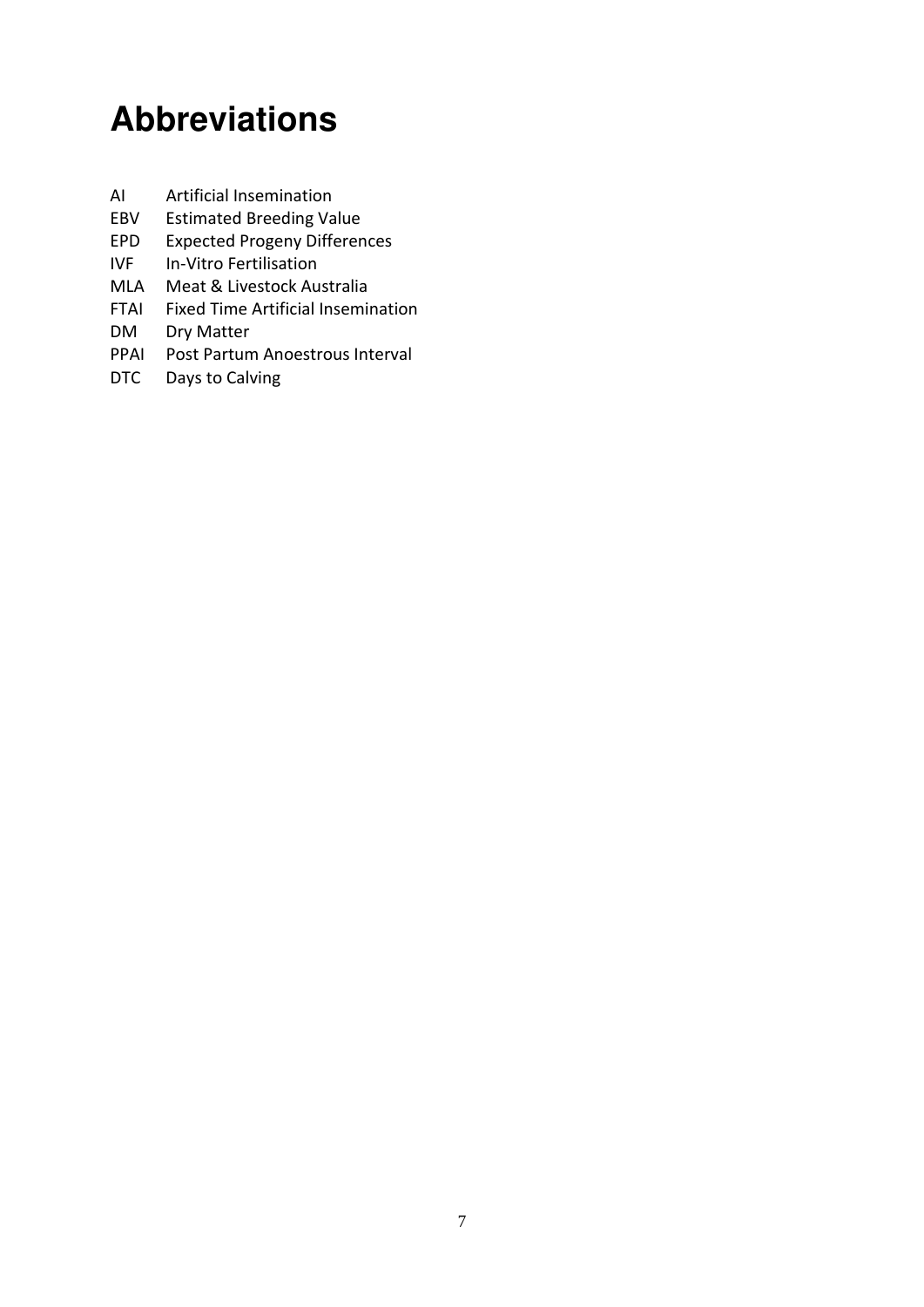## <span id="page-5-0"></span>**Abbreviations**

- AI Artificial Insemination
- EBV Estimated Breeding Value
- EPD Expected Progeny Differences
- IVF In-Vitro Fertilisation
- MLA Meat & Livestock Australia
- FTAI Fixed Time Artificial Insemination
- DM Dry Matter
- PPAI Post Partum Anoestrous Interval
- DTC Days to Calving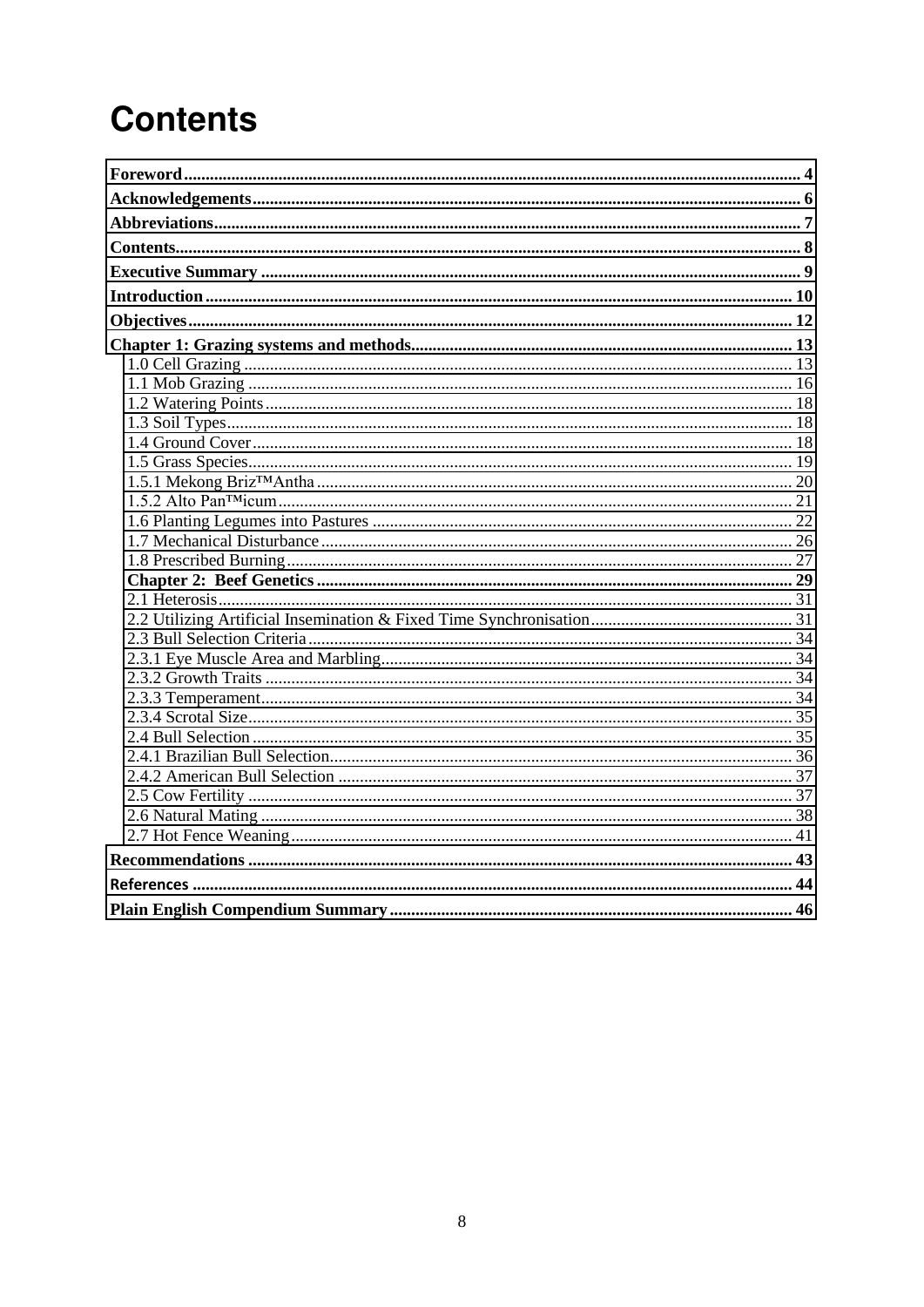## <span id="page-6-0"></span>**Contents**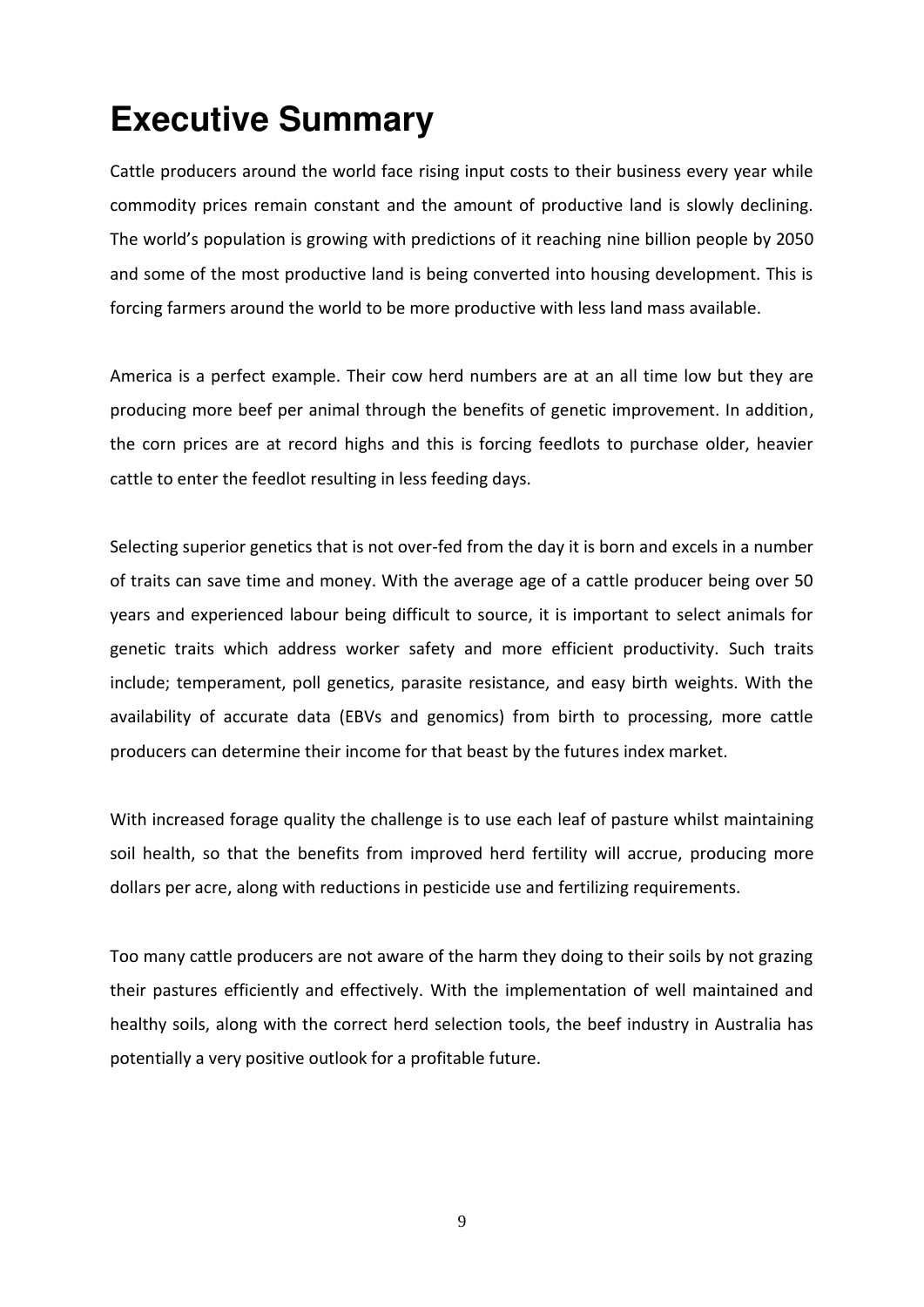## <span id="page-7-0"></span>**Executive Summary**

Cattle producers around the world face rising input costs to their business every year while commodity prices remain constant and the amount of productive land is slowly declining. The world's population is growing with predictions of it reaching nine billion people by 2050 and some of the most productive land is being converted into housing development. This is forcing farmers around the world to be more productive with less land mass available.

America is a perfect example. Their cow herd numbers are at an all time low but they are producing more beef per animal through the benefits of genetic improvement. In addition, the corn prices are at record highs and this is forcing feedlots to purchase older, heavier cattle to enter the feedlot resulting in less feeding days.

Selecting superior genetics that is not over-fed from the day it is born and excels in a number of traits can save time and money. With the average age of a cattle producer being over 50 years and experienced labour being difficult to source, it is important to select animals for genetic traits which address worker safety and more efficient productivity. Such traits include; temperament, poll genetics, parasite resistance, and easy birth weights. With the availability of accurate data (EBVs and genomics) from birth to processing, more cattle producers can determine their income for that beast by the futures index market.

With increased forage quality the challenge is to use each leaf of pasture whilst maintaining soil health, so that the benefits from improved herd fertility will accrue, producing more dollars per acre, along with reductions in pesticide use and fertilizing requirements.

Too many cattle producers are not aware of the harm they doing to their soils by not grazing their pastures efficiently and effectively. With the implementation of well maintained and healthy soils, along with the correct herd selection tools, the beef industry in Australia has potentially a very positive outlook for a profitable future.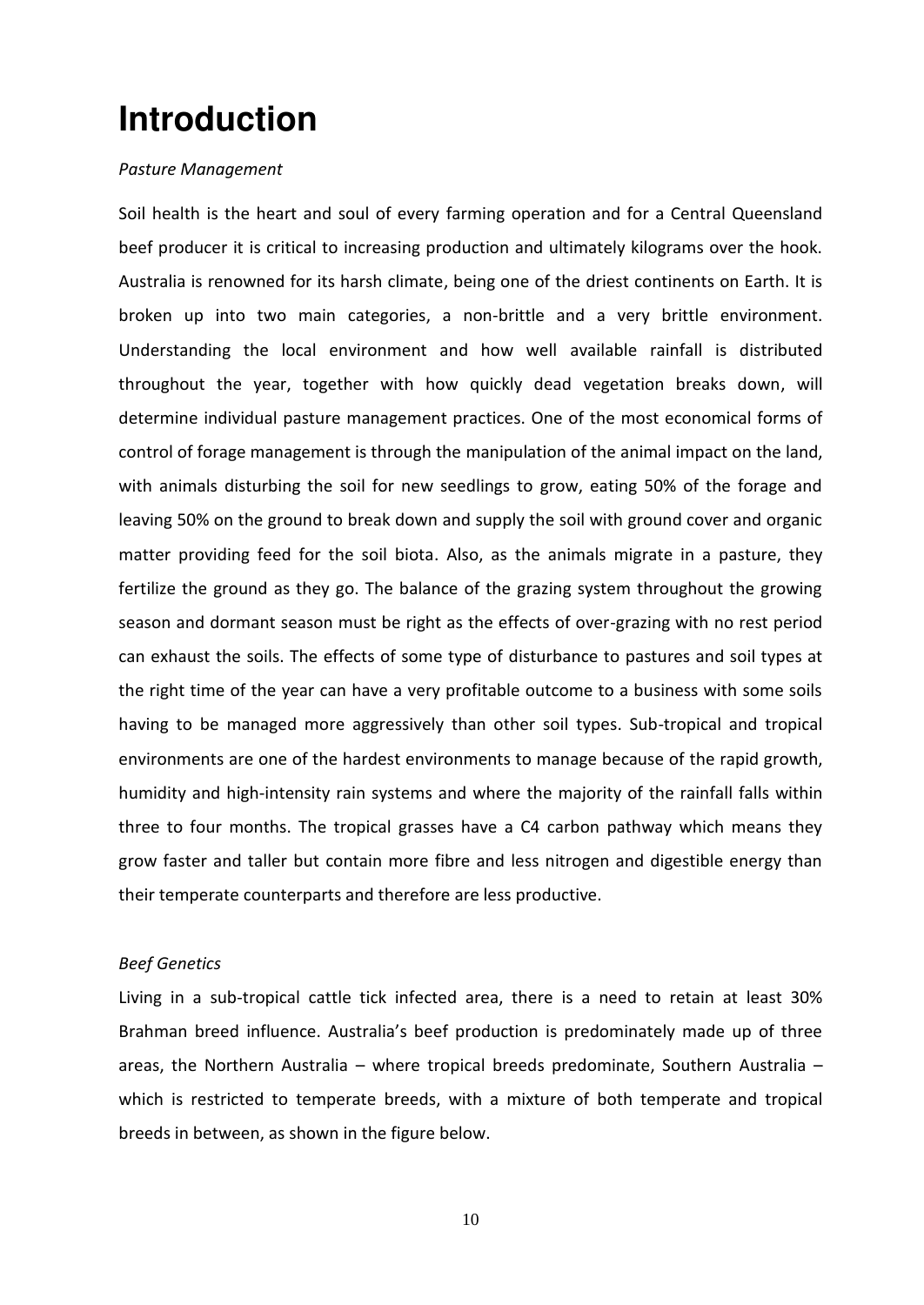## <span id="page-8-0"></span>**Introduction**

### *Pasture Management*

Soil health is the heart and soul of every farming operation and for a Central Queensland beef producer it is critical to increasing production and ultimately kilograms over the hook. Australia is renowned for its harsh climate, being one of the driest continents on Earth. It is broken up into two main categories, a non-brittle and a very brittle environment. Understanding the local environment and how well available rainfall is distributed throughout the year, together with how quickly dead vegetation breaks down, will determine individual pasture management practices. One of the most economical forms of control of forage management is through the manipulation of the animal impact on the land, with animals disturbing the soil for new seedlings to grow, eating 50% of the forage and leaving 50% on the ground to break down and supply the soil with ground cover and organic matter providing feed for the soil biota. Also, as the animals migrate in a pasture, they fertilize the ground as they go. The balance of the grazing system throughout the growing season and dormant season must be right as the effects of over-grazing with no rest period can exhaust the soils. The effects of some type of disturbance to pastures and soil types at the right time of the year can have a very profitable outcome to a business with some soils having to be managed more aggressively than other soil types. Sub-tropical and tropical environments are one of the hardest environments to manage because of the rapid growth, humidity and high-intensity rain systems and where the majority of the rainfall falls within three to four months. The tropical grasses have a C4 carbon pathway which means they grow faster and taller but contain more fibre and less nitrogen and digestible energy than their temperate counterparts and therefore are less productive.

### *Beef Genetics*

Living in a sub-tropical cattle tick infected area, there is a need to retain at least 30% Brahman breed influence. Australia's beef production is predominately made up of three areas, the Northern Australia – where tropical breeds predominate, Southern Australia – which is restricted to temperate breeds, with a mixture of both temperate and tropical breeds in between, as shown in the figure below.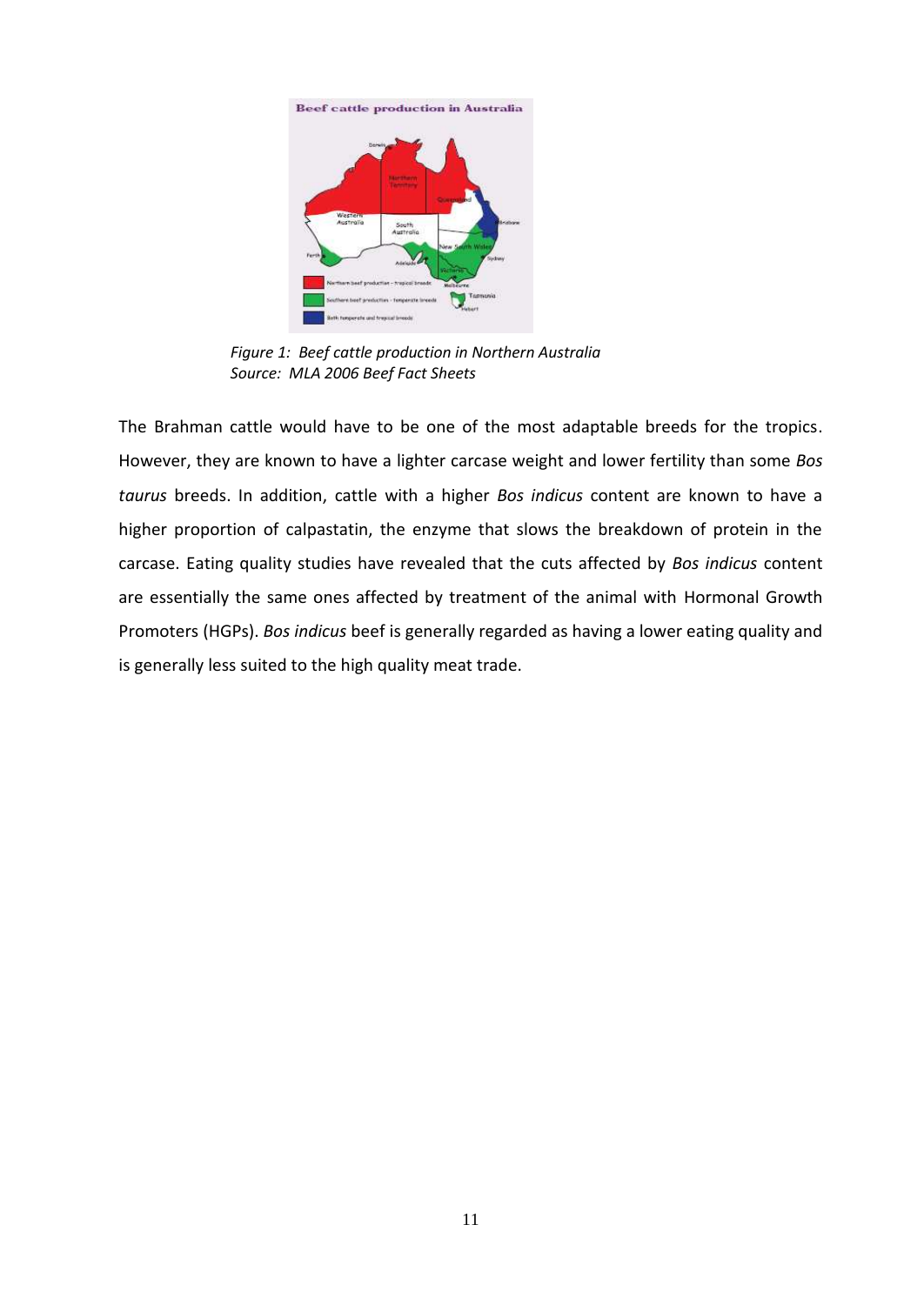



*Figure 1: Beef cattle production in Northern Australia Source: MLA 2006 Beef Fact Sheets*

The Brahman cattle would have to be one of the most adaptable breeds for the tropics. However, they are known to have a lighter carcase weight and lower fertility than some *Bos taurus* breeds. In addition, cattle with a higher *Bos indicus* content are known to have a higher proportion of calpastatin, the enzyme that slows the breakdown of protein in the carcase. Eating quality studies have revealed that the cuts affected by *Bos indicus* content are essentially the same ones affected by treatment of the animal with Hormonal Growth Promoters (HGPs). *Bos indicus* beef is generally regarded as having a lower eating quality and is generally less suited to the high quality meat trade.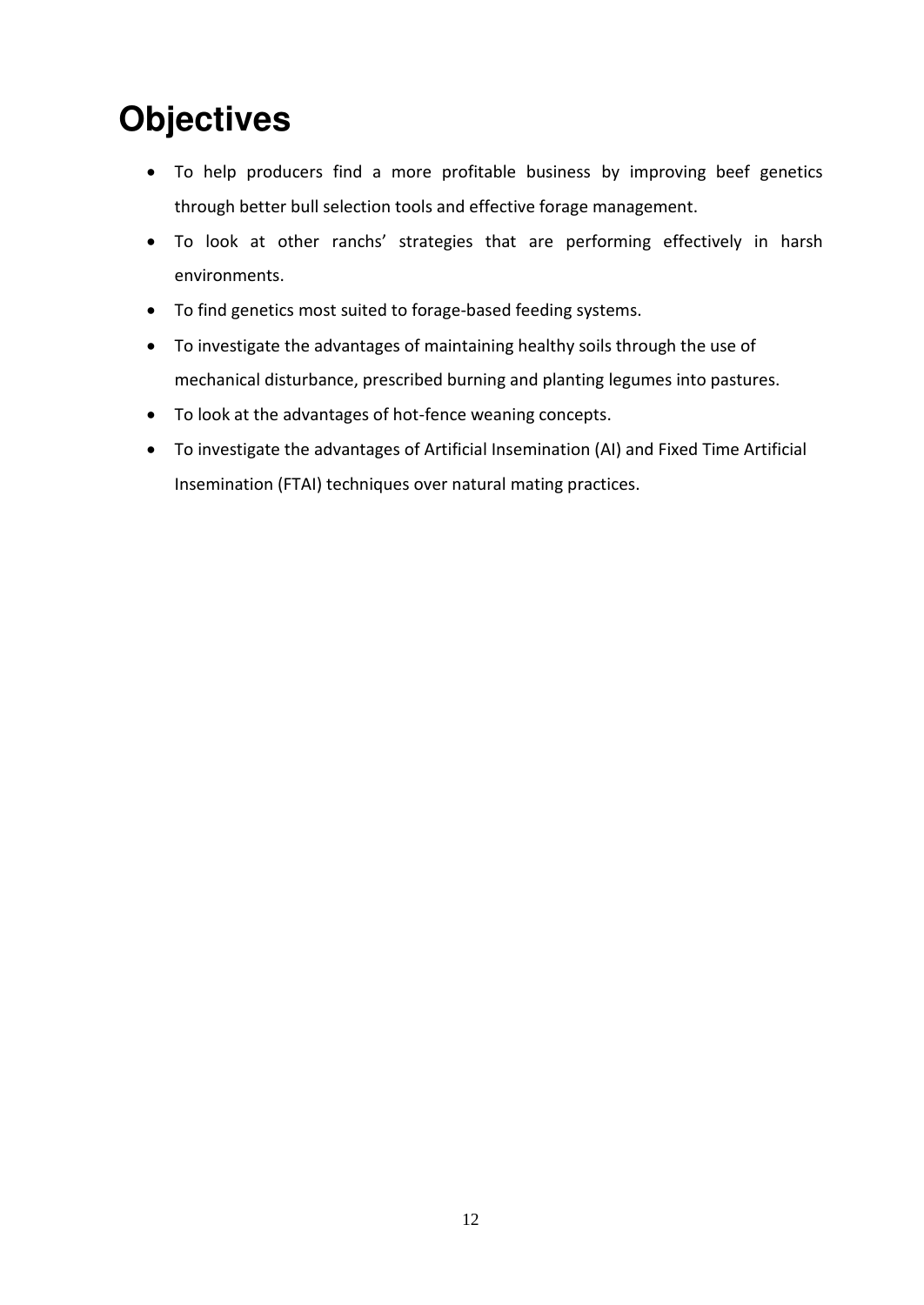## <span id="page-10-0"></span>**Objectives**

- To help producers find a more profitable business by improving beef genetics through better bull selection tools and effective forage management.
- To look at other ranchs' strategies that are performing effectively in harsh environments.
- To find genetics most suited to forage-based feeding systems.
- To investigate the advantages of maintaining healthy soils through the use of mechanical disturbance, prescribed burning and planting legumes into pastures.
- To look at the advantages of hot-fence weaning concepts.
- To investigate the advantages of Artificial Insemination (AI) and Fixed Time Artificial Insemination (FTAI) techniques over natural mating practices.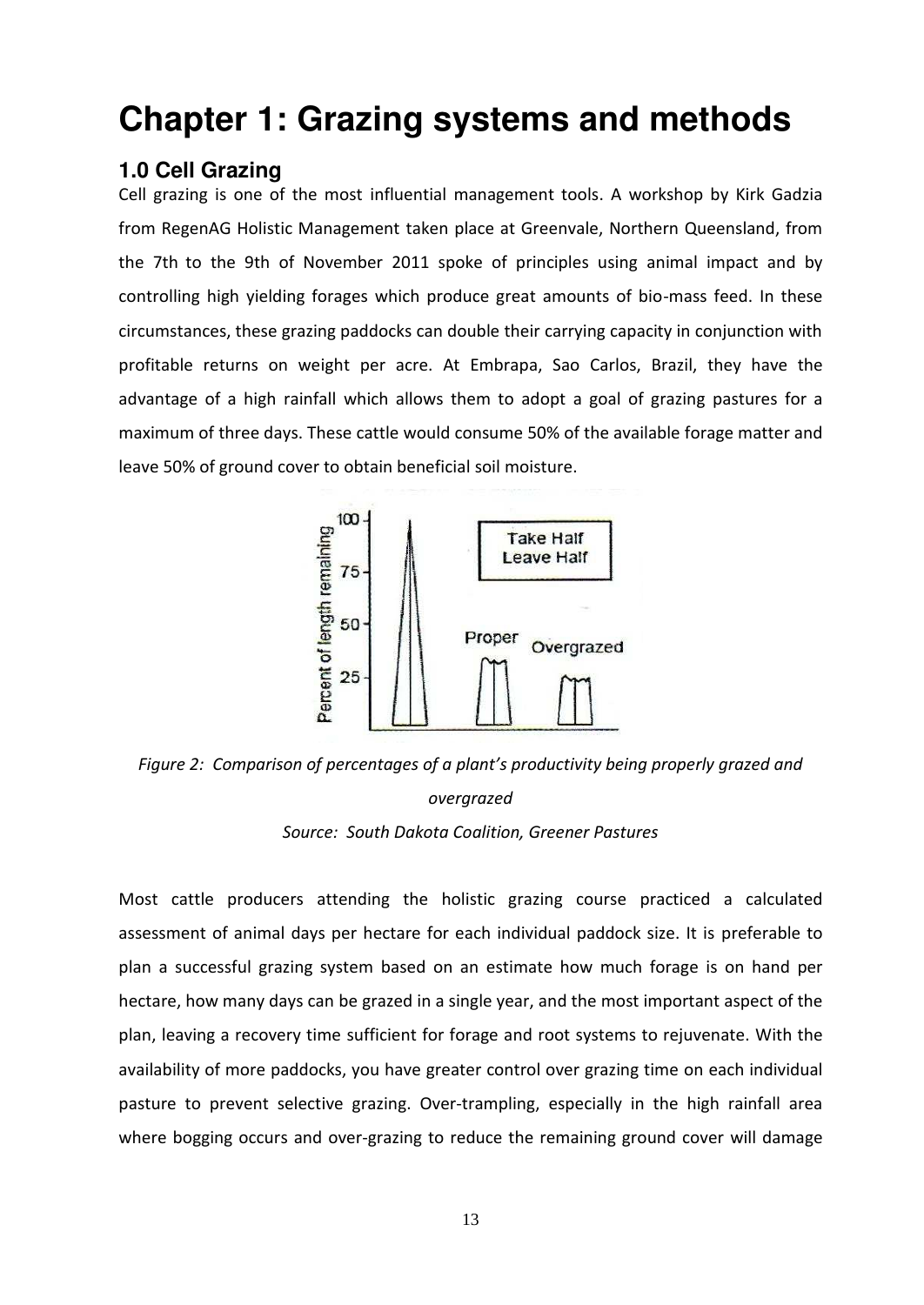## <span id="page-11-0"></span>**Chapter 1: Grazing systems and methods**

## <span id="page-11-1"></span>**1.0 Cell Grazing**

Cell grazing is one of the most influential management tools. A workshop by Kirk Gadzia from RegenAG Holistic Management taken place at Greenvale, Northern Queensland, from the 7th to the 9th of November 2011 spoke of principles using animal impact and by controlling high yielding forages which produce great amounts of bio-mass feed. In these circumstances, these grazing paddocks can double their carrying capacity in conjunction with profitable returns on weight per acre. At Embrapa, Sao Carlos, Brazil, they have the advantage of a high rainfall which allows them to adopt a goal of grazing pastures for a maximum of three days. These cattle would consume 50% of the available forage matter and leave 50% of ground cover to obtain beneficial soil moisture.



*Figure 2: Comparison of percentages of a plant's productivity being properly grazed and overgrazed Source: South Dakota Coalition, Greener Pastures* 

Most cattle producers attending the holistic grazing course practiced a calculated assessment of animal days per hectare for each individual paddock size. It is preferable to plan a successful grazing system based on an estimate how much forage is on hand per hectare, how many days can be grazed in a single year, and the most important aspect of the plan, leaving a recovery time sufficient for forage and root systems to rejuvenate. With the availability of more paddocks, you have greater control over grazing time on each individual pasture to prevent selective grazing. Over-trampling, especially in the high rainfall area where bogging occurs and over-grazing to reduce the remaining ground cover will damage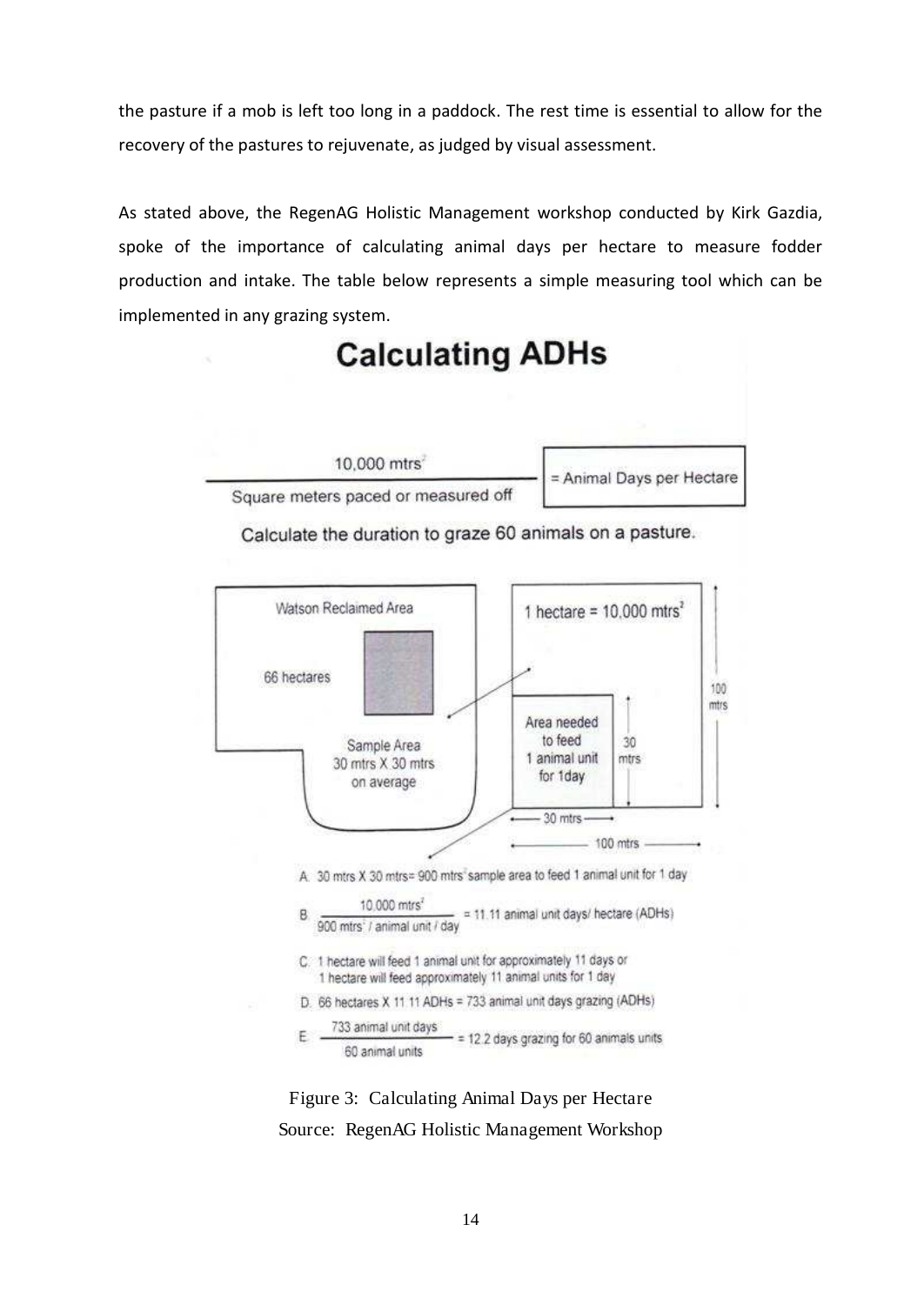the pasture if a mob is left too long in a paddock. The rest time is essential to allow for the recovery of the pastures to rejuvenate, as judged by visual assessment.

As stated above, the RegenAG Holistic Management workshop conducted by Kirk Gazdia, spoke of the importance of calculating animal days per hectare to measure fodder production and intake. The table below represents a simple measuring tool which can be implemented in any grazing system.



## **Calculating ADHs**





Figure 3: Calculating Animal Days per Hectare Source: RegenAG Holistic Management Workshop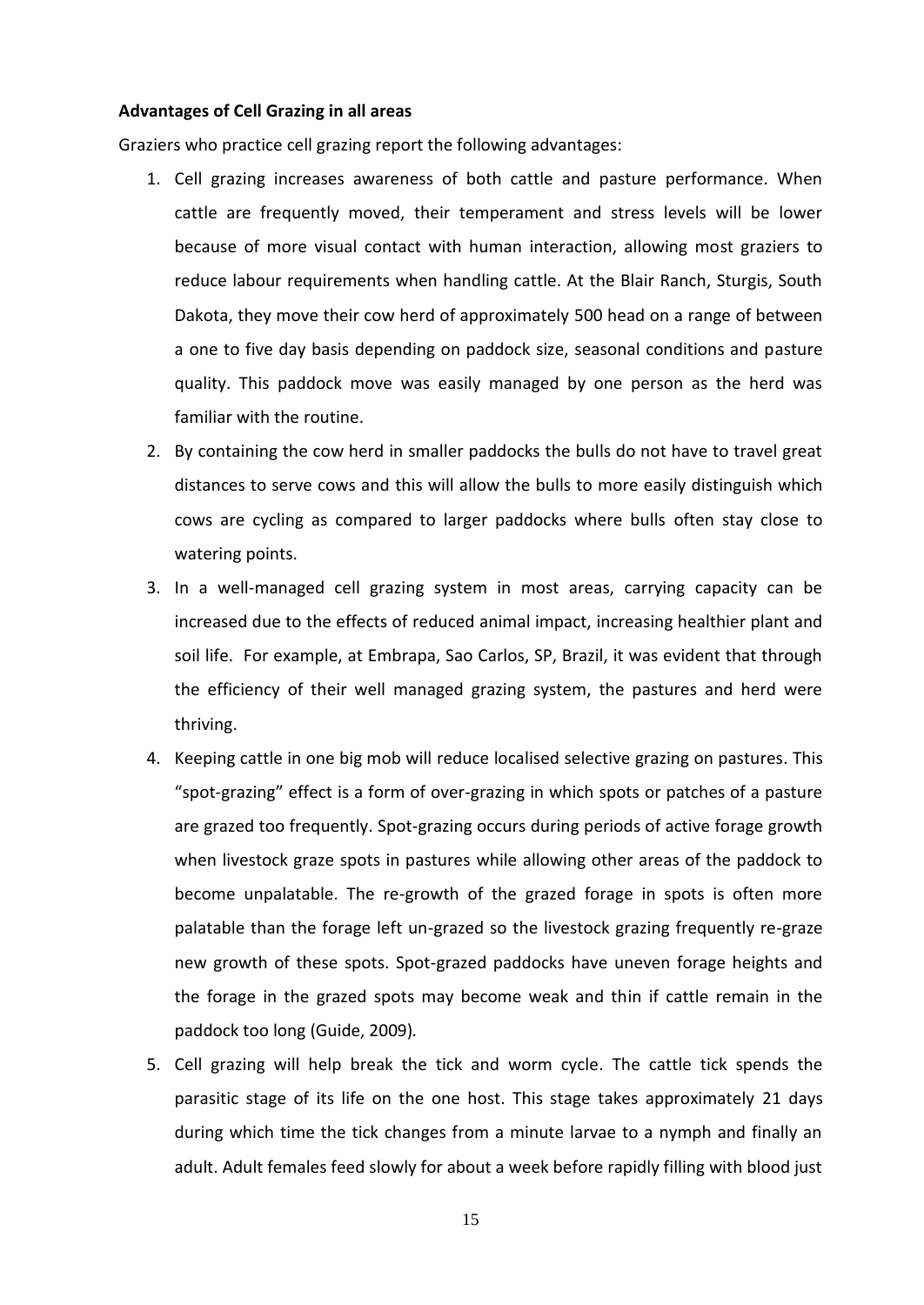#### **Advantages of Cell Grazing in all areas**

Graziers who practice cell grazing report the following advantages:

- 1. Cell grazing increases awareness of both cattle and pasture performance. When cattle are frequently moved, their temperament and stress levels will be lower because of more visual contact with human interaction, allowing most graziers to reduce labour requirements when handling cattle. At the Blair Ranch, Sturgis, South Dakota, they move their cow herd of approximately 500 head on a range of between a one to five day basis depending on paddock size, seasonal conditions and pasture quality. This paddock move was easily managed by one person as the herd was familiar with the routine.
- 2. By containing the cow herd in smaller paddocks the bulls do not have to travel great distances to serve cows and this will allow the bulls to more easily distinguish which cows are cycling as compared to larger paddocks where bulls often stay close to watering points.
- 3. In a well-managed cell grazing system in most areas, carrying capacity can be increased due to the effects of reduced animal impact, increasing healthier plant and soil life. For example, at Embrapa, Sao Carlos, SP, Brazil, it was evident that through the efficiency of their well managed grazing system, the pastures and herd were thriving.
- 4. Keeping cattle in one big mob will reduce localised selective grazing on pastures. This "spot-grazing" effect is a form of over-grazing in which spots or patches of a pasture are grazed too frequently. Spot-grazing occurs during periods of active forage growth when livestock graze spots in pastures while allowing other areas of the paddock to become unpalatable. The re-growth of the grazed forage in spots is often more palatable than the forage left un-grazed so the livestock grazing frequently re-graze new growth of these spots. Spot-grazed paddocks have uneven forage heights and the forage in the grazed spots may become weak and thin if cattle remain in the paddock too long (Guide, 2009)*.*
- 5. Cell grazing will help break the tick and worm cycle. The cattle tick spends the parasitic stage of its life on the one host. This stage takes approximately 21 days during which time the tick changes from a minute larvae to a nymph and finally an adult. Adult females feed slowly for about a week before rapidly filling with blood just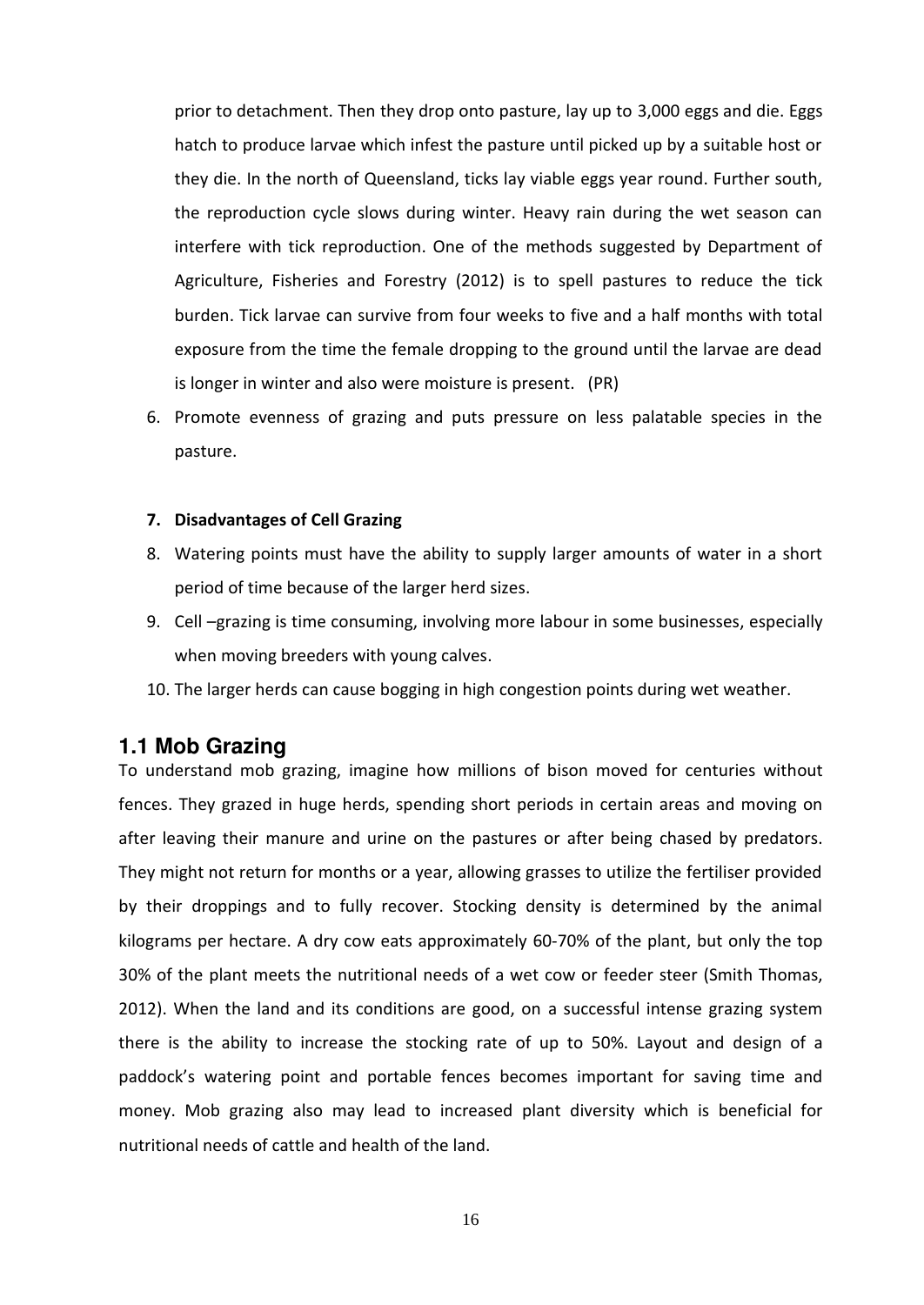prior to detachment. Then they drop onto pasture, lay up to 3,000 eggs and die. Eggs hatch to produce larvae which infest the pasture until picked up by a suitable host or they die. In the north of Queensland, ticks lay viable eggs year round. Further south, the reproduction cycle slows during winter. Heavy rain during the wet season can interfere with tick reproduction. One of the methods suggested by Department of Agriculture, Fisheries and Forestry (2012) is to spell pastures to reduce the tick burden. Tick larvae can survive from four weeks to five and a half months with total exposure from the time the female dropping to the ground until the larvae are dead is longer in winter and also were moisture is present. (PR)

6. Promote evenness of grazing and puts pressure on less palatable species in the pasture.

#### **7. Disadvantages of Cell Grazing**

- 8. Watering points must have the ability to supply larger amounts of water in a short period of time because of the larger herd sizes.
- 9. Cell –grazing is time consuming, involving more labour in some businesses, especially when moving breeders with young calves.
- 10. The larger herds can cause bogging in high congestion points during wet weather.

## <span id="page-14-0"></span>**1.1 Mob Grazing**

To understand mob grazing, imagine how millions of bison moved for centuries without fences. They grazed in huge herds, spending short periods in certain areas and moving on after leaving their manure and urine on the pastures or after being chased by predators. They might not return for months or a year, allowing grasses to utilize the fertiliser provided by their droppings and to fully recover. Stocking density is determined by the animal kilograms per hectare. A dry cow eats approximately 60-70% of the plant, but only the top 30% of the plant meets the nutritional needs of a wet cow or feeder steer (Smith Thomas, 2012). When the land and its conditions are good, on a successful intense grazing system there is the ability to increase the stocking rate of up to 50%. Layout and design of a paddock's watering point and portable fences becomes important for saving time and money. Mob grazing also may lead to increased plant diversity which is beneficial for nutritional needs of cattle and health of the land.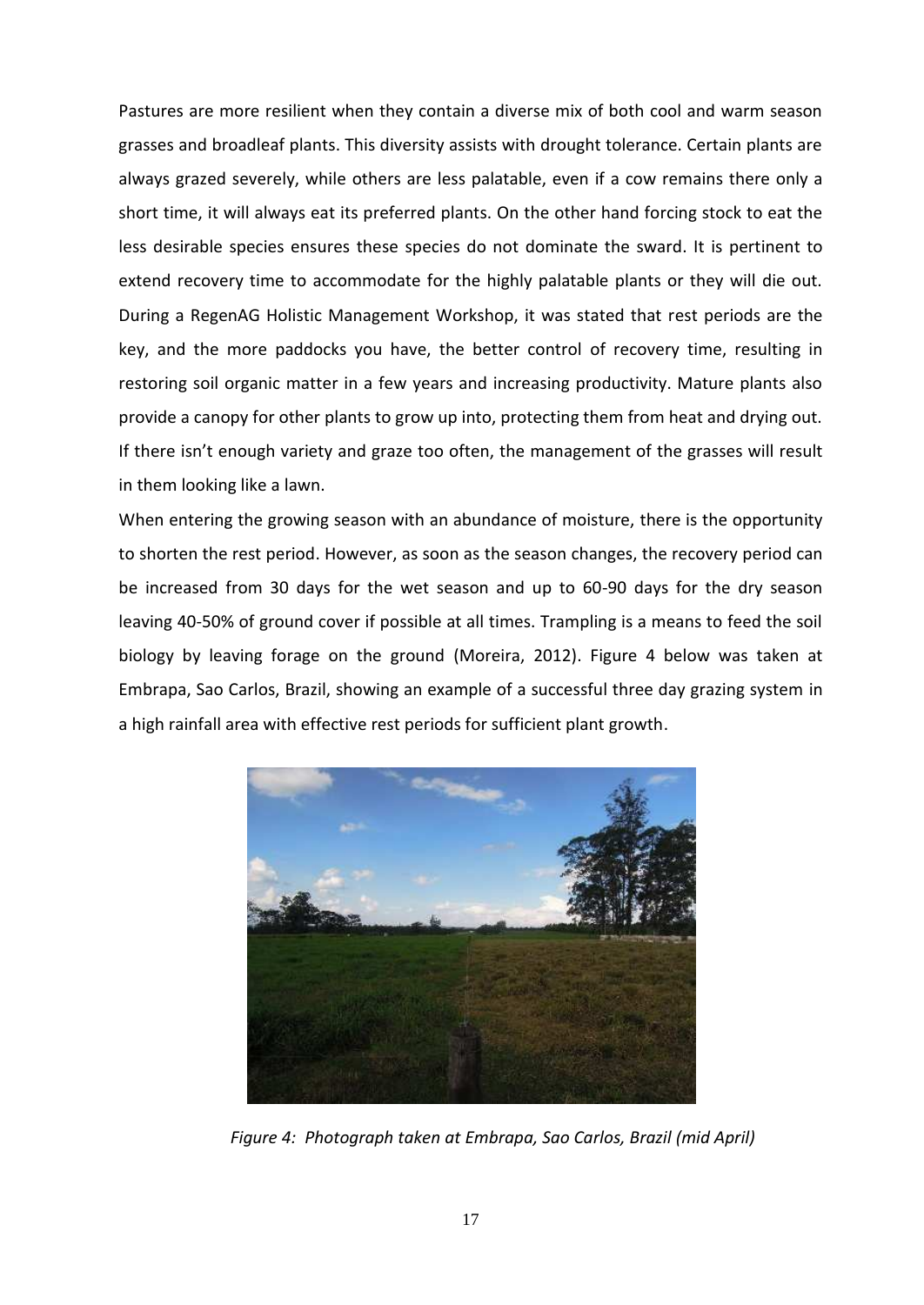Pastures are more resilient when they contain a diverse mix of both cool and warm season grasses and broadleaf plants. This diversity assists with drought tolerance. Certain plants are always grazed severely, while others are less palatable, even if a cow remains there only a short time, it will always eat its preferred plants. On the other hand forcing stock to eat the less desirable species ensures these species do not dominate the sward. It is pertinent to extend recovery time to accommodate for the highly palatable plants or they will die out. During a RegenAG Holistic Management Workshop, it was stated that rest periods are the key, and the more paddocks you have, the better control of recovery time, resulting in restoring soil organic matter in a few years and increasing productivity. Mature plants also provide a canopy for other plants to grow up into, protecting them from heat and drying out. If there isn't enough variety and graze too often, the management of the grasses will result in them looking like a lawn.

When entering the growing season with an abundance of moisture, there is the opportunity to shorten the rest period. However, as soon as the season changes, the recovery period can be increased from 30 days for the wet season and up to 60-90 days for the dry season leaving 40-50% of ground cover if possible at all times. Trampling is a means to feed the soil biology by leaving forage on the ground (Moreira, 2012). Figure 4 below was taken at Embrapa, Sao Carlos, Brazil, showing an example of a successful three day grazing system in a high rainfall area with effective rest periods for sufficient plant growth.



*Figure 4: Photograph taken at Embrapa, Sao Carlos, Brazil (mid April)*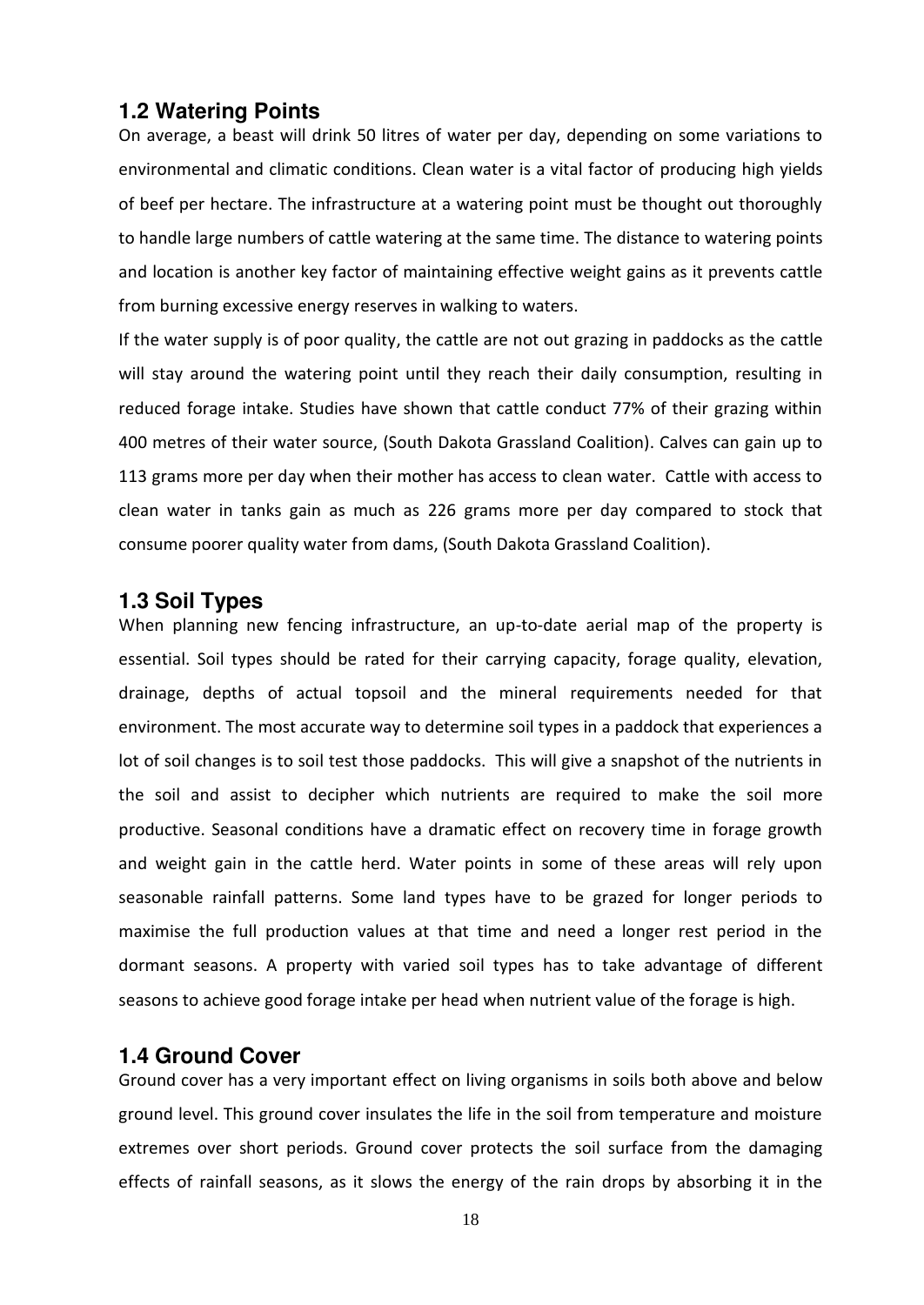## <span id="page-16-0"></span>**1.2 Watering Points**

On average, a beast will drink 50 litres of water per day, depending on some variations to environmental and climatic conditions. Clean water is a vital factor of producing high yields of beef per hectare. The infrastructure at a watering point must be thought out thoroughly to handle large numbers of cattle watering at the same time. The distance to watering points and location is another key factor of maintaining effective weight gains as it prevents cattle from burning excessive energy reserves in walking to waters.

If the water supply is of poor quality, the cattle are not out grazing in paddocks as the cattle will stay around the watering point until they reach their daily consumption, resulting in reduced forage intake. Studies have shown that cattle conduct 77% of their grazing within 400 metres of their water source, (South Dakota Grassland Coalition). Calves can gain up to 113 grams more per day when their mother has access to clean water. Cattle with access to clean water in tanks gain as much as 226 grams more per day compared to stock that consume poorer quality water from dams, (South Dakota Grassland Coalition).

## <span id="page-16-1"></span>**1.3 Soil Types**

When planning new fencing infrastructure, an up-to-date aerial map of the property is essential. Soil types should be rated for their carrying capacity, forage quality, elevation, drainage, depths of actual topsoil and the mineral requirements needed for that environment. The most accurate way to determine soil types in a paddock that experiences a lot of soil changes is to soil test those paddocks. This will give a snapshot of the nutrients in the soil and assist to decipher which nutrients are required to make the soil more productive. Seasonal conditions have a dramatic effect on recovery time in forage growth and weight gain in the cattle herd. Water points in some of these areas will rely upon seasonable rainfall patterns. Some land types have to be grazed for longer periods to maximise the full production values at that time and need a longer rest period in the dormant seasons. A property with varied soil types has to take advantage of different seasons to achieve good forage intake per head when nutrient value of the forage is high.

## <span id="page-16-2"></span>**1.4 Ground Cover**

Ground cover has a very important effect on living organisms in soils both above and below ground level. This ground cover insulates the life in the soil from temperature and moisture extremes over short periods. Ground cover protects the soil surface from the damaging effects of rainfall seasons, as it slows the energy of the rain drops by absorbing it in the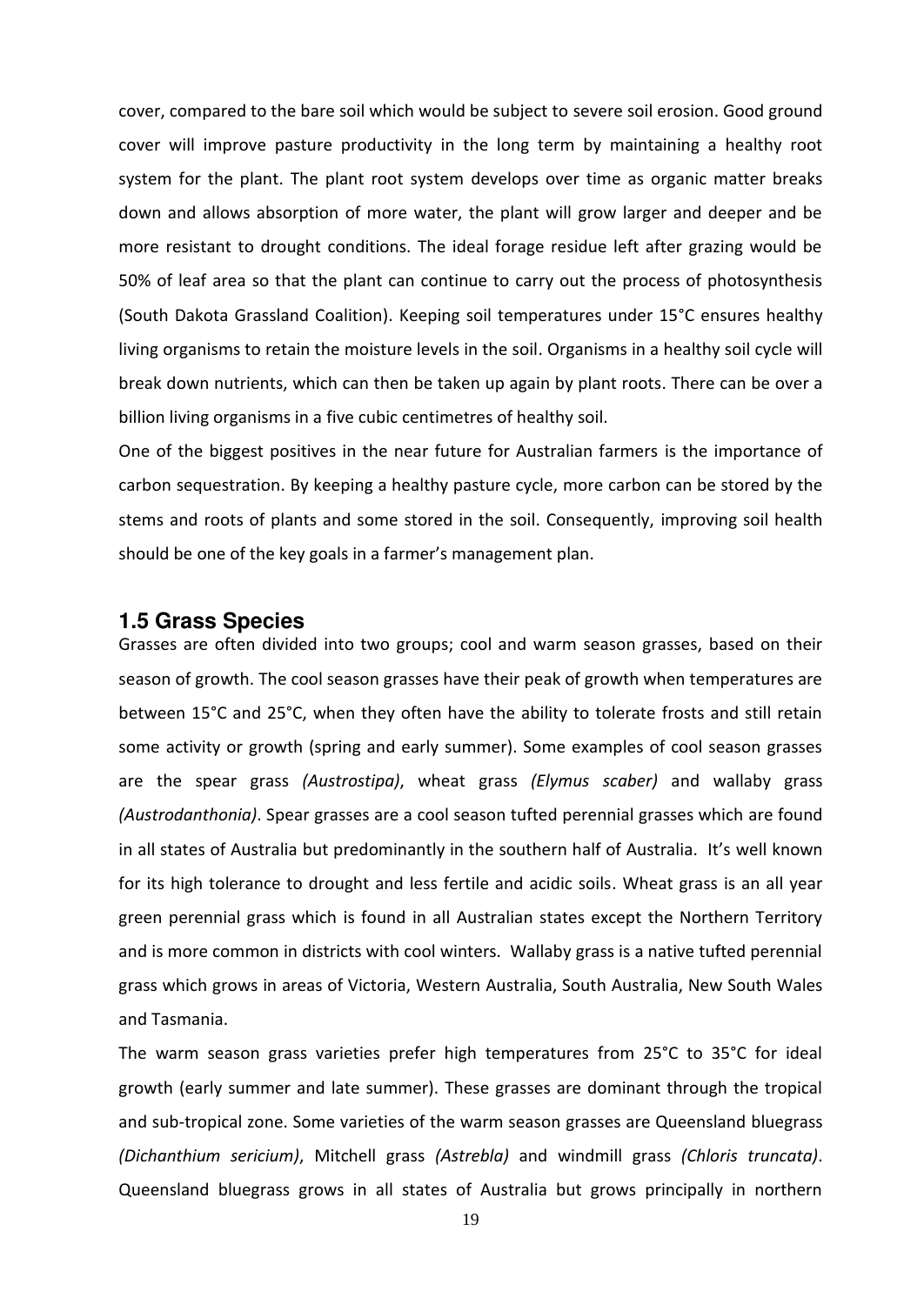cover, compared to the bare soil which would be subject to severe soil erosion. Good ground cover will improve pasture productivity in the long term by maintaining a healthy root system for the plant. The plant root system develops over time as organic matter breaks down and allows absorption of more water, the plant will grow larger and deeper and be more resistant to drought conditions. The ideal forage residue left after grazing would be 50% of leaf area so that the plant can continue to carry out the process of photosynthesis (South Dakota Grassland Coalition). Keeping soil temperatures under 15°C ensures healthy living organisms to retain the moisture levels in the soil. Organisms in a healthy soil cycle will break down nutrients, which can then be taken up again by plant roots. There can be over a billion living organisms in a five cubic centimetres of healthy soil.

One of the biggest positives in the near future for Australian farmers is the importance of carbon sequestration. By keeping a healthy pasture cycle, more carbon can be stored by the stems and roots of plants and some stored in the soil. Consequently, improving soil health should be one of the key goals in a farmer's management plan.

### <span id="page-17-0"></span>**1.5 Grass Species**

Grasses are often divided into two groups; cool and warm season grasses, based on their season of growth. The cool season grasses have their peak of growth when temperatures are between 15°C and 25°C, when they often have the ability to tolerate frosts and still retain some activity or growth (spring and early summer). Some examples of cool season grasses are the spear grass *(Austrostipa)*, wheat grass *(Elymus scaber)* and wallaby grass *(Austrodanthonia)*. Spear grasses are a cool season tufted perennial grasses which are found in all states of Australia but predominantly in the southern half of Australia. It's well known for its high tolerance to drought and less fertile and acidic soils. Wheat grass is an all year green perennial grass which is found in all Australian states except the Northern Territory and is more common in districts with cool winters. Wallaby grass is a native tufted perennial grass which grows in areas of Victoria, Western Australia, South Australia, New South Wales and Tasmania.

The warm season grass varieties prefer high temperatures from 25°C to 35°C for ideal growth (early summer and late summer). These grasses are dominant through the tropical and sub-tropical zone. Some varieties of the warm season grasses are Queensland bluegrass *(Dichanthium sericium)*, Mitchell grass *(Astrebla)* and windmill grass *(Chloris truncata)*. Queensland bluegrass grows in all states of Australia but grows principally in northern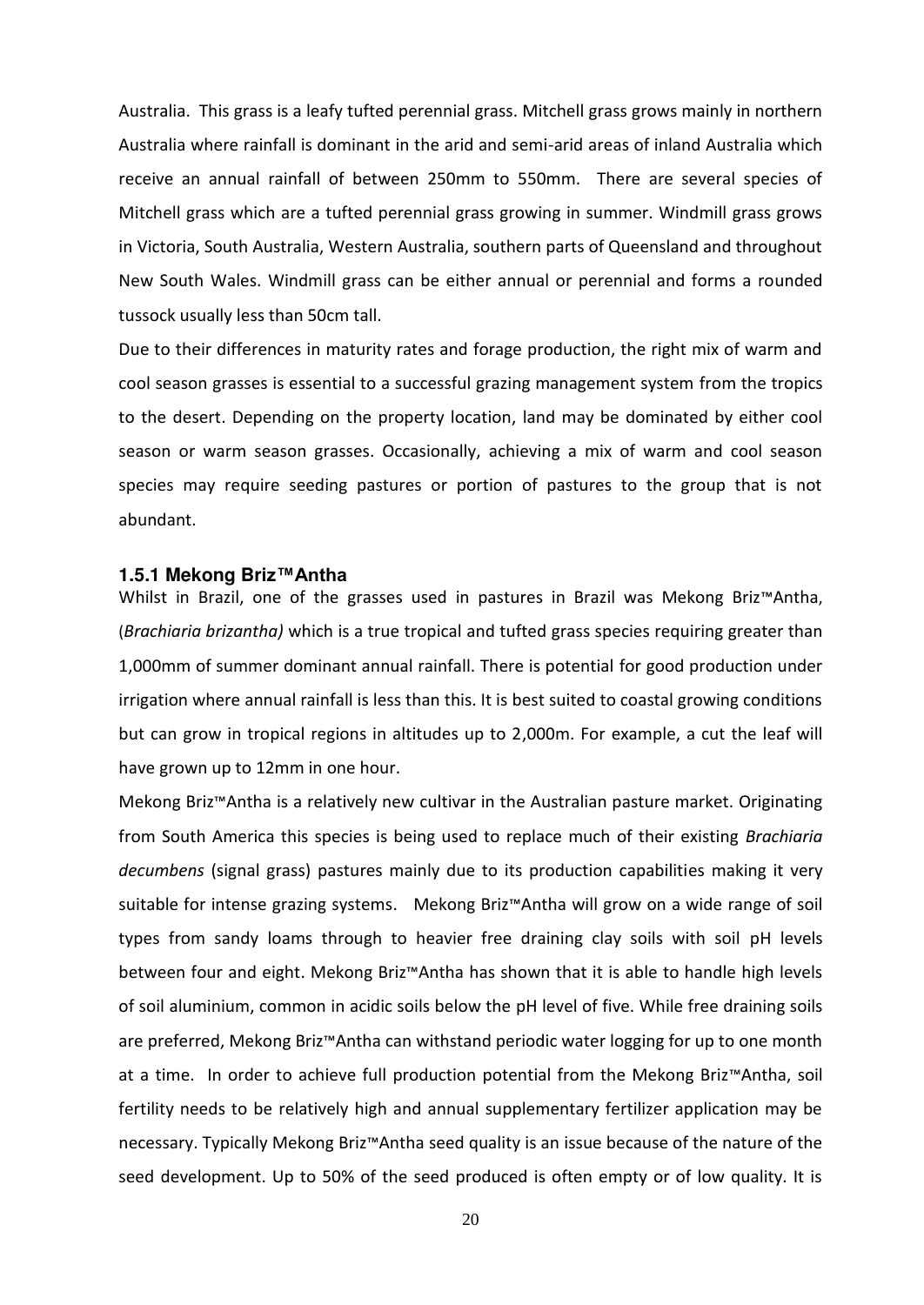Australia. This grass is a leafy tufted perennial grass. Mitchell grass grows mainly in northern Australia where rainfall is dominant in the arid and semi-arid areas of inland Australia which receive an annual rainfall of between 250mm to 550mm. There are several species of Mitchell grass which are a tufted perennial grass growing in summer. Windmill grass grows in Victoria, South Australia, Western Australia, southern parts of Queensland and throughout New South Wales. Windmill grass can be either annual or perennial and forms a rounded tussock usually less than 50cm tall.

Due to their differences in maturity rates and forage production, the right mix of warm and cool season grasses is essential to a successful grazing management system from the tropics to the desert. Depending on the property location, land may be dominated by either cool season or warm season grasses. Occasionally, achieving a mix of warm and cool season species may require seeding pastures or portion of pastures to the group that is not abundant.

#### <span id="page-18-0"></span>**1.5.1 Mekong Briz™Antha**

Whilst in Brazil, one of the grasses used in pastures in Brazil was Mekong Briz™Antha, (*Brachiaria brizantha)* which is a true tropical and tufted grass species requiring greater than 1,000mm of summer dominant annual rainfall. There is potential for good production under irrigation where annual rainfall is less than this. It is best suited to coastal growing conditions but can grow in tropical regions in altitudes up to 2,000m. For example, a cut the leaf will have grown up to 12mm in one hour.

Mekong Briz<sup>™</sup>Antha is a relatively new cultivar in the Australian pasture market. Originating from South America this species is being used to replace much of their existing *Brachiaria decumbens* (signal grass) pastures mainly due to its production capabilities making it very suitable for intense grazing systems. Mekong Briz™Antha will grow on a wide range of soil types from sandy loams through to heavier free draining clay soils with soil pH levels between four and eight. Mekong Briz™Antha has shown that it is able to handle high levels of soil aluminium, common in acidic soils below the pH level of five. While free draining soils are preferred, Mekong Briz<sup>™</sup>Antha can withstand periodic water logging for up to one month at a time. In order to achieve full production potential from the Mekong Briz™Antha, soil fertility needs to be relatively high and annual supplementary fertilizer application may be necessary. Typically Mekong Briz™Antha seed quality is an issue because of the nature of the seed development. Up to 50% of the seed produced is often empty or of low quality. It is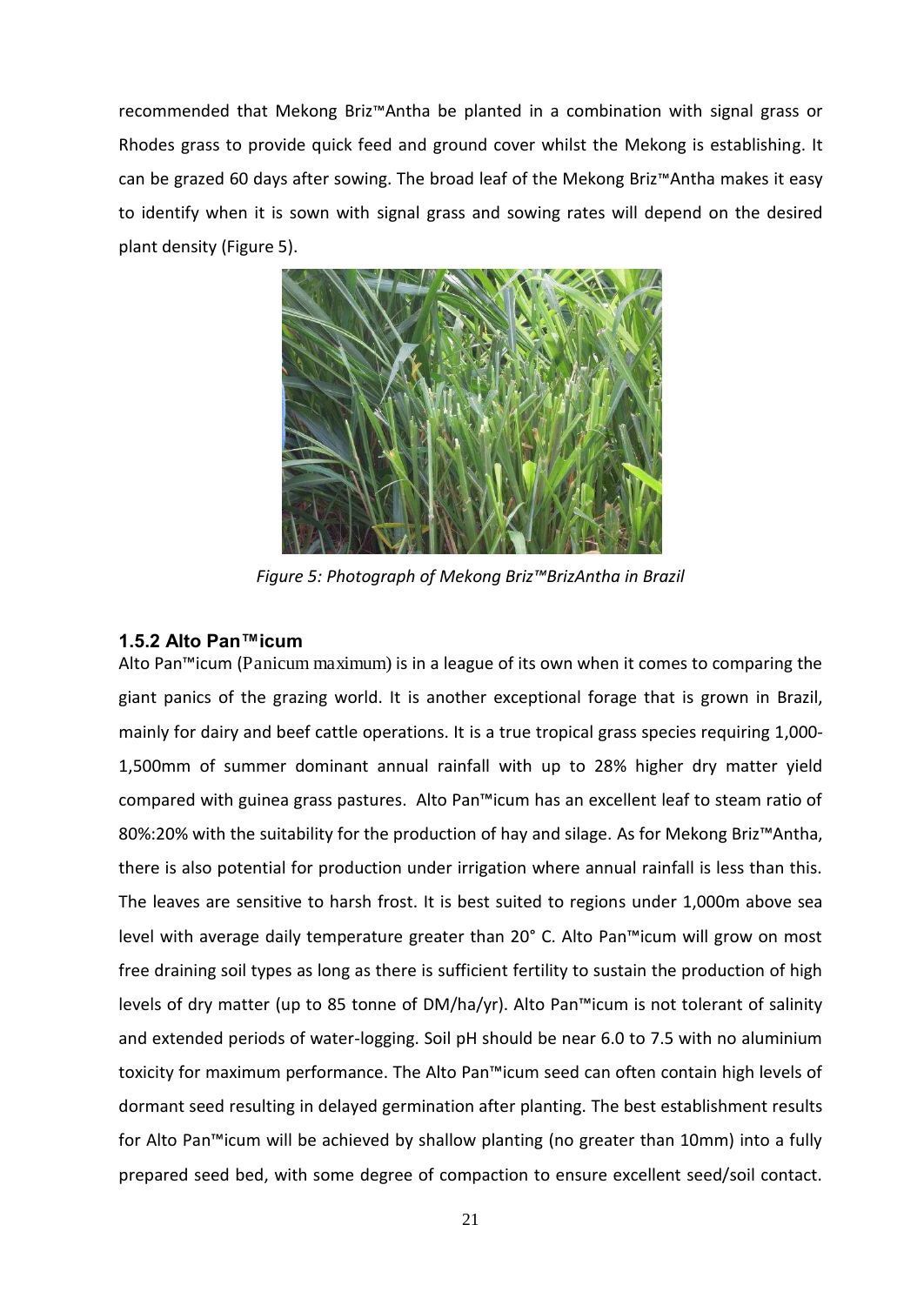recommended that Mekong Briz<sup>™</sup>Antha be planted in a combination with signal grass or Rhodes grass to provide quick feed and ground cover whilst the Mekong is establishing. It can be grazed 60 days after sowing. The broad leaf of the Mekong Briz $M$ ntha makes it easy to identify when it is sown with signal grass and sowing rates will depend on the desired plant density (Figure 5).



*Figure 5: Photograph of Mekong Briz™BrizAntha in Brazil* 

## <span id="page-19-0"></span>**1.5.2 Alto Pan™icum**

Alto Pan<sup>™</sup>icum (Panicum maximum) is in a league of its own when it comes to comparing the giant panics of the grazing world. It is another exceptional forage that is grown in Brazil, mainly for dairy and beef cattle operations. It is a true tropical grass species requiring 1,000- 1,500mm of summer dominant annual rainfall with up to 28% higher dry matter yield compared with guinea grass pastures. Alto Pan™icum has an excellent leaf to steam ratio of 80%:20% with the suitability for the production of hay and silage. As for Mekong Briz™Antha, there is also potential for production under irrigation where annual rainfall is less than this. The leaves are sensitive to harsh frost. It is best suited to regions under 1,000m above sea level with average daily temperature greater than 20° C. Alto Pan™icum will grow on most free draining soil types as long as there is sufficient fertility to sustain the production of high levels of dry matter (up to 85 tonne of DM/ha/yr). Alto Pan<sup>-M</sup>icum is not tolerant of salinity and extended periods of water-logging. Soil pH should be near 6.0 to 7.5 with no aluminium toxicity for maximum performance. The Alto Pan™icum seed can often contain high levels of dormant seed resulting in delayed germination after planting. The best establishment results for Alto Pan™icum will be achieved by shallow planting (no greater than 10mm) into a fully prepared seed bed, with some degree of compaction to ensure excellent seed/soil contact.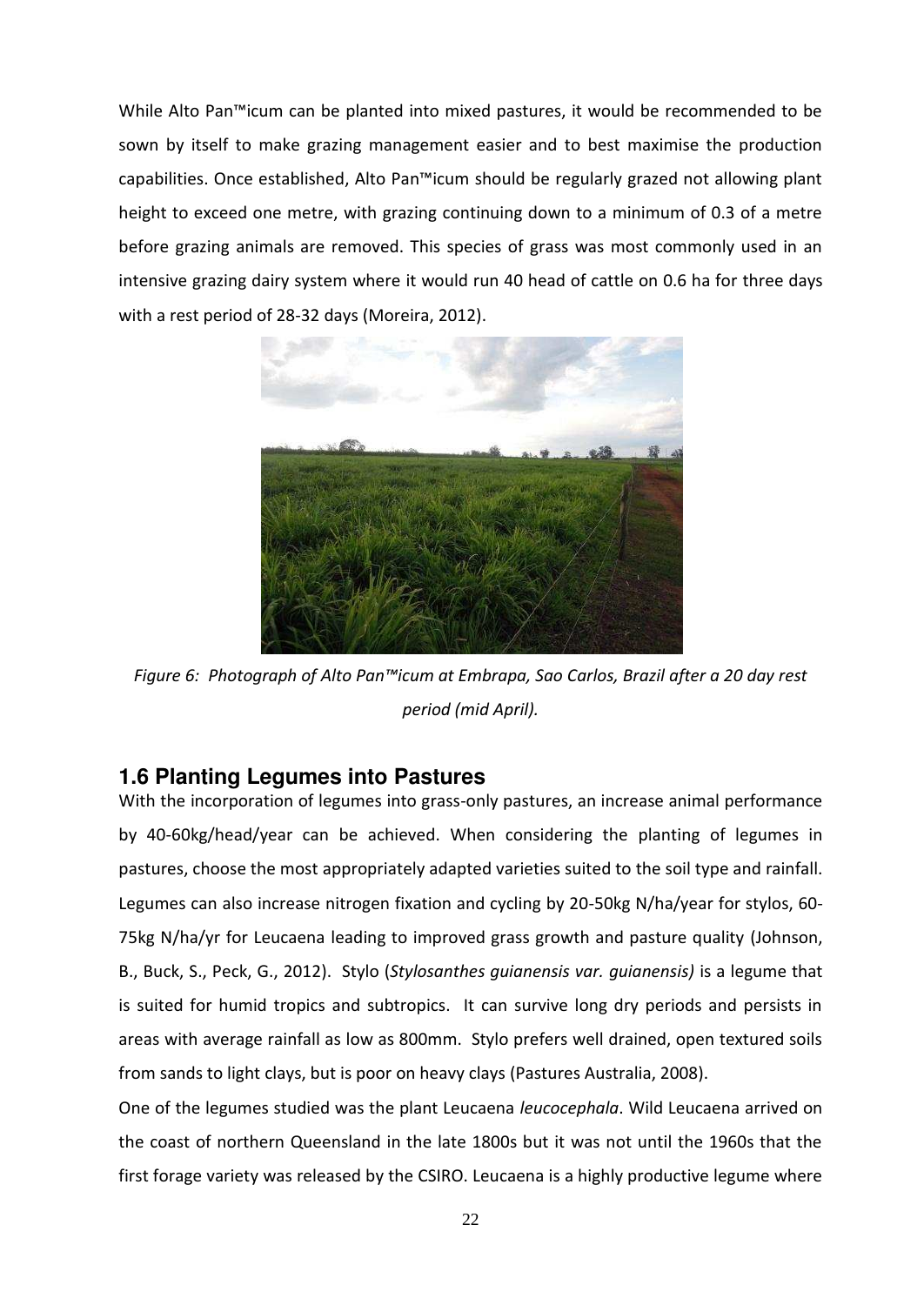While Alto Pan<sup>™</sup>icum can be planted into mixed pastures, it would be recommended to be sown by itself to make grazing management easier and to best maximise the production capabilities. Once established, Alto Pan™icum should be regularly grazed not allowing plant height to exceed one metre, with grazing continuing down to a minimum of 0.3 of a metre before grazing animals are removed. This species of grass was most commonly used in an intensive grazing dairy system where it would run 40 head of cattle on 0.6 ha for three days with a rest period of 28-32 days (Moreira, 2012).



*Figure 6: Photograph of Alto Pan™icum at Embrapa, Sao Carlos, Brazil after a 20 day rest period (mid April).* 

## <span id="page-20-0"></span>**1.6 Planting Legumes into Pastures**

With the incorporation of legumes into grass-only pastures, an increase animal performance by 40-60kg/head/year can be achieved. When considering the planting of legumes in pastures, choose the most appropriately adapted varieties suited to the soil type and rainfall. Legumes can also increase nitrogen fixation and cycling by 20-50kg N/ha/year for stylos, 60- 75kg N/ha/yr for Leucaena leading to improved grass growth and pasture quality (Johnson, B., Buck, S., Peck, G., 2012). Stylo (*Stylosanthes guianensis var. guianensis)* is a legume that is suited for humid tropics and subtropics. It can survive long dry periods and persists in areas with average rainfall as low as 800mm. Stylo prefers well drained, open textured soils from sands to light clays, but is poor on heavy clays (Pastures Australia, 2008).

One of the legumes studied was the plant Leucaena *leucocephala*. Wild Leucaena arrived on the coast of northern Queensland in the late 1800s but it was not until the 1960s that the first forage variety was released by the CSIRO. Leucaena is a highly productive legume where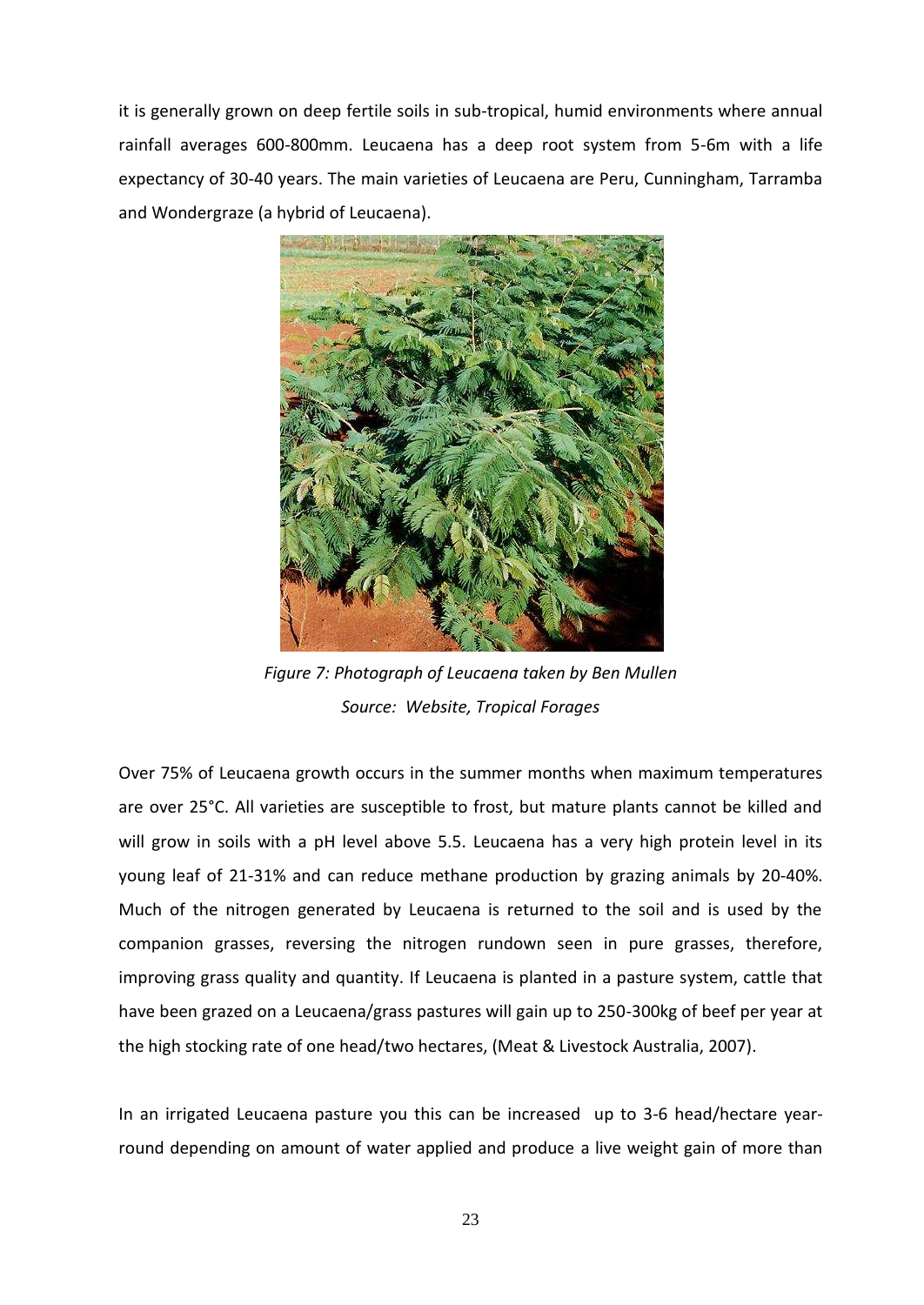it is generally grown on deep fertile soils in sub-tropical, humid environments where annual rainfall averages 600-800mm. Leucaena has a deep root system from 5-6m with a life expectancy of 30-40 years. The main varieties of Leucaena are Peru, Cunningham, Tarramba and Wondergraze (a hybrid of Leucaena).



*Figure 7: Photograph of Leucaena taken by Ben Mullen Source: Website, Tropical Forages*

Over 75% of Leucaena growth occurs in the summer months when maximum temperatures are over 25°C. All varieties are susceptible to frost, but mature plants cannot be killed and will grow in soils with a pH level above 5.5. Leucaena has a very high protein level in its young leaf of 21-31% and can reduce methane production by grazing animals by 20-40%. Much of the nitrogen generated by Leucaena is returned to the soil and is used by the companion grasses, reversing the nitrogen rundown seen in pure grasses, therefore, improving grass quality and quantity. If Leucaena is planted in a pasture system, cattle that have been grazed on a Leucaena/grass pastures will gain up to 250-300kg of beef per year at the high stocking rate of one head/two hectares, (Meat & Livestock Australia, 2007).

In an irrigated Leucaena pasture you this can be increased up to 3-6 head/hectare yearround depending on amount of water applied and produce a live weight gain of more than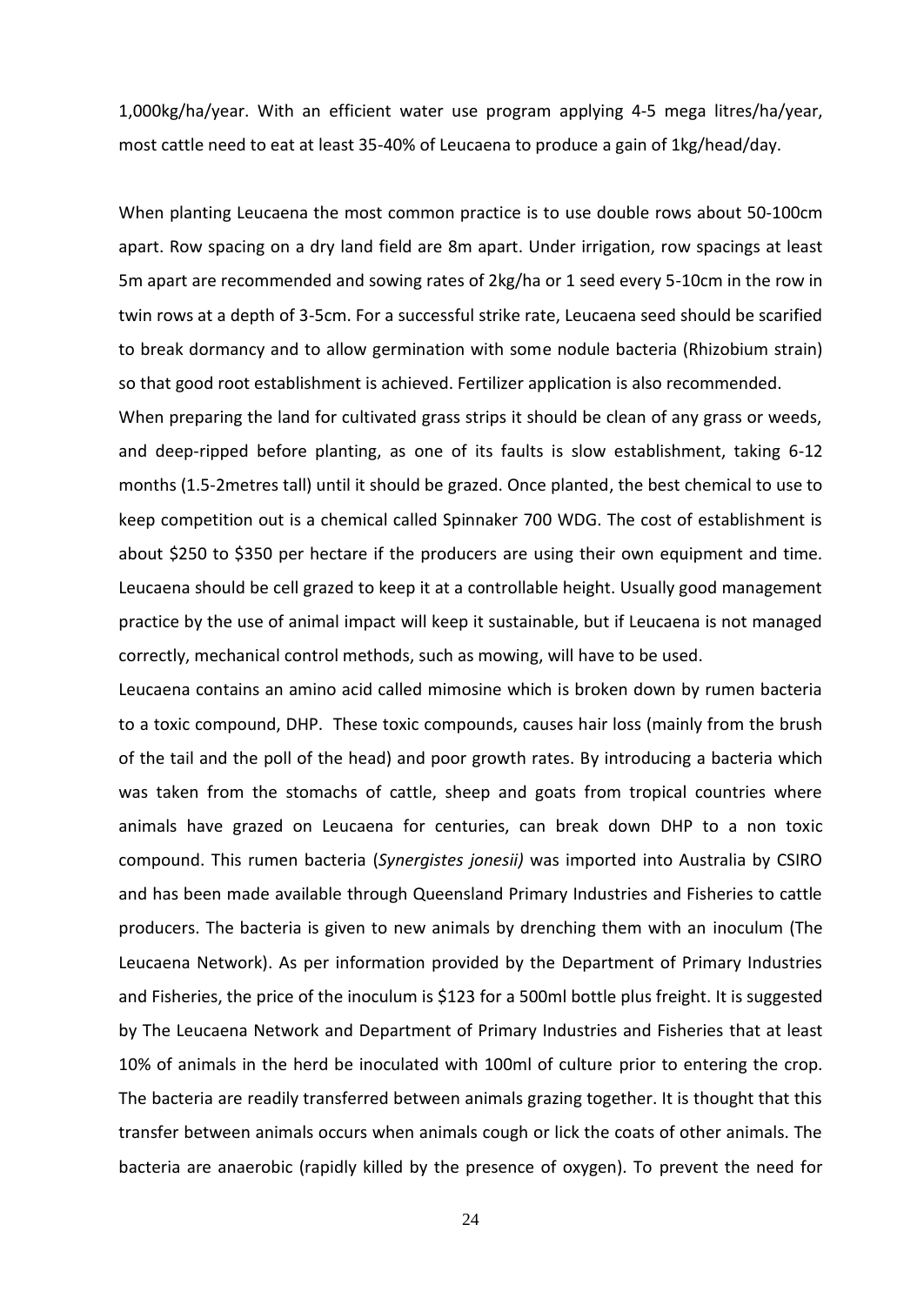1,000kg/ha/year. With an efficient water use program applying 4-5 mega litres/ha/year, most cattle need to eat at least 35-40% of Leucaena to produce a gain of 1kg/head/day.

When planting Leucaena the most common practice is to use double rows about 50-100cm apart. Row spacing on a dry land field are 8m apart. Under irrigation, row spacings at least 5m apart are recommended and sowing rates of 2kg/ha or 1 seed every 5-10cm in the row in twin rows at a depth of 3-5cm. For a successful strike rate, Leucaena seed should be scarified to break dormancy and to allow germination with some nodule bacteria (Rhizobium strain) so that good root establishment is achieved. Fertilizer application is also recommended.

When preparing the land for cultivated grass strips it should be clean of any grass or weeds, and deep-ripped before planting, as one of its faults is slow establishment, taking 6-12 months (1.5-2metres tall) until it should be grazed. Once planted, the best chemical to use to keep competition out is a chemical called Spinnaker 700 WDG. The cost of establishment is about \$250 to \$350 per hectare if the producers are using their own equipment and time. Leucaena should be cell grazed to keep it at a controllable height. Usually good management practice by the use of animal impact will keep it sustainable, but if Leucaena is not managed correctly, mechanical control methods, such as mowing, will have to be used.

Leucaena contains an amino acid called mimosine which is broken down by rumen bacteria to a toxic compound, DHP. These toxic compounds, causes hair loss (mainly from the brush of the tail and the poll of the head) and poor growth rates. By introducing a bacteria which was taken from the stomachs of cattle, sheep and goats from tropical countries where animals have grazed on Leucaena for centuries, can break down DHP to a non toxic compound. This rumen bacteria (*Synergistes jonesii)* was imported into Australia by CSIRO and has been made available through Queensland Primary Industries and Fisheries to cattle producers. The bacteria is given to new animals by drenching them with an inoculum (The Leucaena Network). As per information provided by the Department of Primary Industries and Fisheries, the price of the inoculum is \$123 for a 500ml bottle plus freight. It is suggested by The Leucaena Network and Department of Primary Industries and Fisheries that at least 10% of animals in the herd be inoculated with 100ml of culture prior to entering the crop. The bacteria are readily transferred between animals grazing together. It is thought that this transfer between animals occurs when animals cough or lick the coats of other animals. The bacteria are anaerobic (rapidly killed by the presence of oxygen). To prevent the need for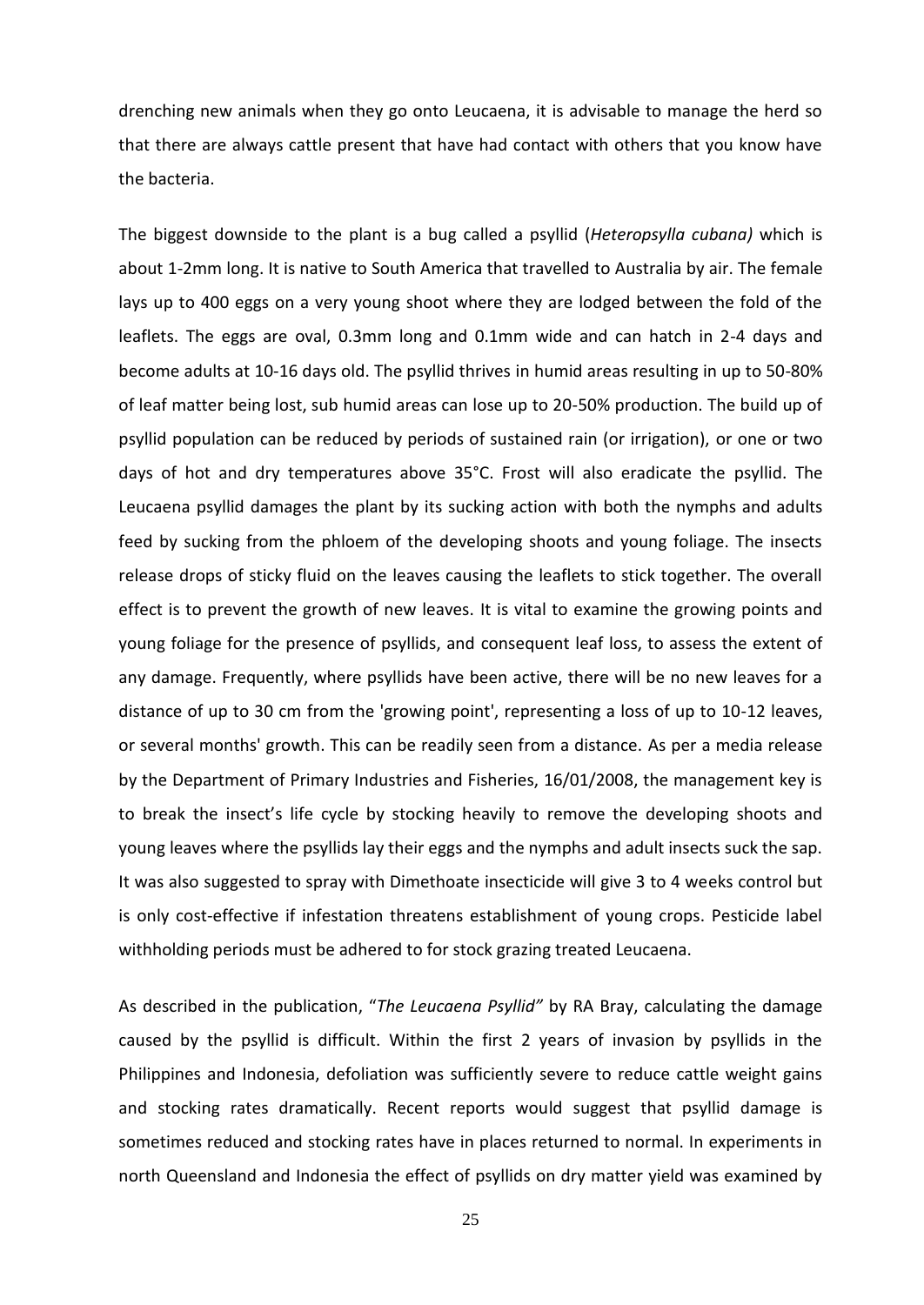drenching new animals when they go onto Leucaena, it is advisable to manage the herd so that there are always cattle present that have had contact with others that you know have the bacteria.

The biggest downside to the plant is a bug called a psyllid (*Heteropsylla cubana)* which is about 1-2mm long. It is native to South America that travelled to Australia by air. The female lays up to 400 eggs on a very young shoot where they are lodged between the fold of the leaflets. The eggs are oval, 0.3mm long and 0.1mm wide and can hatch in 2-4 days and become adults at 10-16 days old. The psyllid thrives in humid areas resulting in up to 50-80% of leaf matter being lost, sub humid areas can lose up to 20-50% production. The build up of psyllid population can be reduced by periods of sustained rain (or irrigation), or one or two days of hot and dry temperatures above 35°C. Frost will also eradicate the psyllid. The Leucaena psyllid damages the plant by its sucking action with both the nymphs and adults feed by sucking from the phloem of the developing shoots and young foliage. The insects release drops of sticky fluid on the leaves causing the leaflets to stick together. The overall effect is to prevent the growth of new leaves. It is vital to examine the growing points and young foliage for the presence of psyllids, and consequent leaf loss, to assess the extent of any damage. Frequently, where psyllids have been active, there will be no new leaves for a distance of up to 30 cm from the 'growing point', representing a loss of up to 10-12 leaves, or several months' growth. This can be readily seen from a distance. As per a media release by the Department of Primary Industries and Fisheries, 16/01/2008, the management key is to break the insect's life cycle by stocking heavily to remove the developing shoots and young leaves where the psyllids lay their eggs and the nymphs and adult insects suck the sap. It was also suggested to spray with Dimethoate insecticide will give 3 to 4 weeks control but is only cost-effective if infestation threatens establishment of young crops. Pesticide label withholding periods must be adhered to for stock grazing treated Leucaena.

As described in the publication, "The Leucaena Psyllid" by RA Bray, calculating the damage caused by the psyllid is difficult. Within the first 2 years of invasion by psyllids in the Philippines and Indonesia, defoliation was sufficiently severe to reduce cattle weight gains and stocking rates dramatically. Recent reports would suggest that psyllid damage is sometimes reduced and stocking rates have in places returned to normal. In experiments in north Queensland and Indonesia the effect of psyllids on dry matter yield was examined by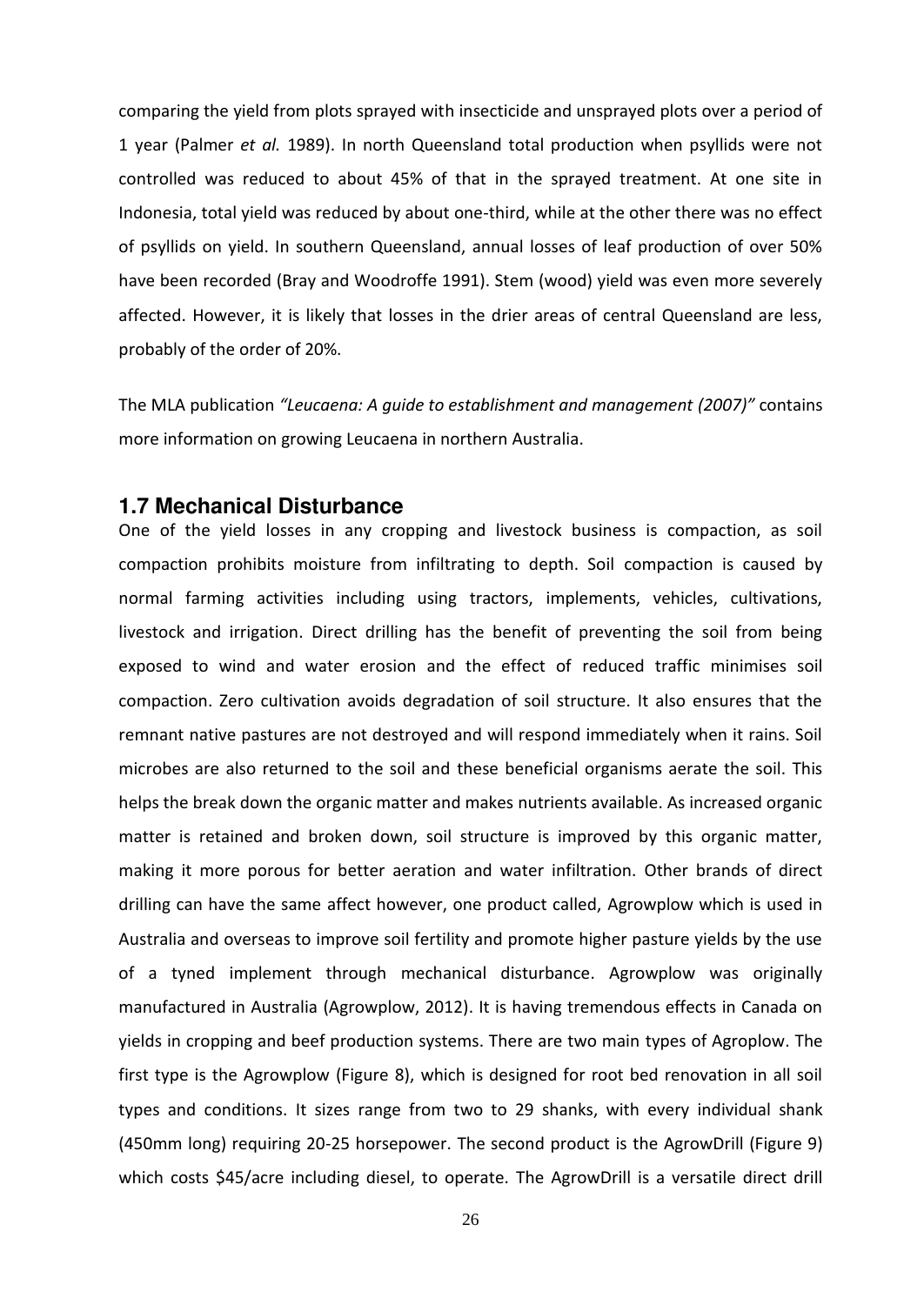comparing the yield from plots sprayed with insecticide and unsprayed plots over a period of 1 year (Palmer *et al.* 1989). In north Queensland total production when psyllids were not controlled was reduced to about 45% of that in the sprayed treatment. At one site in Indonesia, total yield was reduced by about one-third, while at the other there was no effect of psyllids on yield. In southern Queensland, annual losses of leaf production of over 50% have been recorded (Bray and Woodroffe 1991). Stem (wood) yield was even more severely affected. However, it is likely that losses in the drier areas of central Queensland are less, probably of the order of 20%.

The MLA publication "Leucaena: A guide to establishment and management (2007)" contains more information on growing Leucaena in northern Australia.

### <span id="page-24-0"></span>**1.7 Mechanical Disturbance**

One of the yield losses in any cropping and livestock business is compaction, as soil compaction prohibits moisture from infiltrating to depth. Soil compaction is caused by normal farming activities including using tractors, implements, vehicles, cultivations, livestock and irrigation. Direct drilling has the benefit of preventing the soil from being exposed to wind and water erosion and the effect of reduced traffic minimises soil compaction. Zero cultivation avoids degradation of soil structure. It also ensures that the remnant native pastures are not destroyed and will respond immediately when it rains. Soil microbes are also returned to the soil and these beneficial organisms aerate the soil. This helps the break down the organic matter and makes nutrients available. As increased organic matter is retained and broken down, soil structure is improved by this organic matter, making it more porous for better aeration and water infiltration. Other brands of direct drilling can have the same affect however, one product called, Agrowplow which is used in Australia and overseas to improve soil fertility and promote higher pasture yields by the use of a tyned implement through mechanical disturbance. Agrowplow was originally manufactured in Australia (Agrowplow, 2012). It is having tremendous effects in Canada on yields in cropping and beef production systems. There are two main types of Agroplow. The first type is the Agrowplow (Figure 8), which is designed for root bed renovation in all soil types and conditions. It sizes range from two to 29 shanks, with every individual shank (450mm long) requiring 20-25 horsepower. The second product is the AgrowDrill (Figure 9) which costs \$45/acre including diesel, to operate. The AgrowDrill is a versatile direct drill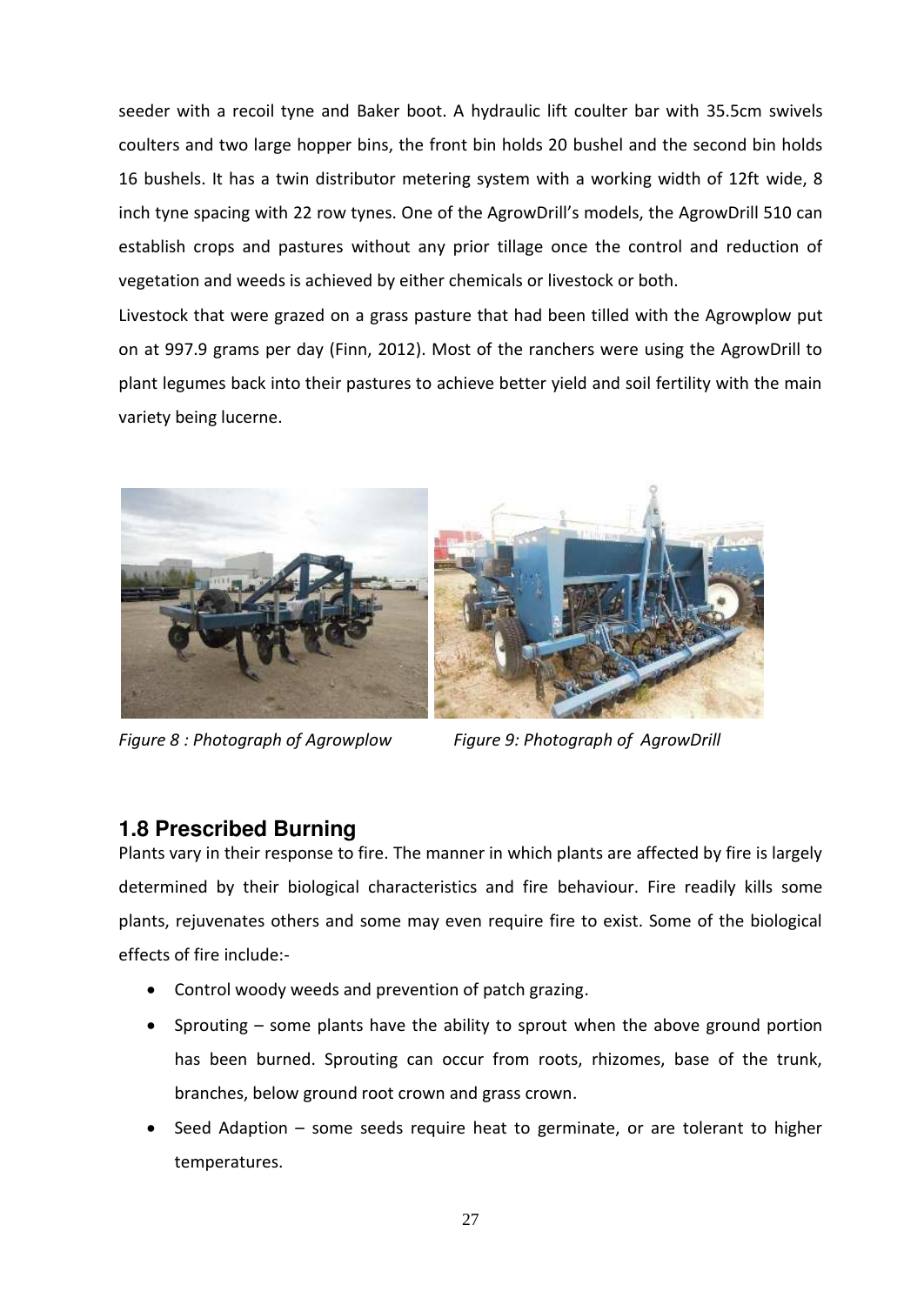seeder with a recoil tyne and Baker boot. A hydraulic lift coulter bar with 35.5cm swivels coulters and two large hopper bins, the front bin holds 20 bushel and the second bin holds 16 bushels. It has a twin distributor metering system with a working width of 12ft wide, 8 inch tyne spacing with 22 row tynes. One of the AgrowDrill's models, the AgrowDrill 510 can establish crops and pastures without any prior tillage once the control and reduction of vegetation and weeds is achieved by either chemicals or livestock or both.

Livestock that were grazed on a grass pasture that had been tilled with the Agrowplow put on at 997.9 grams per day (Finn, 2012). Most of the ranchers were using the AgrowDrill to plant legumes back into their pastures to achieve better yield and soil fertility with the main variety being lucerne.



*Figure 8 : Photograph of Agrowplow Figure 9: Photograph of AgrowDrill* 

## <span id="page-25-0"></span>**1.8 Prescribed Burning**

Plants vary in their response to fire. The manner in which plants are affected by fire is largely determined by their biological characteristics and fire behaviour. Fire readily kills some plants, rejuvenates others and some may even require fire to exist. Some of the biological effects of fire include:-

- Control woody weeds and prevention of patch grazing.
- Sprouting some plants have the ability to sprout when the above ground portion has been burned. Sprouting can occur from roots, rhizomes, base of the trunk, branches, below ground root crown and grass crown.
- Seed Adaption  $-$  some seeds require heat to germinate, or are tolerant to higher temperatures.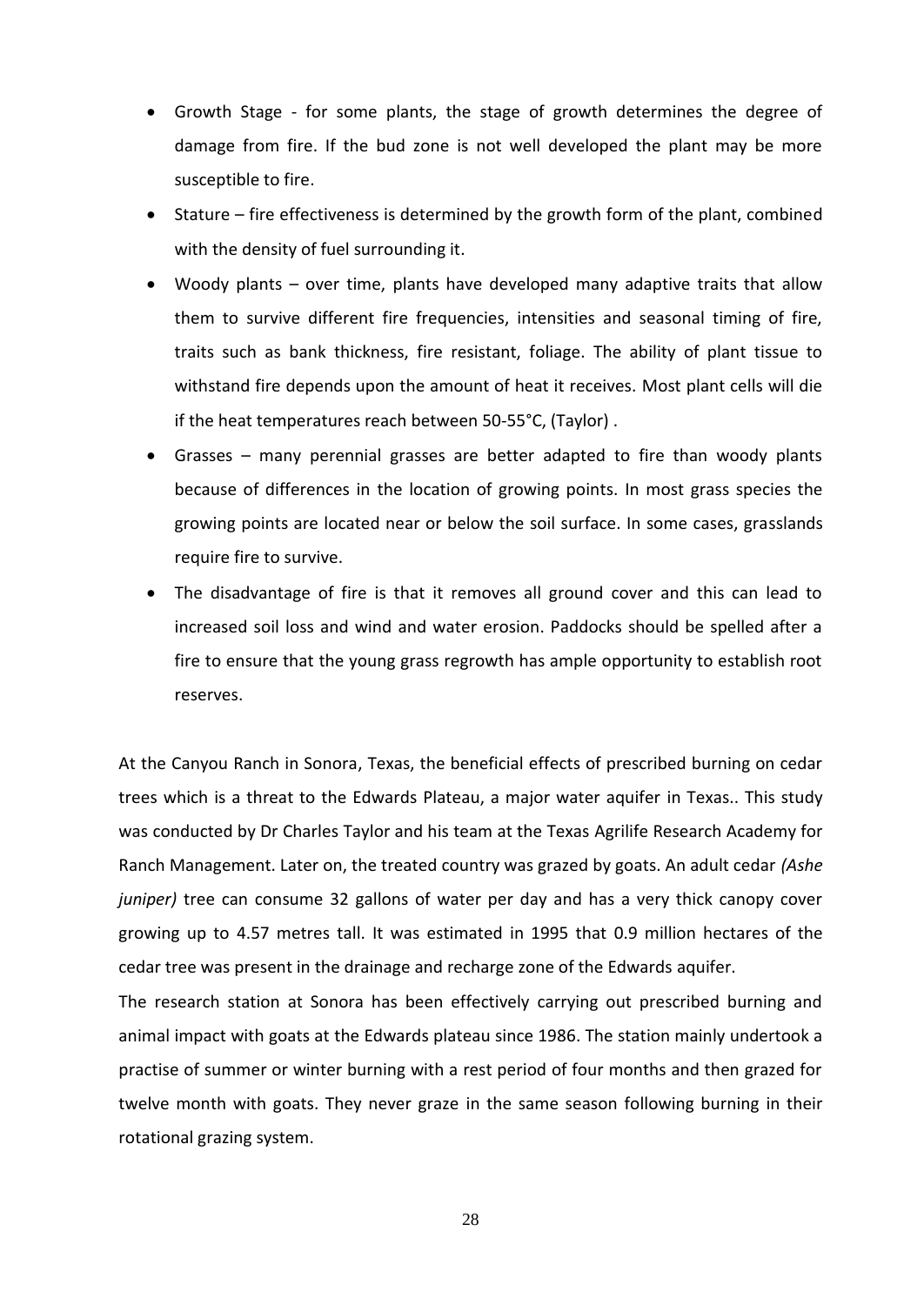- Growth Stage for some plants, the stage of growth determines the degree of damage from fire. If the bud zone is not well developed the plant may be more susceptible to fire.
- Stature fire effectiveness is determined by the growth form of the plant, combined with the density of fuel surrounding it.
- Woody plants  $-$  over time, plants have developed many adaptive traits that allow them to survive different fire frequencies, intensities and seasonal timing of fire, traits such as bank thickness, fire resistant, foliage. The ability of plant tissue to withstand fire depends upon the amount of heat it receives. Most plant cells will die if the heat temperatures reach between 50-55°C, (Taylor) .
- Grasses many perennial grasses are better adapted to fire than woody plants because of differences in the location of growing points. In most grass species the growing points are located near or below the soil surface. In some cases, grasslands require fire to survive.
- The disadvantage of fire is that it removes all ground cover and this can lead to increased soil loss and wind and water erosion. Paddocks should be spelled after a fire to ensure that the young grass regrowth has ample opportunity to establish root reserves.

At the Canyou Ranch in Sonora, Texas, the beneficial effects of prescribed burning on cedar trees which is a threat to the Edwards Plateau, a major water aquifer in Texas.. This study was conducted by Dr Charles Taylor and his team at the Texas Agrilife Research Academy for Ranch Management. Later on, the treated country was grazed by goats. An adult cedar *(Ashe juniper)* tree can consume 32 gallons of water per day and has a very thick canopy cover growing up to 4.57 metres tall. It was estimated in 1995 that 0.9 million hectares of the cedar tree was present in the drainage and recharge zone of the Edwards aquifer.

The research station at Sonora has been effectively carrying out prescribed burning and animal impact with goats at the Edwards plateau since 1986. The station mainly undertook a practise of summer or winter burning with a rest period of four months and then grazed for twelve month with goats. They never graze in the same season following burning in their rotational grazing system.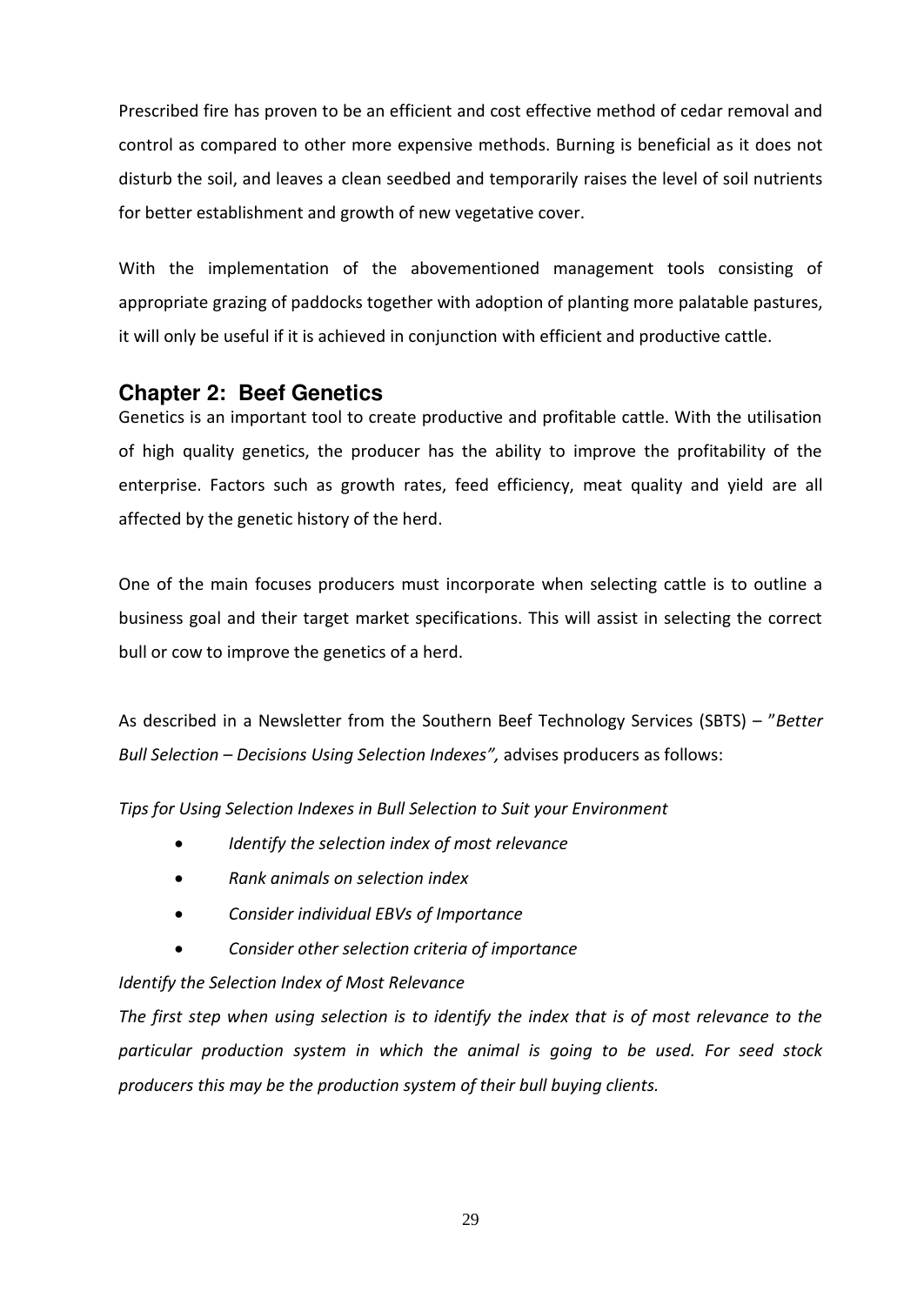Prescribed fire has proven to be an efficient and cost effective method of cedar removal and control as compared to other more expensive methods. Burning is beneficial as it does not disturb the soil, and leaves a clean seedbed and temporarily raises the level of soil nutrients for better establishment and growth of new vegetative cover.

With the implementation of the abovementioned management tools consisting of appropriate grazing of paddocks together with adoption of planting more palatable pastures, it will only be useful if it is achieved in conjunction with efficient and productive cattle.

## <span id="page-27-0"></span>**Chapter 2: Beef Genetics**

Genetics is an important tool to create productive and profitable cattle. With the utilisation of high quality genetics, the producer has the ability to improve the profitability of the enterprise. Factors such as growth rates, feed efficiency, meat quality and yield are all affected by the genetic history of the herd.

One of the main focuses producers must incorporate when selecting cattle is to outline a business goal and their target market specifications. This will assist in selecting the correct bull or cow to improve the genetics of a herd.

As described in a Newsletter from the Southern Beef Technology Services (SBTS) - "Better *Bull Selection – Decisions Using Selection Indexes<sup><i>"*</sup>, advises producers as follows:

*Tips for Using Selection Indexes in Bull Selection to Suit your Environment* 

- *Identify the selection index of most relevance*
- *Rank animals on selection index*
- *Consider individual EBVs of Importance*
- *Consider other selection criteria of importance*

*Identify the Selection Index of Most Relevance* 

*The first step when using selection is to identify the index that is of most relevance to the particular production system in which the animal is going to be used. For seed stock producers this may be the production system of their bull buying clients.*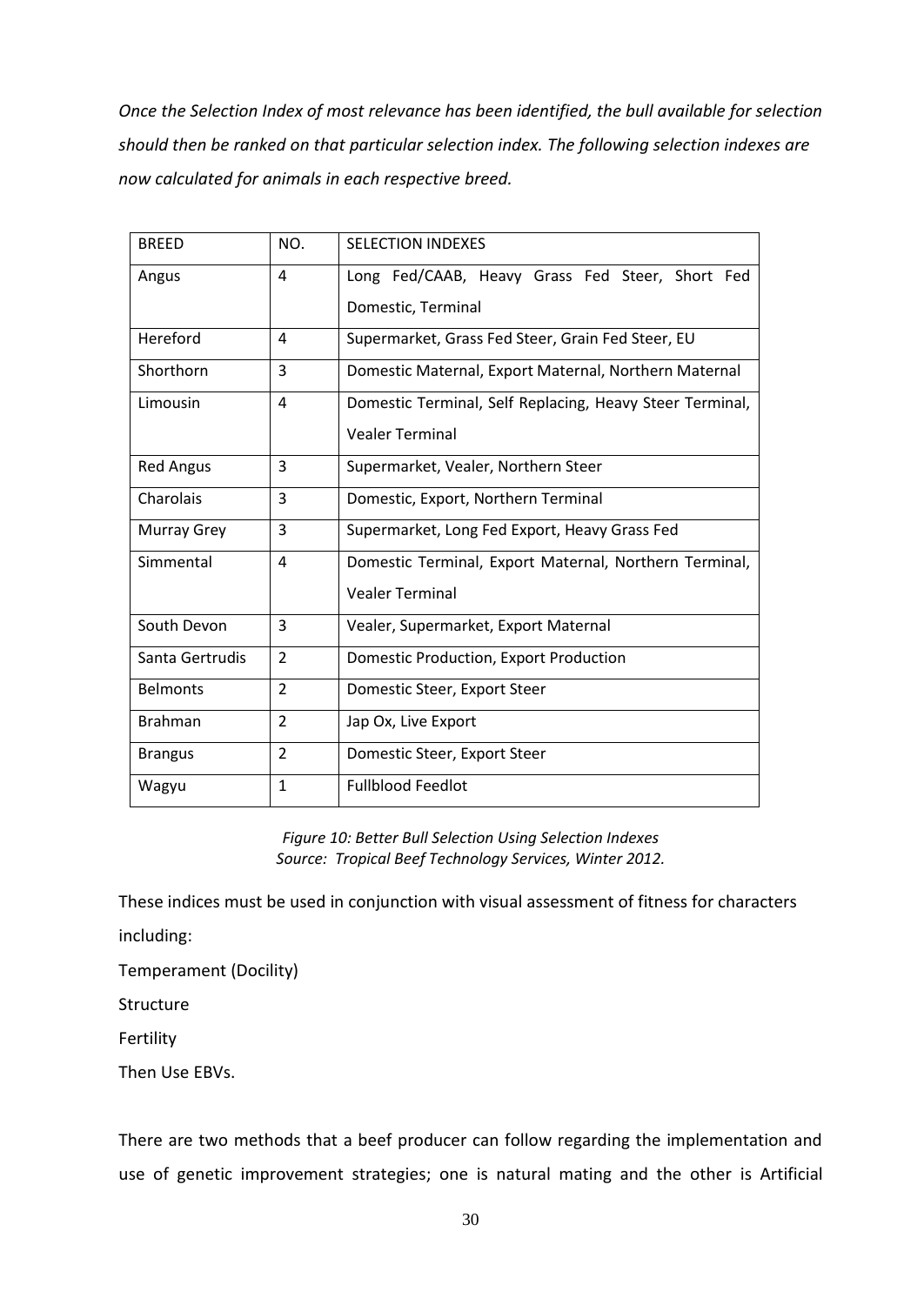*Once the Selection Index of most relevance has been identified, the bull available for selection should then be ranked on that particular selection index. The following selection indexes are now calculated for animals in each respective breed.*

| <b>BREED</b>       | NO.            | <b>SELECTION INDEXES</b>                                                         |
|--------------------|----------------|----------------------------------------------------------------------------------|
| Angus              | 4              | Long Fed/CAAB, Heavy Grass Fed Steer, Short Fed<br>Domestic, Terminal            |
| Hereford           | 4              | Supermarket, Grass Fed Steer, Grain Fed Steer, EU                                |
| Shorthorn          | 3              | Domestic Maternal, Export Maternal, Northern Maternal                            |
| Limousin           | 4              | Domestic Terminal, Self Replacing, Heavy Steer Terminal,                         |
|                    |                | <b>Vealer Terminal</b>                                                           |
| <b>Red Angus</b>   | 3              | Supermarket, Vealer, Northern Steer                                              |
| Charolais          | 3              | Domestic, Export, Northern Terminal                                              |
| <b>Murray Grey</b> | 3              | Supermarket, Long Fed Export, Heavy Grass Fed                                    |
| Simmental          | 4              | Domestic Terminal, Export Maternal, Northern Terminal,<br><b>Vealer Terminal</b> |
|                    |                |                                                                                  |
| South Devon        | 3              | Vealer, Supermarket, Export Maternal                                             |
| Santa Gertrudis    | $\overline{2}$ | Domestic Production, Export Production                                           |
| <b>Belmonts</b>    | $\overline{2}$ | Domestic Steer, Export Steer                                                     |
| <b>Brahman</b>     | $\overline{2}$ | Jap Ox, Live Export                                                              |
| <b>Brangus</b>     | $\overline{2}$ | Domestic Steer, Export Steer                                                     |
| Wagyu              | $\mathbf{1}$   | <b>Fullblood Feedlot</b>                                                         |

*Figure 10: Better Bull Selection Using Selection Indexes Source: Tropical Beef Technology Services, Winter 2012.* 

These indices must be used in conjunction with visual assessment of fitness for characters

including:

Temperament (Docility)

Structure

Fertility

Then Use EBVs.

There are two methods that a beef producer can follow regarding the implementation and use of genetic improvement strategies; one is natural mating and the other is Artificial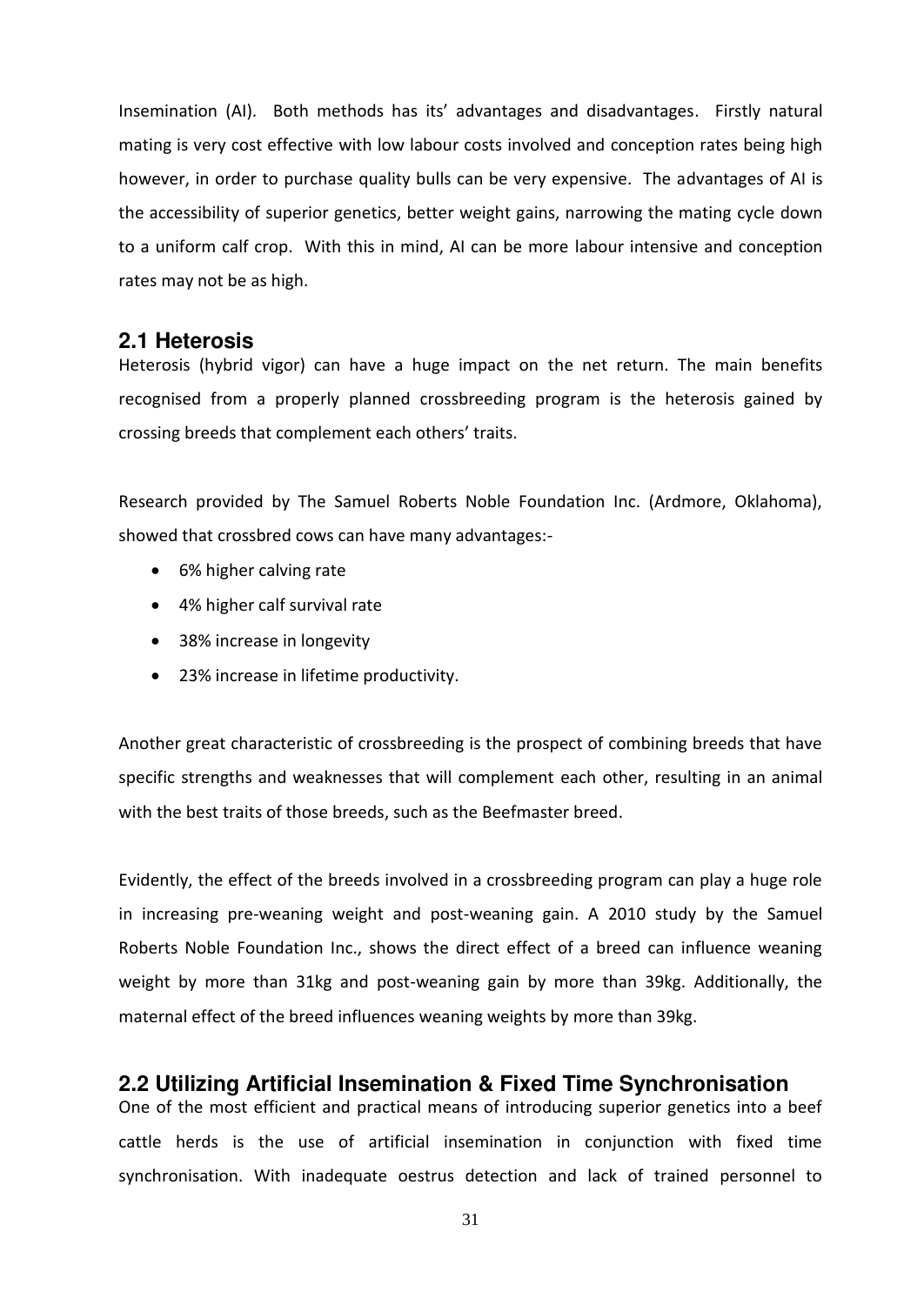Insemination (AI). Both methods has its' advantages and disadvantages. Firstly natural mating is very cost effective with low labour costs involved and conception rates being high however, in order to purchase quality bulls can be very expensive. The advantages of AI is the accessibility of superior genetics, better weight gains, narrowing the mating cycle down to a uniform calf crop. With this in mind, AI can be more labour intensive and conception rates may not be as high.

## <span id="page-29-0"></span>**2.1 Heterosis**

Heterosis (hybrid vigor) can have a huge impact on the net return. The main benefits recognised from a properly planned crossbreeding program is the heterosis gained by crossing breeds that complement each others' traits.

Research provided by The Samuel Roberts Noble Foundation Inc. (Ardmore, Oklahoma), showed that crossbred cows can have many advantages:-

- 6% higher calving rate
- 4% higher calf survival rate
- 38% increase in longevity
- 23% increase in lifetime productivity.

Another great characteristic of crossbreeding is the prospect of combining breeds that have specific strengths and weaknesses that will complement each other, resulting in an animal with the best traits of those breeds, such as the Beefmaster breed.

Evidently, the effect of the breeds involved in a crossbreeding program can play a huge role in increasing pre-weaning weight and post-weaning gain. A 2010 study by the Samuel Roberts Noble Foundation Inc., shows the direct effect of a breed can influence weaning weight by more than 31kg and post-weaning gain by more than 39kg. Additionally, the maternal effect of the breed influences weaning weights by more than 39kg.

## <span id="page-29-1"></span>**2.2 Utilizing Artificial Insemination & Fixed Time Synchronisation**

One of the most efficient and practical means of introducing superior genetics into a beef cattle herds is the use of artificial insemination in conjunction with fixed time synchronisation. With inadequate oestrus detection and lack of trained personnel to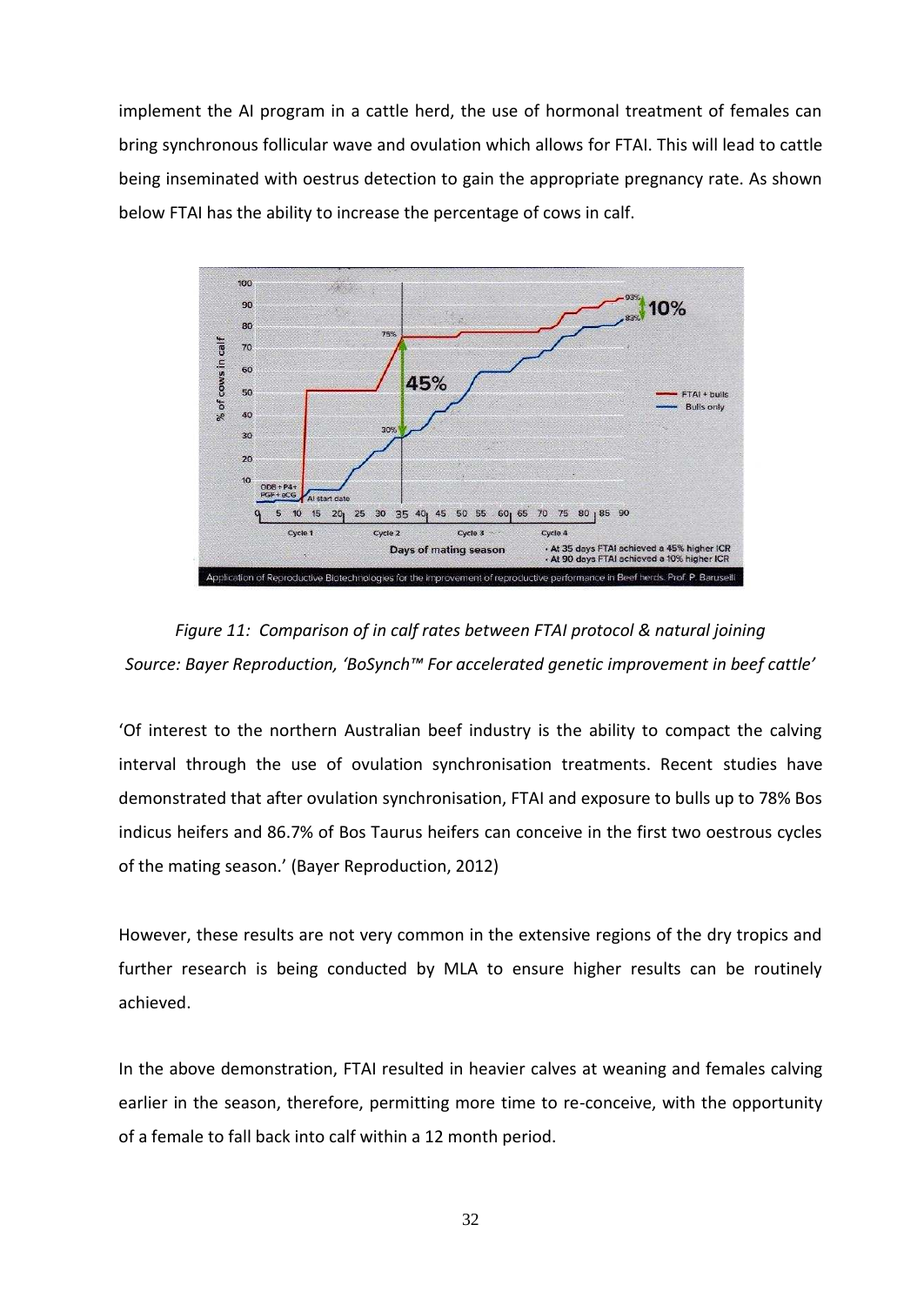implement the AI program in a cattle herd, the use of hormonal treatment of females can bring synchronous follicular wave and ovulation which allows for FTAI. This will lead to cattle being inseminated with oestrus detection to gain the appropriate pregnancy rate. As shown below FTAI has the ability to increase the percentage of cows in calf.





'Of interest to the northern Australian beef industry is the ability to compact the calving interval through the use of ovulation synchronisation treatments. Recent studies have demonstrated that after ovulation synchronisation, FTAI and exposure to bulls up to 78% Bos indicus heifers and 86.7% of Bos Taurus heifers can conceive in the first two oestrous cycles of the mating season.' (Bayer Reproduction, 2012)

However, these results are not very common in the extensive regions of the dry tropics and further research is being conducted by MLA to ensure higher results can be routinely achieved.

In the above demonstration, FTAI resulted in heavier calves at weaning and females calving earlier in the season, therefore, permitting more time to re-conceive, with the opportunity of a female to fall back into calf within a 12 month period.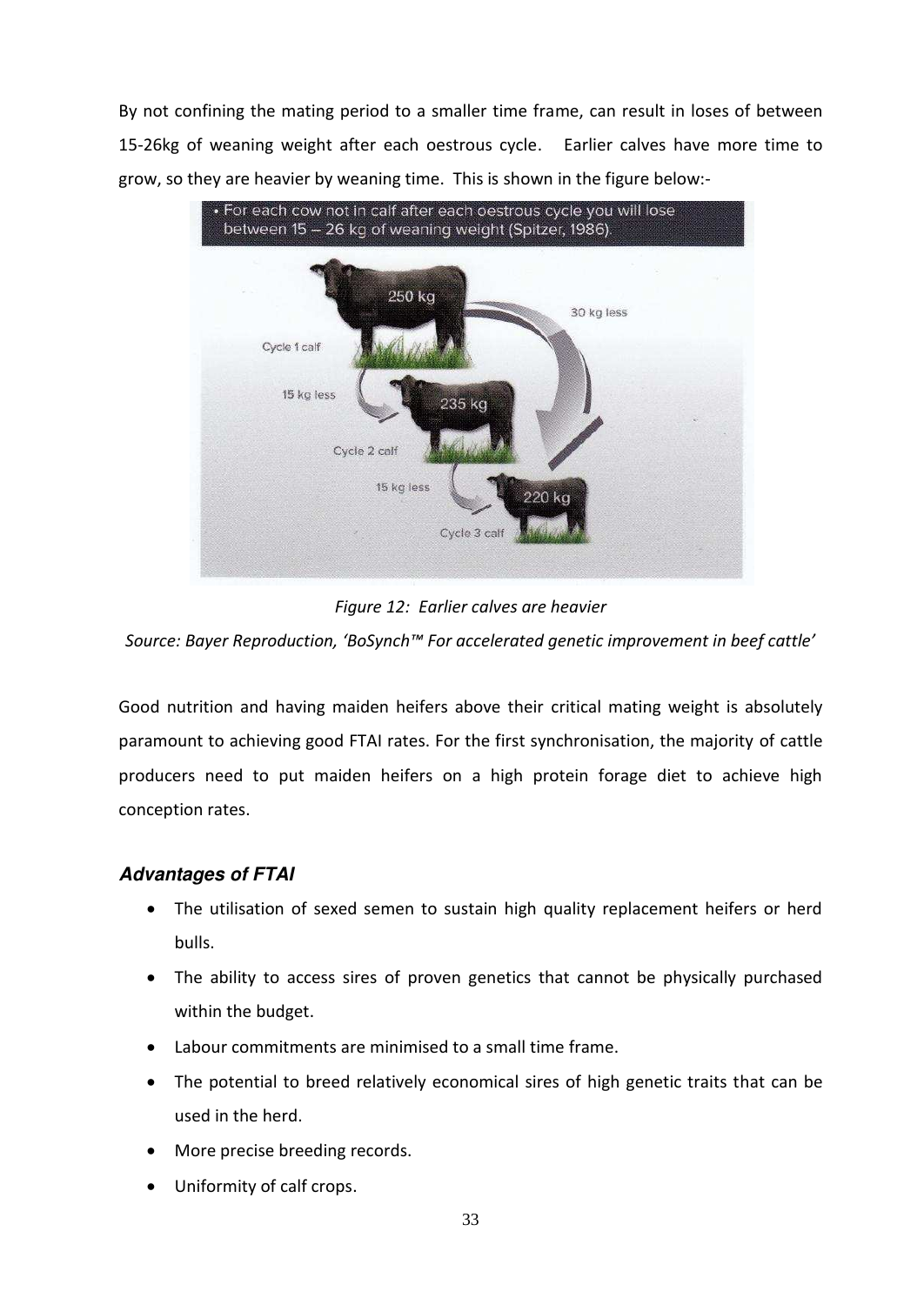By not confining the mating period to a smaller time frame, can result in loses of between 15-26kg of weaning weight after each oestrous cycle. Earlier calves have more time to grow, so they are heavier by weaning time. This is shown in the figure below:-



*Figure 12: Earlier calves are heavier* 

*Source: Bayer Reproduction, 'BoSynch™ For accelerated genetic improvement in beef cattle'* 

Good nutrition and having maiden heifers above their critical mating weight is absolutely paramount to achieving good FTAI rates. For the first synchronisation, the majority of cattle producers need to put maiden heifers on a high protein forage diet to achieve high conception rates.

## *Advantages of FTAI*

- The utilisation of sexed semen to sustain high quality replacement heifers or herd bulls.
- The ability to access sires of proven genetics that cannot be physically purchased within the budget.
- Labour commitments are minimised to a small time frame.
- The potential to breed relatively economical sires of high genetic traits that can be used in the herd.
- More precise breeding records.
- Uniformity of calf crops.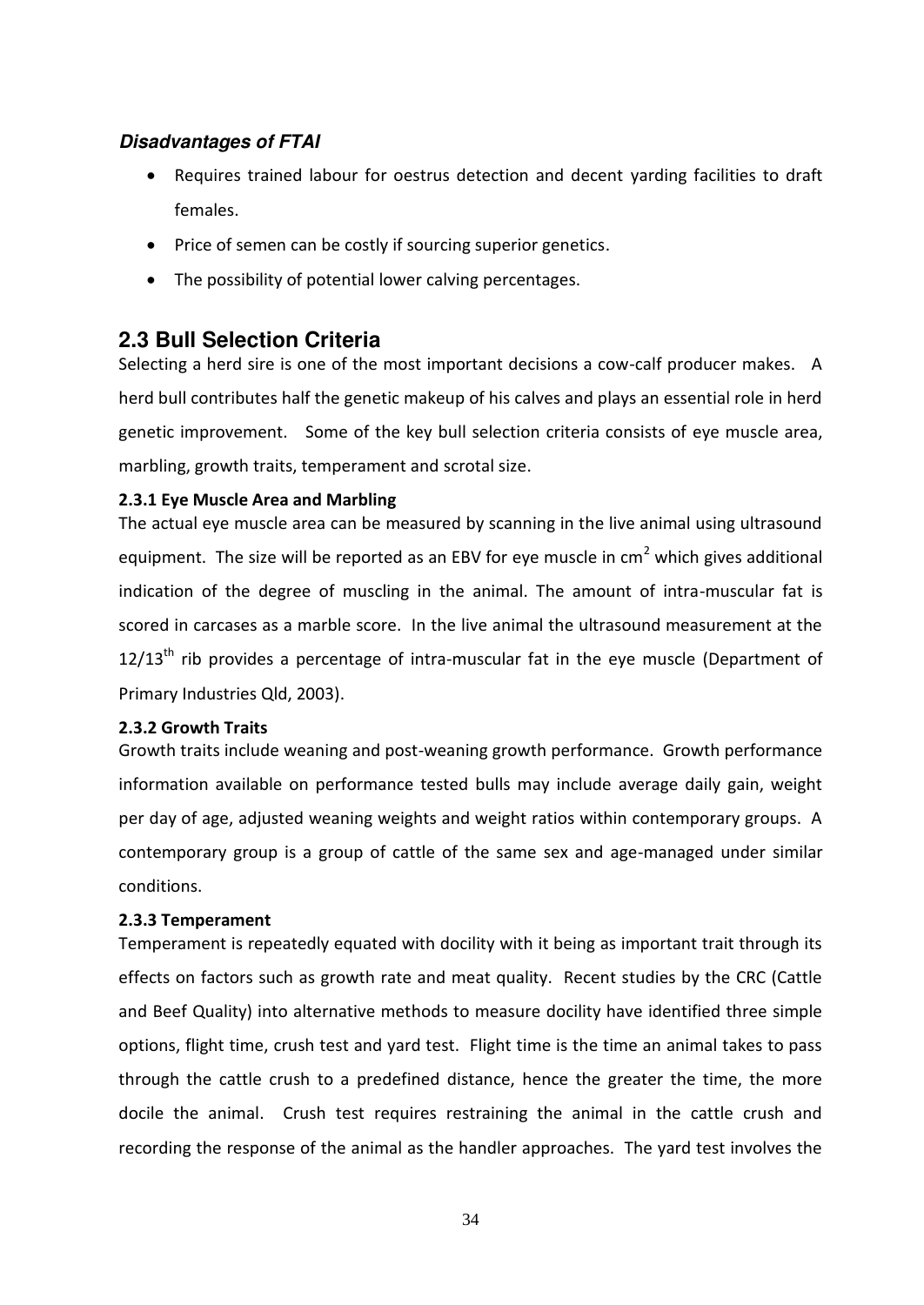## *Disadvantages of FTAI*

- Requires trained labour for oestrus detection and decent yarding facilities to draft females.
- Price of semen can be costly if sourcing superior genetics.
- The possibility of potential lower calving percentages.

## <span id="page-32-0"></span>**2.3 Bull Selection Criteria**

Selecting a herd sire is one of the most important decisions a cow-calf producer makes. A herd bull contributes half the genetic makeup of his calves and plays an essential role in herd genetic improvement. Some of the key bull selection criteria consists of eye muscle area, marbling, growth traits, temperament and scrotal size.

## <span id="page-32-1"></span>**2.3.1 Eye Muscle Area and Marbling**

The actual eye muscle area can be measured by scanning in the live animal using ultrasound equipment. The size will be reported as an EBV for eye muscle in cm<sup>2</sup> which gives additional indication of the degree of muscling in the animal. The amount of intra-muscular fat is scored in carcases as a marble score. In the live animal the ultrasound measurement at the  $12/13<sup>th</sup>$  rib provides a percentage of intra-muscular fat in the eye muscle (Department of Primary Industries Qld, 2003).

### <span id="page-32-2"></span>**2.3.2 Growth Traits**

Growth traits include weaning and post-weaning growth performance. Growth performance information available on performance tested bulls may include average daily gain, weight per day of age, adjusted weaning weights and weight ratios within contemporary groups. A contemporary group is a group of cattle of the same sex and age-managed under similar conditions.

### <span id="page-32-3"></span>**2.3.3 Temperament**

Temperament is repeatedly equated with docility with it being as important trait through its effects on factors such as growth rate and meat quality. Recent studies by the CRC (Cattle and Beef Quality) into alternative methods to measure docility have identified three simple options, flight time, crush test and yard test. Flight time is the time an animal takes to pass through the cattle crush to a predefined distance, hence the greater the time, the more docile the animal. Crush test requires restraining the animal in the cattle crush and recording the response of the animal as the handler approaches. The yard test involves the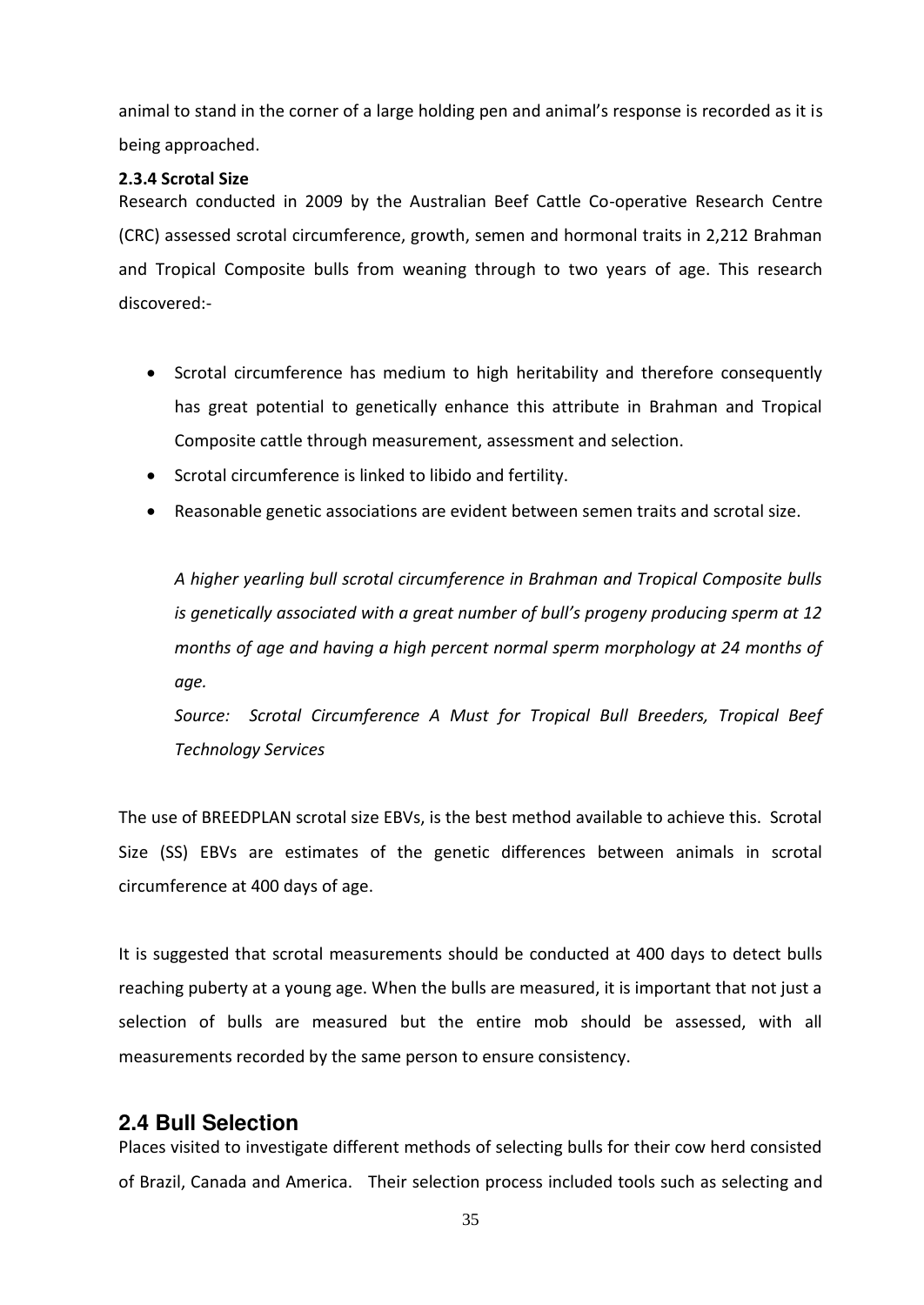animal to stand in the corner of a large holding pen and animal's response is recorded as it is being approached.

### <span id="page-33-0"></span>**2.3.4 Scrotal Size**

Research conducted in 2009 by the Australian Beef Cattle Co-operative Research Centre (CRC) assessed scrotal circumference, growth, semen and hormonal traits in 2,212 Brahman and Tropical Composite bulls from weaning through to two years of age. This research discovered:-

- Scrotal circumference has medium to high heritability and therefore consequently has great potential to genetically enhance this attribute in Brahman and Tropical Composite cattle through measurement, assessment and selection.
- Scrotal circumference is linked to libido and fertility.
- Reasonable genetic associations are evident between semen traits and scrotal size.

*A higher yearling bull scrotal circumference in Brahman and Tropical Composite bulls is genetically associated with a great number of bull's progeny producing sperm at 12 months of age and having a high percent normal sperm morphology at 24 months of age.* 

*Source: Scrotal Circumference A Must for Tropical Bull Breeders, Tropical Beef Technology Services* 

The use of BREEDPLAN scrotal size EBVs, is the best method available to achieve this. Scrotal Size (SS) EBVs are estimates of the genetic differences between animals in scrotal circumference at 400 days of age.

It is suggested that scrotal measurements should be conducted at 400 days to detect bulls reaching puberty at a young age. When the bulls are measured, it is important that not just a selection of bulls are measured but the entire mob should be assessed, with all measurements recorded by the same person to ensure consistency.

## <span id="page-33-1"></span>**2.4 Bull Selection**

Places visited to investigate different methods of selecting bulls for their cow herd consisted of Brazil, Canada and America. Their selection process included tools such as selecting and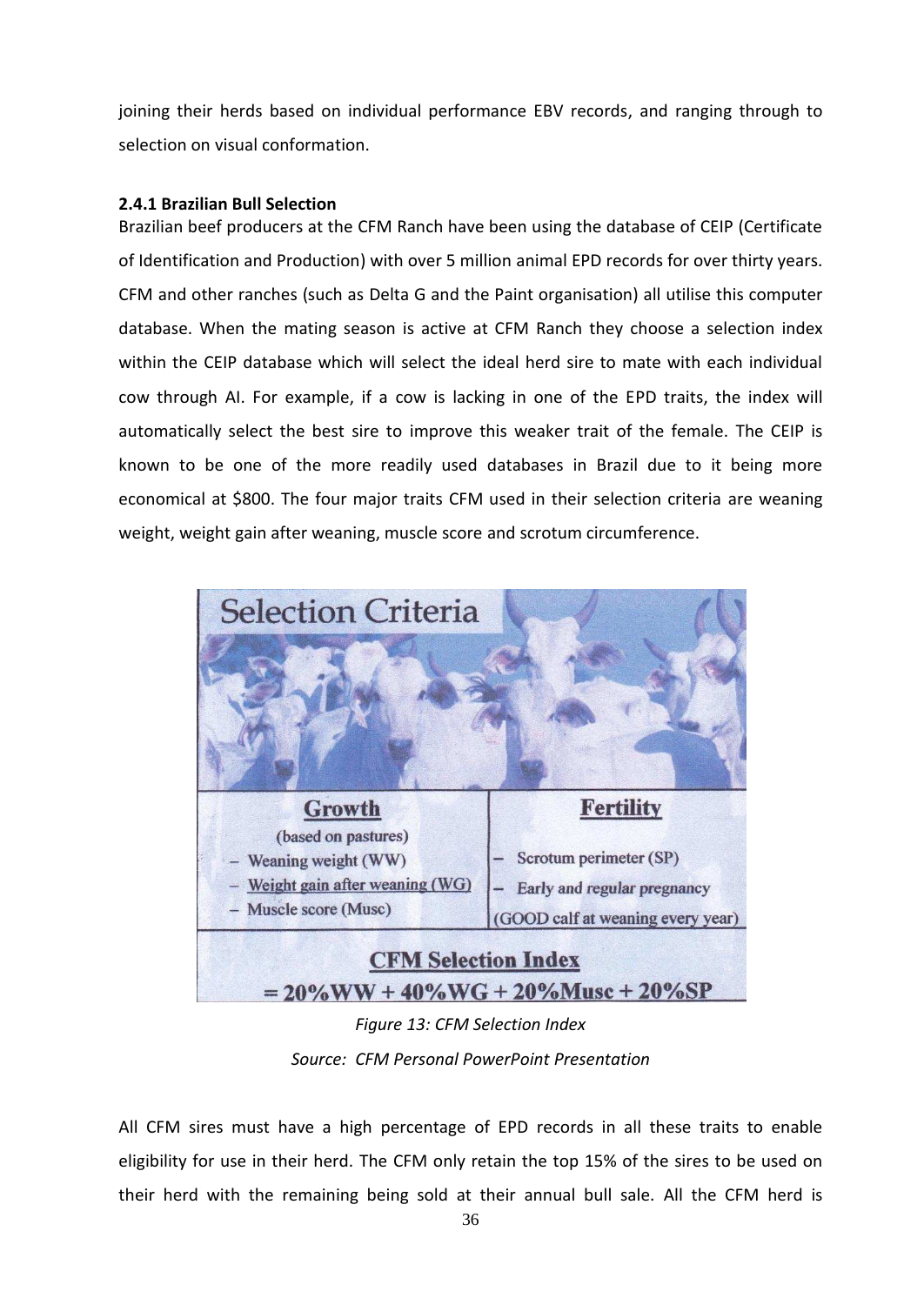joining their herds based on individual performance EBV records, and ranging through to selection on visual conformation.

### <span id="page-34-0"></span>**2.4.1 Brazilian Bull Selection**

Brazilian beef producers at the CFM Ranch have been using the database of CEIP (Certificate of Identification and Production) with over 5 million animal EPD records for over thirty years. CFM and other ranches (such as Delta G and the Paint organisation) all utilise this computer database. When the mating season is active at CFM Ranch they choose a selection index within the CEIP database which will select the ideal herd sire to mate with each individual cow through AI. For example, if a cow is lacking in one of the EPD traits, the index will automatically select the best sire to improve this weaker trait of the female. The CEIP is known to be one of the more readily used databases in Brazil due to it being more economical at \$800. The four major traits CFM used in their selection criteria are weaning weight, weight gain after weaning, muscle score and scrotum circumference.



*Source: CFM Personal PowerPoint Presentation* 

All CFM sires must have a high percentage of EPD records in all these traits to enable eligibility for use in their herd. The CFM only retain the top 15% of the sires to be used on their herd with the remaining being sold at their annual bull sale. All the CFM herd is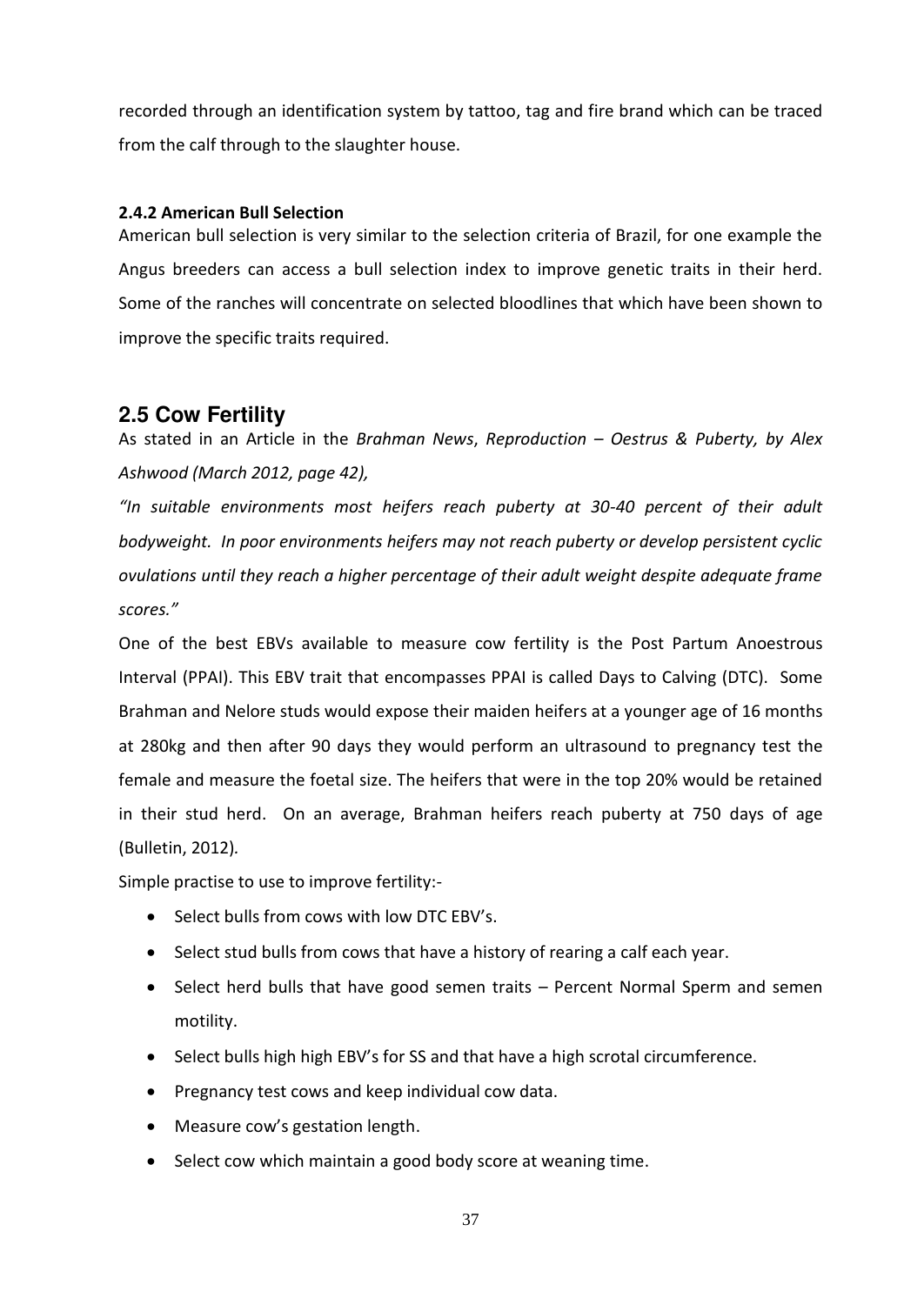recorded through an identification system by tattoo, tag and fire brand which can be traced from the calf through to the slaughter house.

### <span id="page-35-0"></span>**2.4.2 American Bull Selection**

American bull selection is very similar to the selection criteria of Brazil, for one example the Angus breeders can access a bull selection index to improve genetic traits in their herd. Some of the ranches will concentrate on selected bloodlines that which have been shown to improve the specific traits required.

## <span id="page-35-1"></span>**2.5 Cow Fertility**

As stated in an Article in the *Brahman News*, *Reproduction - Oestrus & Puberty, by Alex Ashwood (March 2012, page 42),* 

"In suitable environments most heifers reach puberty at 30-40 percent of their adult *bodyweight. In poor environments heifers may not reach puberty or develop persistent cyclic ovulations until they reach a higher percentage of their adult weight despite adequate frame scores.*"

One of the best EBVs available to measure cow fertility is the Post Partum Anoestrous Interval (PPAI). This EBV trait that encompasses PPAI is called Days to Calving (DTC). Some Brahman and Nelore studs would expose their maiden heifers at a younger age of 16 months at 280kg and then after 90 days they would perform an ultrasound to pregnancy test the female and measure the foetal size. The heifers that were in the top 20% would be retained in their stud herd. On an average, Brahman heifers reach puberty at 750 days of age (Bulletin, 2012)*.* 

Simple practise to use to improve fertility:-

- Select bulls from cows with low DTC EBV's.
- Select stud bulls from cows that have a history of rearing a calf each year.
- Select herd bulls that have good semen traits Percent Normal Sperm and semen motility.
- Select bulls high high EBV's for SS and that have a high scrotal circumference.
- Pregnancy test cows and keep individual cow data.
- Measure cow's gestation length.
- Select cow which maintain a good body score at weaning time.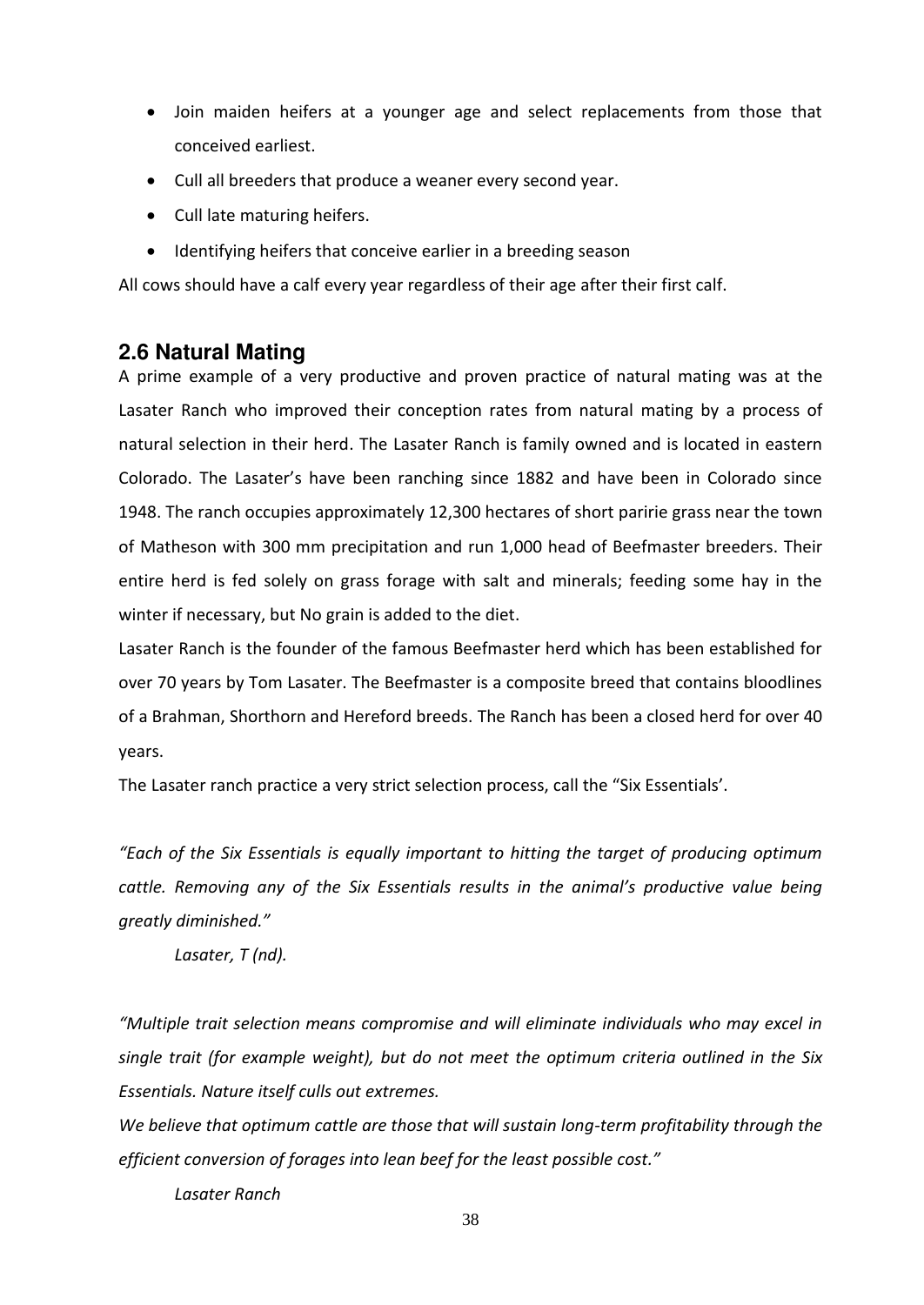- Join maiden heifers at a younger age and select replacements from those that conceived earliest.
- Cull all breeders that produce a weaner every second year.
- Cull late maturing heifers.
- Identifying heifers that conceive earlier in a breeding season

All cows should have a calf every year regardless of their age after their first calf.

## <span id="page-36-0"></span>**2.6 Natural Mating**

A prime example of a very productive and proven practice of natural mating was at the Lasater Ranch who improved their conception rates from natural mating by a process of natural selection in their herd. The Lasater Ranch is family owned and is located in eastern Colorado. The Lasater's have been ranching since 1882 and have been in Colorado since 1948. The ranch occupies approximately 12,300 hectares of short paririe grass near the town of Matheson with 300 mm precipitation and run 1,000 head of Beefmaster breeders. Their entire herd is fed solely on grass forage with salt and minerals; feeding some hay in the winter if necessary, but No grain is added to the diet.

Lasater Ranch is the founder of the famous Beefmaster herd which has been established for over 70 years by Tom Lasater. The Beefmaster is a composite breed that contains bloodlines of a Brahman, Shorthorn and Hereford breeds. The Ranch has been a closed herd for over 40 years.

The Lasater ranch practice a very strict selection process, call the "Six Essentials'.

*"Each of the Six Essentials is equally important to hitting the target of producing optimum cattle. Removing any of the Six Essentials results in the animal's productive value being greatly diminished."* 

 *Lasater, T (nd).* 

*"Multiple trait selection means compromise and will eliminate individuals who may excel in single trait (for example weight), but do not meet the optimum criteria outlined in the Six Essentials. Nature itself culls out extremes.* 

*We believe that optimum cattle are those that will sustain long-term profitability through the efficient conversion of forages into lean beef for the least possible cost."* 

 *Lasater Ranch*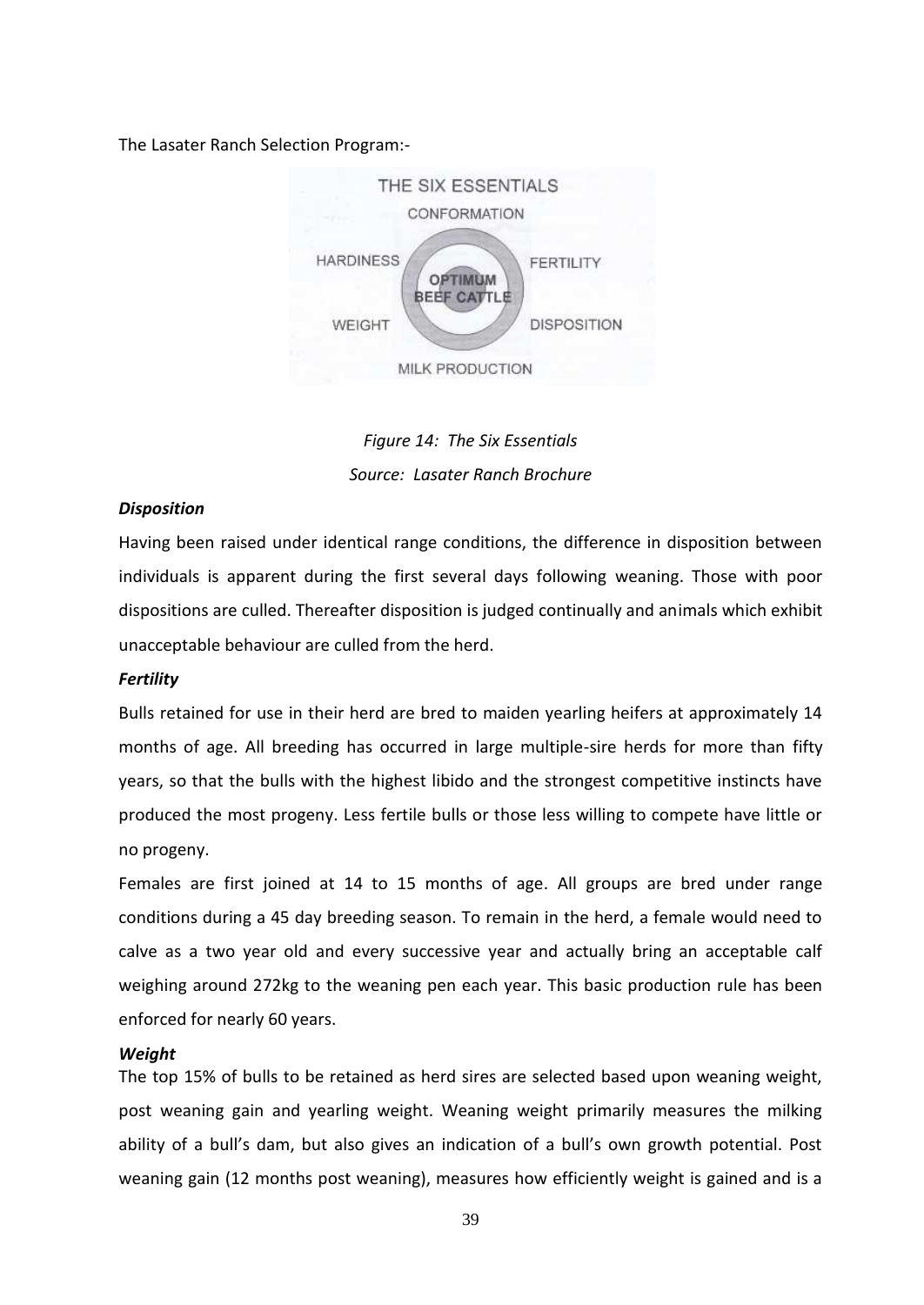#### The Lasater Ranch Selection Program:-



*Figure 14: The Six Essentials Source: Lasater Ranch Brochure*

#### *Disposition*

Having been raised under identical range conditions, the difference in disposition between individuals is apparent during the first several days following weaning. Those with poor dispositions are culled. Thereafter disposition is judged continually and animals which exhibit unacceptable behaviour are culled from the herd.

#### *Fertility*

Bulls retained for use in their herd are bred to maiden yearling heifers at approximately 14 months of age. All breeding has occurred in large multiple-sire herds for more than fifty years, so that the bulls with the highest libido and the strongest competitive instincts have produced the most progeny. Less fertile bulls or those less willing to compete have little or no progeny.

Females are first joined at 14 to 15 months of age. All groups are bred under range conditions during a 45 day breeding season. To remain in the herd, a female would need to calve as a two year old and every successive year and actually bring an acceptable calf weighing around 272kg to the weaning pen each year. This basic production rule has been enforced for nearly 60 years.

#### *Weight*

The top 15% of bulls to be retained as herd sires are selected based upon weaning weight, post weaning gain and yearling weight. Weaning weight primarily measures the milking ability of a bull's dam, but also gives an indication of a bull's own growth potential. Post weaning gain (12 months post weaning), measures how efficiently weight is gained and is a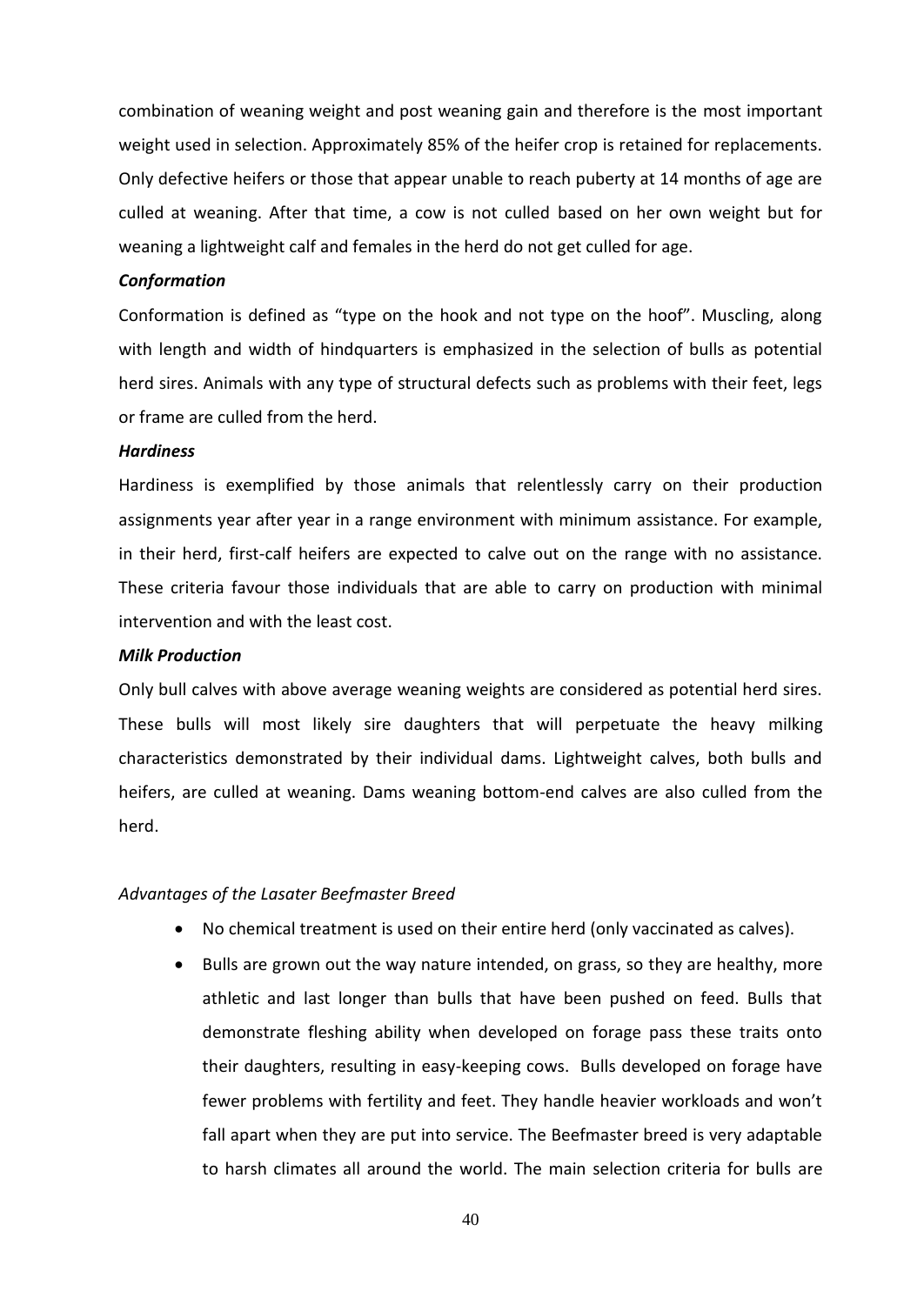combination of weaning weight and post weaning gain and therefore is the most important weight used in selection. Approximately 85% of the heifer crop is retained for replacements. Only defective heifers or those that appear unable to reach puberty at 14 months of age are culled at weaning. After that time, a cow is not culled based on her own weight but for weaning a lightweight calf and females in the herd do not get culled for age.

#### *Conformation*

Conformation is defined as "type on the hook and not type on the hoof". Muscling, along with length and width of hindquarters is emphasized in the selection of bulls as potential herd sires. Animals with any type of structural defects such as problems with their feet, legs or frame are culled from the herd.

#### *Hardiness*

Hardiness is exemplified by those animals that relentlessly carry on their production assignments year after year in a range environment with minimum assistance. For example, in their herd, first-calf heifers are expected to calve out on the range with no assistance. These criteria favour those individuals that are able to carry on production with minimal intervention and with the least cost.

#### *Milk Production*

Only bull calves with above average weaning weights are considered as potential herd sires. These bulls will most likely sire daughters that will perpetuate the heavy milking characteristics demonstrated by their individual dams. Lightweight calves, both bulls and heifers, are culled at weaning. Dams weaning bottom-end calves are also culled from the herd.

#### *Advantages of the Lasater Beefmaster Breed*

- No chemical treatment is used on their entire herd (only vaccinated as calves).
- Bulls are grown out the way nature intended, on grass, so they are healthy, more athletic and last longer than bulls that have been pushed on feed. Bulls that demonstrate fleshing ability when developed on forage pass these traits onto their daughters, resulting in easy-keeping cows. Bulls developed on forage have fewer problems with fertility and feet. They handle heavier workloads and won't fall apart when they are put into service. The Beefmaster breed is very adaptable to harsh climates all around the world. The main selection criteria for bulls are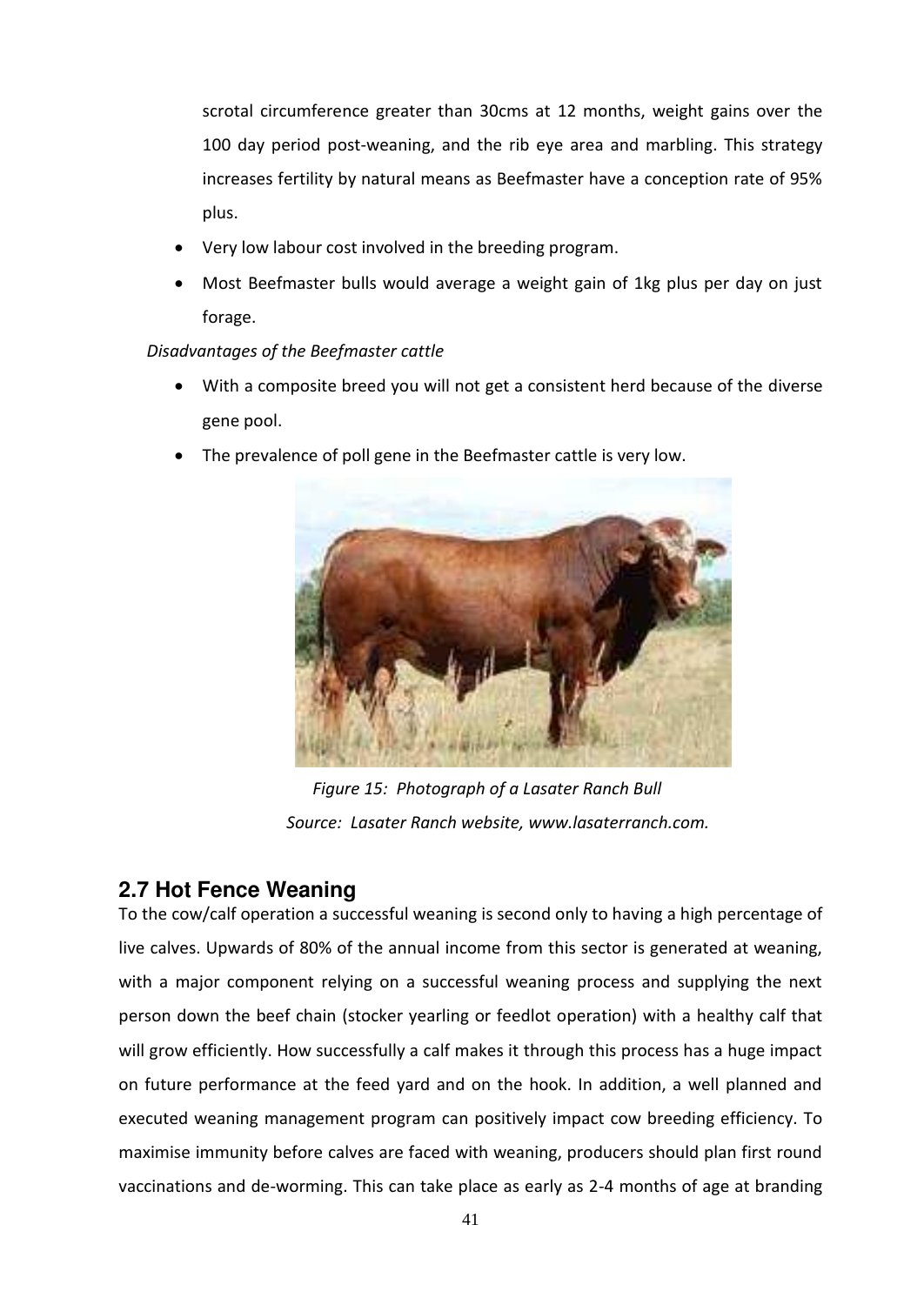scrotal circumference greater than 30cms at 12 months, weight gains over the 100 day period post-weaning, and the rib eye area and marbling. This strategy increases fertility by natural means as Beefmaster have a conception rate of 95% plus.

- Very low labour cost involved in the breeding program.
- Most Beefmaster bulls would average a weight gain of 1kg plus per day on just forage.

### *Disadvantages of the Beefmaster cattle*

- With a composite breed you will not get a consistent herd because of the diverse gene pool.
- The prevalence of poll gene in the Beefmaster cattle is very low.



*Figure 15: Photograph of a Lasater Ranch Bull Source: Lasater Ranch website, www.lasaterranch.com.* 

## <span id="page-39-0"></span>**2.7 Hot Fence Weaning**

To the cow/calf operation a successful weaning is second only to having a high percentage of live calves. Upwards of 80% of the annual income from this sector is generated at weaning, with a major component relying on a successful weaning process and supplying the next person down the beef chain (stocker yearling or feedlot operation) with a healthy calf that will grow efficiently. How successfully a calf makes it through this process has a huge impact on future performance at the feed yard and on the hook. In addition, a well planned and executed weaning management program can positively impact cow breeding efficiency. To maximise immunity before calves are faced with weaning, producers should plan first round vaccinations and de-worming. This can take place as early as 2-4 months of age at branding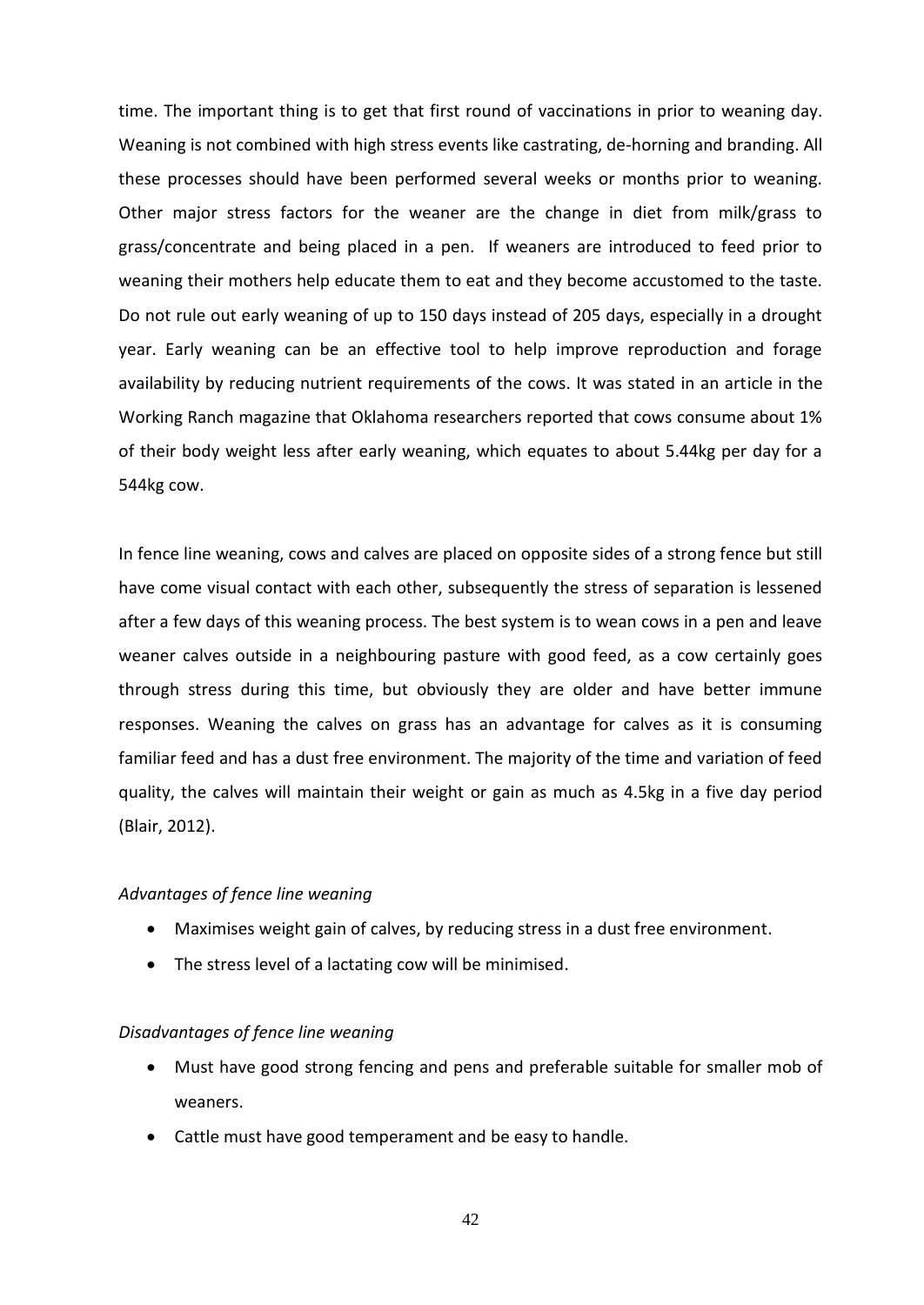time. The important thing is to get that first round of vaccinations in prior to weaning day. Weaning is not combined with high stress events like castrating, de-horning and branding. All these processes should have been performed several weeks or months prior to weaning. Other major stress factors for the weaner are the change in diet from milk/grass to grass/concentrate and being placed in a pen. If weaners are introduced to feed prior to weaning their mothers help educate them to eat and they become accustomed to the taste. Do not rule out early weaning of up to 150 days instead of 205 days, especially in a drought year. Early weaning can be an effective tool to help improve reproduction and forage availability by reducing nutrient requirements of the cows. It was stated in an article in the Working Ranch magazine that Oklahoma researchers reported that cows consume about 1% of their body weight less after early weaning, which equates to about 5.44kg per day for a 544kg cow.

In fence line weaning, cows and calves are placed on opposite sides of a strong fence but still have come visual contact with each other, subsequently the stress of separation is lessened after a few days of this weaning process. The best system is to wean cows in a pen and leave weaner calves outside in a neighbouring pasture with good feed, as a cow certainly goes through stress during this time, but obviously they are older and have better immune responses. Weaning the calves on grass has an advantage for calves as it is consuming familiar feed and has a dust free environment. The majority of the time and variation of feed quality, the calves will maintain their weight or gain as much as 4.5kg in a five day period (Blair, 2012).

#### *Advantages of fence line weaning*

- Maximises weight gain of calves, by reducing stress in a dust free environment.
- The stress level of a lactating cow will be minimised.

#### *Disadvantages of fence line weaning*

- Must have good strong fencing and pens and preferable suitable for smaller mob of weaners.
- Cattle must have good temperament and be easy to handle.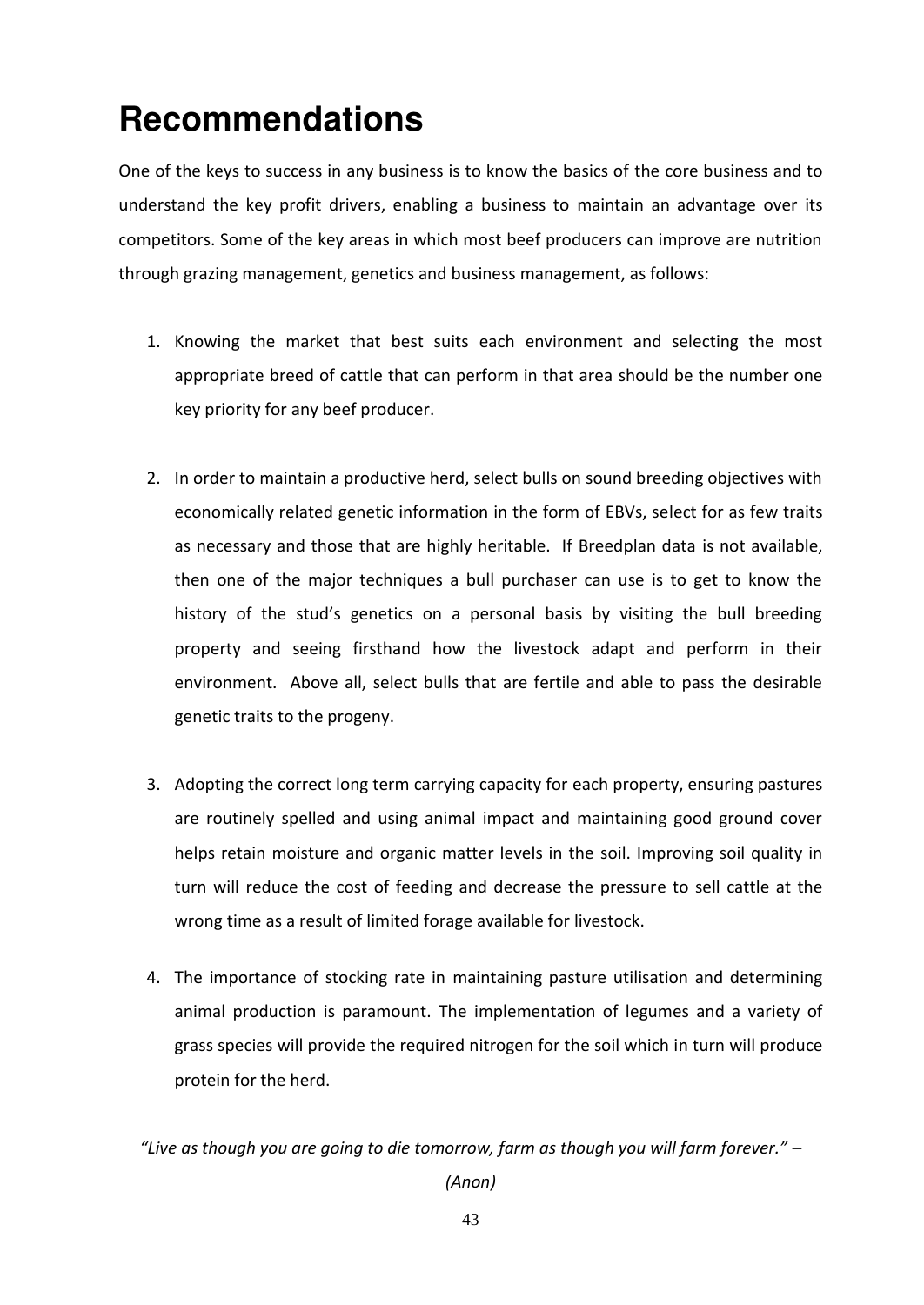## <span id="page-41-0"></span>**Recommendations**

One of the keys to success in any business is to know the basics of the core business and to understand the key profit drivers, enabling a business to maintain an advantage over its competitors. Some of the key areas in which most beef producers can improve are nutrition through grazing management, genetics and business management, as follows:

- 1. Knowing the market that best suits each environment and selecting the most appropriate breed of cattle that can perform in that area should be the number one key priority for any beef producer.
- 2. In order to maintain a productive herd, select bulls on sound breeding objectives with economically related genetic information in the form of EBVs, select for as few traits as necessary and those that are highly heritable. If Breedplan data is not available, then one of the major techniques a bull purchaser can use is to get to know the history of the stud's genetics on a personal basis by visiting the bull breeding property and seeing firsthand how the livestock adapt and perform in their environment. Above all, select bulls that are fertile and able to pass the desirable genetic traits to the progeny.
- 3. Adopting the correct long term carrying capacity for each property, ensuring pastures are routinely spelled and using animal impact and maintaining good ground cover helps retain moisture and organic matter levels in the soil. Improving soil quality in turn will reduce the cost of feeding and decrease the pressure to sell cattle at the wrong time as a result of limited forage available for livestock.
- 4. The importance of stocking rate in maintaining pasture utilisation and determining animal production is paramount. The implementation of legumes and a variety of grass species will provide the required nitrogen for the soil which in turn will produce protein for the herd.

"Live as though you are going to die tomorrow, farm as though you will farm forever." –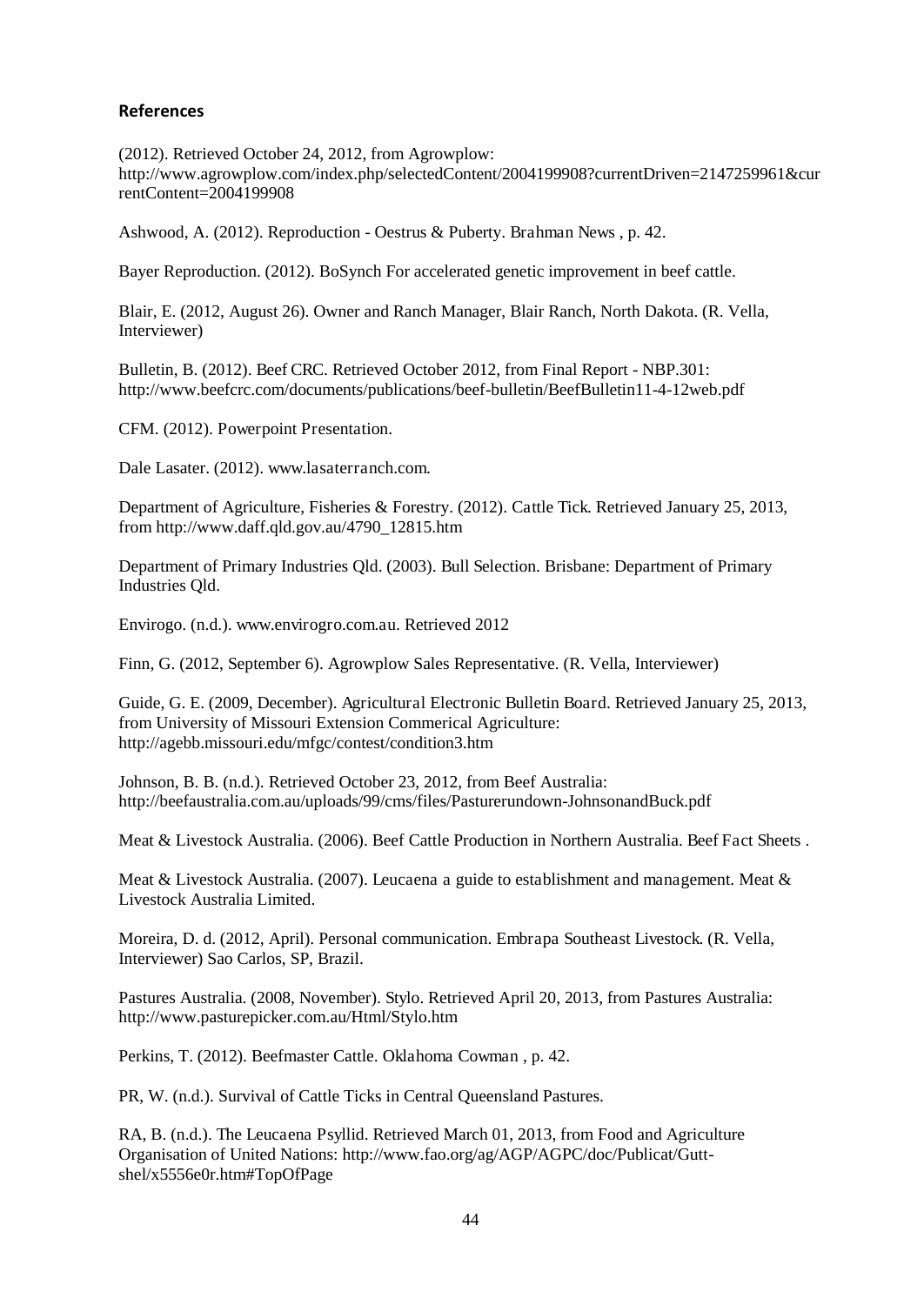#### <span id="page-42-0"></span>**References**

(2012). Retrieved October 24, 2012, from Agrowplow: http://www.agrowplow.com/index.php/selectedContent/2004199908?currentDriven=2147259961&cur rentContent=2004199908

Ashwood, A. (2012). Reproduction - Oestrus & Puberty. Brahman News , p. 42.

Bayer Reproduction. (2012). BoSynch For accelerated genetic improvement in beef cattle.

Blair, E. (2012, August 26). Owner and Ranch Manager, Blair Ranch, North Dakota. (R. Vella, Interviewer)

Bulletin, B. (2012). Beef CRC. Retrieved October 2012, from Final Report - NBP.301: http://www.beefcrc.com/documents/publications/beef-bulletin/BeefBulletin11-4-12web.pdf

CFM. (2012). Powerpoint Presentation.

Dale Lasater. (2012). www.lasaterranch.com.

Department of Agriculture, Fisheries & Forestry. (2012). Cattle Tick. Retrieved January 25, 2013, from http://www.daff.qld.gov.au/4790\_12815.htm

Department of Primary Industries Qld. (2003). Bull Selection. Brisbane: Department of Primary Industries Qld.

Envirogo. (n.d.). www.envirogro.com.au. Retrieved 2012

Finn, G. (2012, September 6). Agrowplow Sales Representative. (R. Vella, Interviewer)

Guide, G. E. (2009, December). Agricultural Electronic Bulletin Board. Retrieved January 25, 2013, from University of Missouri Extension Commerical Agriculture: http://agebb.missouri.edu/mfgc/contest/condition3.htm

Johnson, B. B. (n.d.). Retrieved October 23, 2012, from Beef Australia: http://beefaustralia.com.au/uploads/99/cms/files/Pasturerundown-JohnsonandBuck.pdf

Meat & Livestock Australia. (2006). Beef Cattle Production in Northern Australia. Beef Fact Sheets .

Meat & Livestock Australia. (2007). Leucaena a guide to establishment and management. Meat & Livestock Australia Limited.

Moreira, D. d. (2012, April). Personal communication. Embrapa Southeast Livestock. (R. Vella, Interviewer) Sao Carlos, SP, Brazil.

Pastures Australia. (2008, November). Stylo. Retrieved April 20, 2013, from Pastures Australia: http://www.pasturepicker.com.au/Html/Stylo.htm

Perkins, T. (2012). Beefmaster Cattle. Oklahoma Cowman , p. 42.

PR, W. (n.d.). Survival of Cattle Ticks in Central Queensland Pastures.

RA, B. (n.d.). The Leucaena Psyllid. Retrieved March 01, 2013, from Food and Agriculture Organisation of United Nations: http://www.fao.org/ag/AGP/AGPC/doc/Publicat/Guttshel/x5556e0r.htm#TopOfPage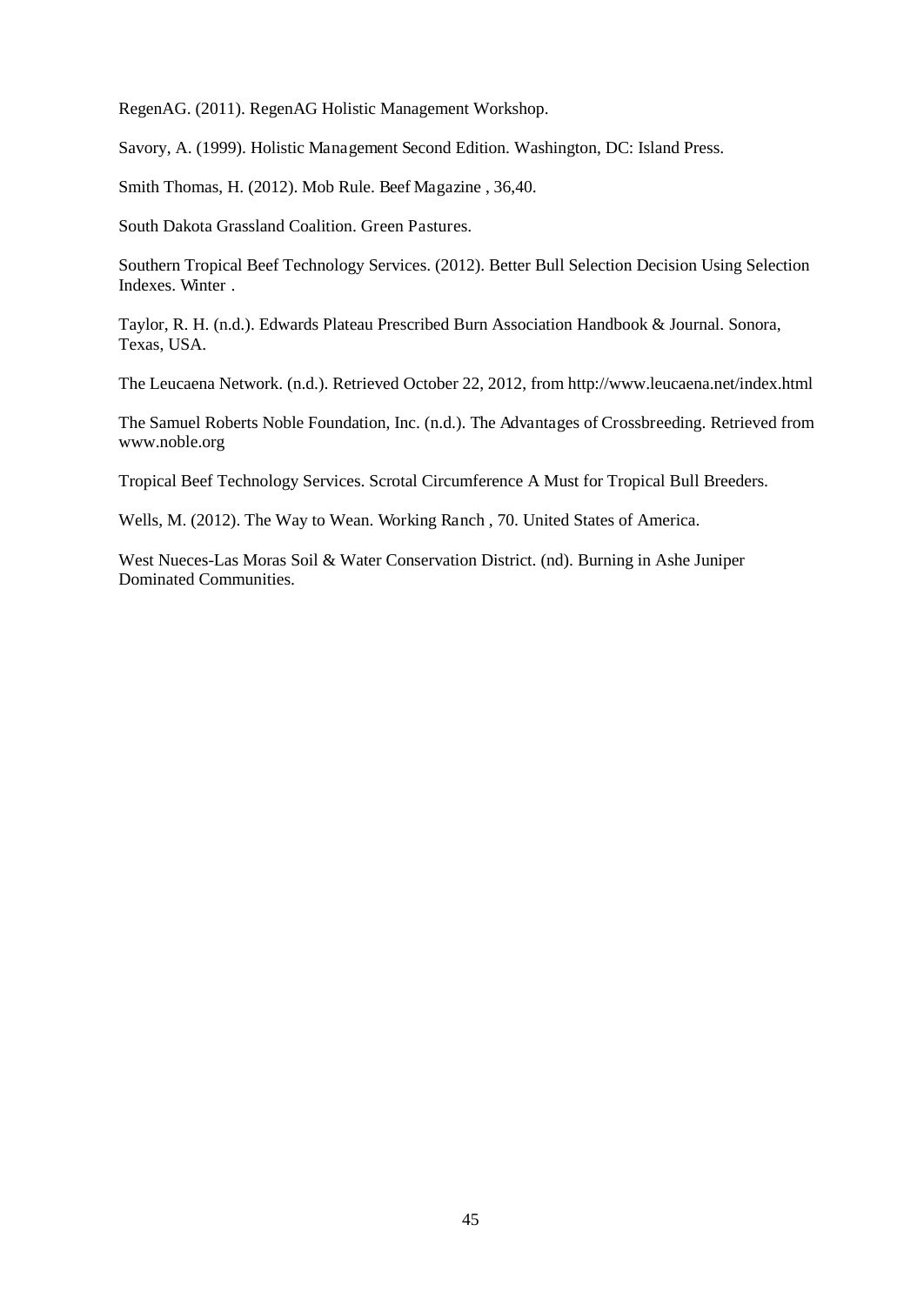RegenAG. (2011). RegenAG Holistic Management Workshop.

Savory, A. (1999). Holistic Management Second Edition. Washington, DC: Island Press.

Smith Thomas, H. (2012). Mob Rule. Beef Magazine , 36,40.

South Dakota Grassland Coalition. Green Pastures.

Southern Tropical Beef Technology Services. (2012). Better Bull Selection Decision Using Selection Indexes. Winter .

Taylor, R. H. (n.d.). Edwards Plateau Prescribed Burn Association Handbook & Journal. Sonora, Texas, USA.

The Leucaena Network. (n.d.). Retrieved October 22, 2012, from http://www.leucaena.net/index.html

The Samuel Roberts Noble Foundation, Inc. (n.d.). The Advantages of Crossbreeding. Retrieved from www.noble.org

Tropical Beef Technology Services. Scrotal Circumference A Must for Tropical Bull Breeders.

Wells, M. (2012). The Way to Wean. Working Ranch , 70. United States of America.

West Nueces-Las Moras Soil & Water Conservation District. (nd). Burning in Ashe Juniper Dominated Communities.